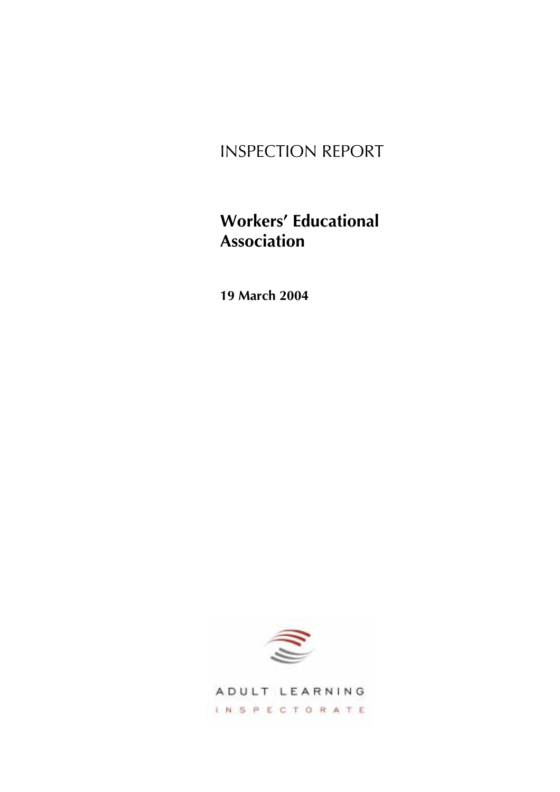# INSPECTION REPORT

# **Workers' Educational Association**

**19 March 2004** 



ADULT LEARNING INSPECTORATE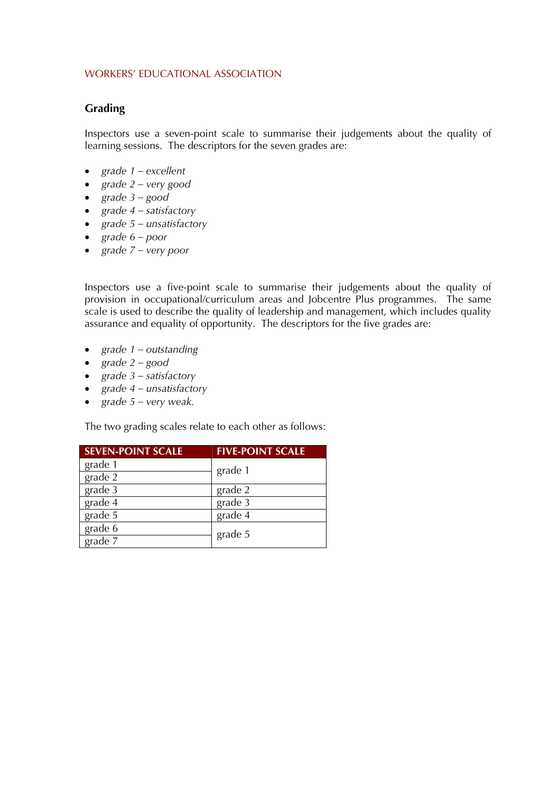## **Grading**

Inspectors use a seven-point scale to summarise their judgements about the quality of learning sessions. The descriptors for the seven grades are:

- *grade 1 – excellent*
- *grade 2 – very good*
- *grade 3 – good*
- *grade 4 – satisfactory*
- *grade 5 unsatisfactory*
- *grade 6 – poor*
- *grade 7 very poor*

Inspectors use a five-point scale to summarise their judgements about the quality of provision in occupational/curriculum areas and Jobcentre Plus programmes. The same scale is used to describe the quality of leadership and management, which includes quality assurance and equality of opportunity. The descriptors for the five grades are:

- *grade 1 – outstanding*
- *grade 2 – good*
- *grade 3 satisfactory*
- *grade 4 unsatisfactory*
- *grade 5 – very weak.*

The two grading scales relate to each other as follows:

| <b>SEVEN-POINT SCALE</b> | <b>FIVE-POINT SCALE</b> |
|--------------------------|-------------------------|
| grade 1                  | grade 1                 |
| grade $\overline{2}$     |                         |
| grade 3                  | grade 2                 |
| grade $\overline{4}$     | grade 3                 |
| grade 5                  | grade 4                 |
| grade 6                  | grade 5                 |
| grade $\overline{7}$     |                         |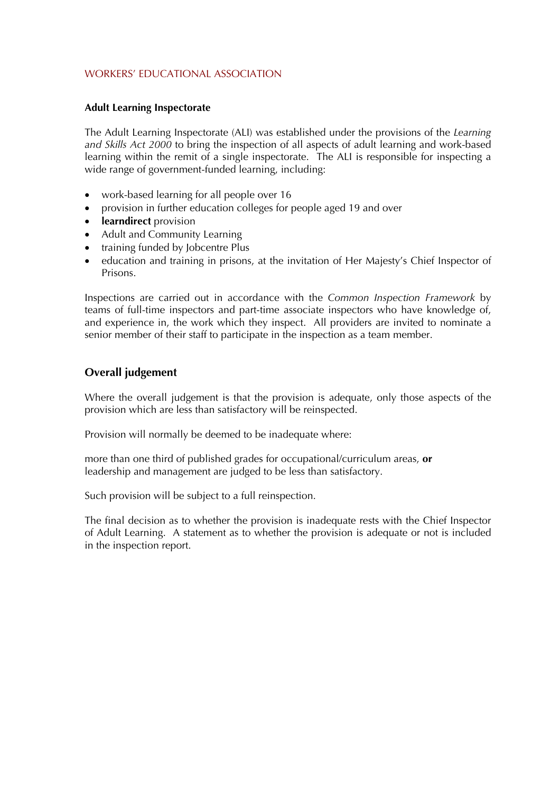#### **Adult Learning Inspectorate**

The Adult Learning Inspectorate (ALI) was established under the provisions of the *Learning and Skills Act 2000* to bring the inspection of all aspects of adult learning and work-based learning within the remit of a single inspectorate. The ALI is responsible for inspecting a wide range of government-funded learning, including:

- work-based learning for all people over 16
- provision in further education colleges for people aged 19 and over
- **learndirect** provision
- Adult and Community Learning
- training funded by Jobcentre Plus
- education and training in prisons, at the invitation of Her Majesty's Chief Inspector of Prisons.

Inspections are carried out in accordance with the *Common Inspection Framework* by teams of full-time inspectors and part-time associate inspectors who have knowledge of, and experience in, the work which they inspect. All providers are invited to nominate a senior member of their staff to participate in the inspection as a team member.

# **Overall judgement**

Where the overall judgement is that the provision is adequate, only those aspects of the provision which are less than satisfactory will be reinspected.

Provision will normally be deemed to be inadequate where:

more than one third of published grades for occupational/curriculum areas, **or** leadership and management are judged to be less than satisfactory.

Such provision will be subject to a full reinspection.

The final decision as to whether the provision is inadequate rests with the Chief Inspector of Adult Learning. A statement as to whether the provision is adequate or not is included in the inspection report.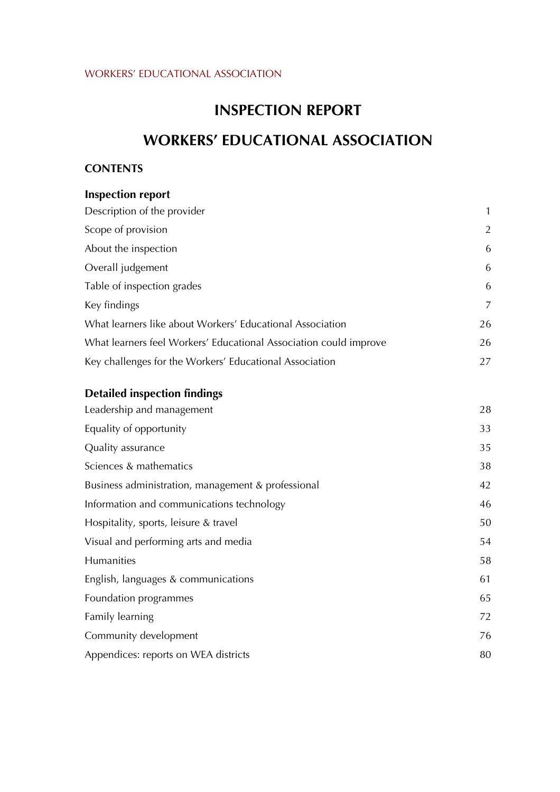# **INSPECTION REPORT**

# **WORKERS' EDUCATIONAL ASSOCIATION**

# **CONTENTS**

| <b>Inspection report</b>                                          |                |
|-------------------------------------------------------------------|----------------|
| Description of the provider                                       | $\mathbf{1}$   |
| Scope of provision                                                | $\overline{2}$ |
| About the inspection                                              | 6              |
| Overall judgement                                                 | 6              |
| Table of inspection grades                                        | 6              |
| Key findings                                                      | 7              |
| What learners like about Workers' Educational Association         | 26             |
| What learners feel Workers' Educational Association could improve | 26             |
| Key challenges for the Workers' Educational Association           | 27             |

# **Detailed inspection findings**

| Leadership and management                          | 28 |
|----------------------------------------------------|----|
| Equality of opportunity                            | 33 |
| Quality assurance                                  | 35 |
| Sciences & mathematics                             | 38 |
| Business administration, management & professional | 42 |
| Information and communications technology          | 46 |
| Hospitality, sports, leisure & travel              | 50 |
| Visual and performing arts and media               | 54 |
| Humanities                                         | 58 |
| English, languages & communications                | 61 |
| Foundation programmes                              | 65 |
| Family learning                                    | 72 |
| Community development                              | 76 |
| Appendices: reports on WEA districts               | 80 |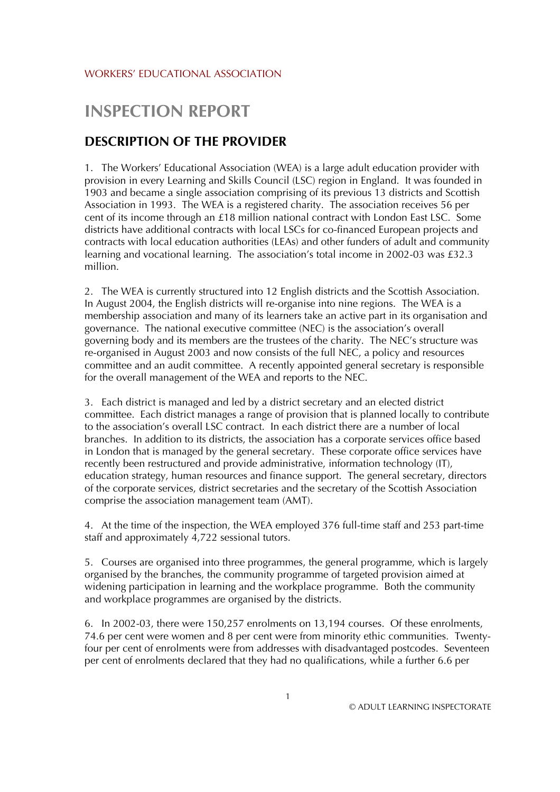# **INSPECTION REPORT**

# **DESCRIPTION OF THE PROVIDER**

1. The Workers' Educational Association (WEA) is a large adult education provider with provision in every Learning and Skills Council (LSC) region in England. It was founded in 1903 and became a single association comprising of its previous 13 districts and Scottish Association in 1993. The WEA is a registered charity. The association receives 56 per cent of its income through an £18 million national contract with London East LSC. Some districts have additional contracts with local LSCs for co-financed European projects and contracts with local education authorities (LEAs) and other funders of adult and community learning and vocational learning. The association's total income in 2002-03 was £32.3 million.

2. The WEA is currently structured into 12 English districts and the Scottish Association. In August 2004, the English districts will re-organise into nine regions. The WEA is a membership association and many of its learners take an active part in its organisation and governance. The national executive committee (NEC) is the association's overall governing body and its members are the trustees of the charity. The NEC's structure was re-organised in August 2003 and now consists of the full NEC, a policy and resources committee and an audit committee. A recently appointed general secretary is responsible for the overall management of the WEA and reports to the NEC.

3. Each district is managed and led by a district secretary and an elected district committee. Each district manages a range of provision that is planned locally to contribute to the association's overall LSC contract. In each district there are a number of local branches. In addition to its districts, the association has a corporate services office based in London that is managed by the general secretary. These corporate office services have recently been restructured and provide administrative, information technology (IT), education strategy, human resources and finance support. The general secretary, directors of the corporate services, district secretaries and the secretary of the Scottish Association comprise the association management team (AMT).

4. At the time of the inspection, the WEA employed 376 full-time staff and 253 part-time staff and approximately 4,722 sessional tutors.

5. Courses are organised into three programmes, the general programme, which is largely organised by the branches, the community programme of targeted provision aimed at widening participation in learning and the workplace programme. Both the community and workplace programmes are organised by the districts.

6. In 2002-03, there were 150,257 enrolments on 13,194 courses. Of these enrolments, 74.6 per cent were women and 8 per cent were from minority ethic communities. Twentyfour per cent of enrolments were from addresses with disadvantaged postcodes. Seventeen per cent of enrolments declared that they had no qualifications, while a further 6.6 per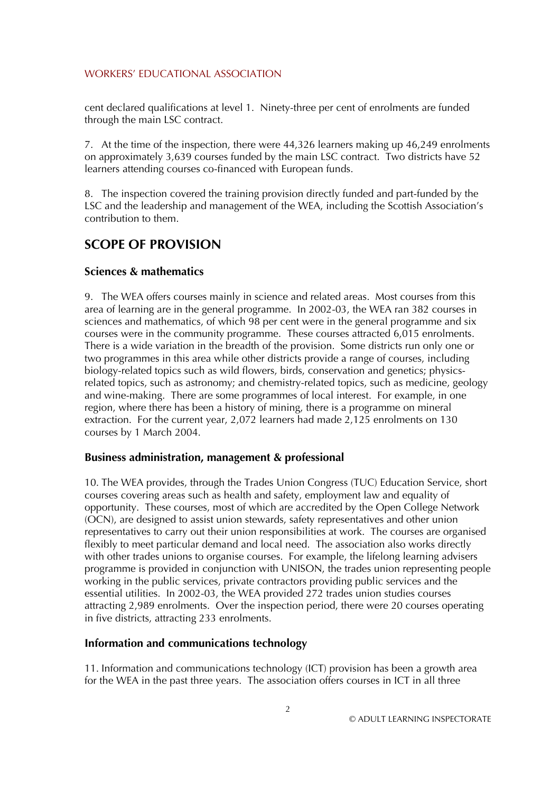cent declared qualifications at level 1. Ninety-three per cent of enrolments are funded through the main LSC contract.

7. At the time of the inspection, there were 44,326 learners making up 46,249 enrolments on approximately 3,639 courses funded by the main LSC contract. Two districts have 52 learners attending courses co-financed with European funds.

8. The inspection covered the training provision directly funded and part-funded by the LSC and the leadership and management of the WEA, including the Scottish Association's contribution to them.

# **SCOPE OF PROVISION**

# **Sciences & mathematics**

9. The WEA offers courses mainly in science and related areas. Most courses from this area of learning are in the general programme. In 2002-03, the WEA ran 382 courses in sciences and mathematics, of which 98 per cent were in the general programme and six courses were in the community programme. These courses attracted 6,015 enrolments. There is a wide variation in the breadth of the provision. Some districts run only one or two programmes in this area while other districts provide a range of courses, including biology-related topics such as wild flowers, birds, conservation and genetics; physicsrelated topics, such as astronomy; and chemistry-related topics, such as medicine, geology and wine-making. There are some programmes of local interest. For example, in one region, where there has been a history of mining, there is a programme on mineral extraction. For the current year, 2,072 learners had made 2,125 enrolments on 130 courses by 1 March 2004.

#### **Business administration, management & professional**

10. The WEA provides, through the Trades Union Congress (TUC) Education Service, short courses covering areas such as health and safety, employment law and equality of opportunity. These courses, most of which are accredited by the Open College Network (OCN), are designed to assist union stewards, safety representatives and other union representatives to carry out their union responsibilities at work. The courses are organised flexibly to meet particular demand and local need. The association also works directly with other trades unions to organise courses. For example, the lifelong learning advisers programme is provided in conjunction with UNISON, the trades union representing people working in the public services, private contractors providing public services and the essential utilities. In 2002-03, the WEA provided 272 trades union studies courses attracting 2,989 enrolments. Over the inspection period, there were 20 courses operating in five districts, attracting 233 enrolments.

#### **Information and communications technology**

11. Information and communications technology (ICT) provision has been a growth area for the WEA in the past three years. The association offers courses in ICT in all three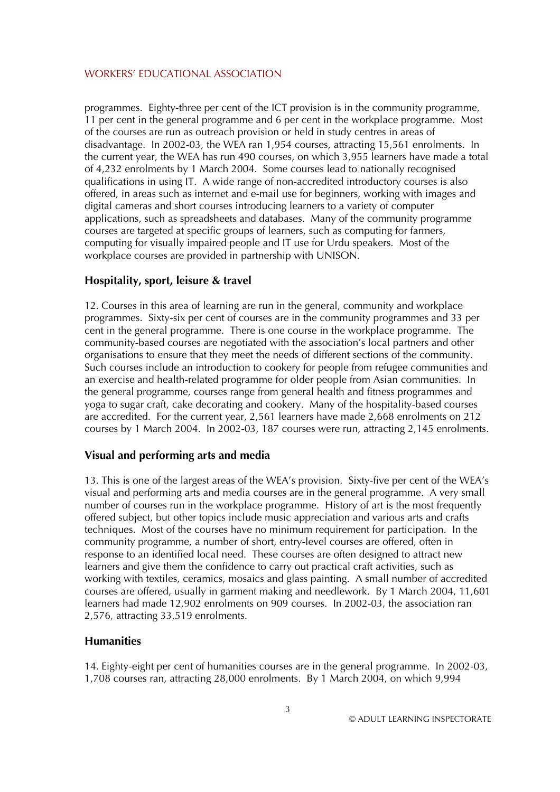programmes. Eighty-three per cent of the ICT provision is in the community programme, 11 per cent in the general programme and 6 per cent in the workplace programme. Most of the courses are run as outreach provision or held in study centres in areas of disadvantage. In 2002-03, the WEA ran 1,954 courses, attracting 15,561 enrolments. In the current year, the WEA has run 490 courses, on which 3,955 learners have made a total of 4,232 enrolments by 1 March 2004. Some courses lead to nationally recognised qualifications in using IT. A wide range of non-accredited introductory courses is also offered, in areas such as internet and e-mail use for beginners, working with images and digital cameras and short courses introducing learners to a variety of computer applications, such as spreadsheets and databases. Many of the community programme courses are targeted at specific groups of learners, such as computing for farmers, computing for visually impaired people and IT use for Urdu speakers. Most of the workplace courses are provided in partnership with UNISON.

# **Hospitality, sport, leisure & travel**

12. Courses in this area of learning are run in the general, community and workplace programmes. Sixty-six per cent of courses are in the community programmes and 33 per cent in the general programme. There is one course in the workplace programme. The community-based courses are negotiated with the association's local partners and other organisations to ensure that they meet the needs of different sections of the community. Such courses include an introduction to cookery for people from refugee communities and an exercise and health-related programme for older people from Asian communities. In the general programme, courses range from general health and fitness programmes and yoga to sugar craft, cake decorating and cookery. Many of the hospitality-based courses are accredited. For the current year, 2,561 learners have made 2,668 enrolments on 212 courses by 1 March 2004. In 2002-03, 187 courses were run, attracting 2,145 enrolments.

# **Visual and performing arts and media**

13. This is one of the largest areas of the WEA's provision. Sixty-five per cent of the WEA's visual and performing arts and media courses are in the general programme. A very small number of courses run in the workplace programme. History of art is the most frequently offered subject, but other topics include music appreciation and various arts and crafts techniques. Most of the courses have no minimum requirement for participation. In the community programme, a number of short, entry-level courses are offered, often in response to an identified local need. These courses are often designed to attract new learners and give them the confidence to carry out practical craft activities, such as working with textiles, ceramics, mosaics and glass painting. A small number of accredited courses are offered, usually in garment making and needlework. By 1 March 2004, 11,601 learners had made 12,902 enrolments on 909 courses. In 2002-03, the association ran 2,576, attracting 33,519 enrolments.

#### **Humanities**

14. Eighty-eight per cent of humanities courses are in the general programme. In 2002-03, 1,708 courses ran, attracting 28,000 enrolments. By 1 March 2004, on which 9,994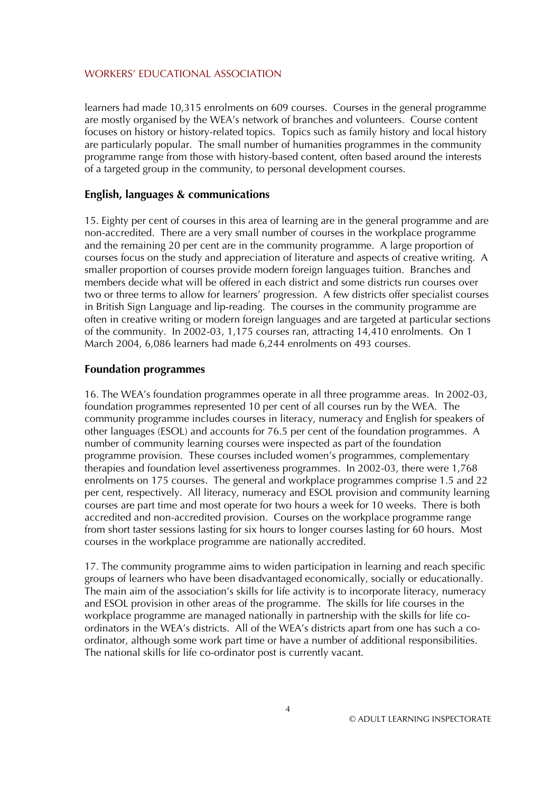learners had made 10,315 enrolments on 609 courses. Courses in the general programme are mostly organised by the WEA's network of branches and volunteers. Course content focuses on history or history-related topics. Topics such as family history and local history are particularly popular. The small number of humanities programmes in the community programme range from those with history-based content, often based around the interests of a targeted group in the community, to personal development courses.

#### **English, languages & communications**

15. Eighty per cent of courses in this area of learning are in the general programme and are non-accredited. There are a very small number of courses in the workplace programme and the remaining 20 per cent are in the community programme. A large proportion of courses focus on the study and appreciation of literature and aspects of creative writing. A smaller proportion of courses provide modern foreign languages tuition. Branches and members decide what will be offered in each district and some districts run courses over two or three terms to allow for learners' progression. A few districts offer specialist courses in British Sign Language and lip-reading. The courses in the community programme are often in creative writing or modern foreign languages and are targeted at particular sections of the community. In 2002-03, 1,175 courses ran, attracting 14,410 enrolments. On 1 March 2004, 6,086 learners had made 6,244 enrolments on 493 courses.

#### **Foundation programmes**

16. The WEA's foundation programmes operate in all three programme areas. In 2002-03, foundation programmes represented 10 per cent of all courses run by the WEA. The community programme includes courses in literacy, numeracy and English for speakers of other languages (ESOL) and accounts for 76.5 per cent of the foundation programmes. A number of community learning courses were inspected as part of the foundation programme provision. These courses included women's programmes, complementary therapies and foundation level assertiveness programmes. In 2002-03, there were 1,768 enrolments on 175 courses. The general and workplace programmes comprise 1.5 and 22 per cent, respectively. All literacy, numeracy and ESOL provision and community learning courses are part time and most operate for two hours a week for 10 weeks. There is both accredited and non-accredited provision. Courses on the workplace programme range from short taster sessions lasting for six hours to longer courses lasting for 60 hours. Most courses in the workplace programme are nationally accredited.

17. The community programme aims to widen participation in learning and reach specific groups of learners who have been disadvantaged economically, socially or educationally. The main aim of the association's skills for life activity is to incorporate literacy, numeracy and ESOL provision in other areas of the programme. The skills for life courses in the workplace programme are managed nationally in partnership with the skills for life coordinators in the WEA's districts. All of the WEA's districts apart from one has such a coordinator, although some work part time or have a number of additional responsibilities. The national skills for life co-ordinator post is currently vacant.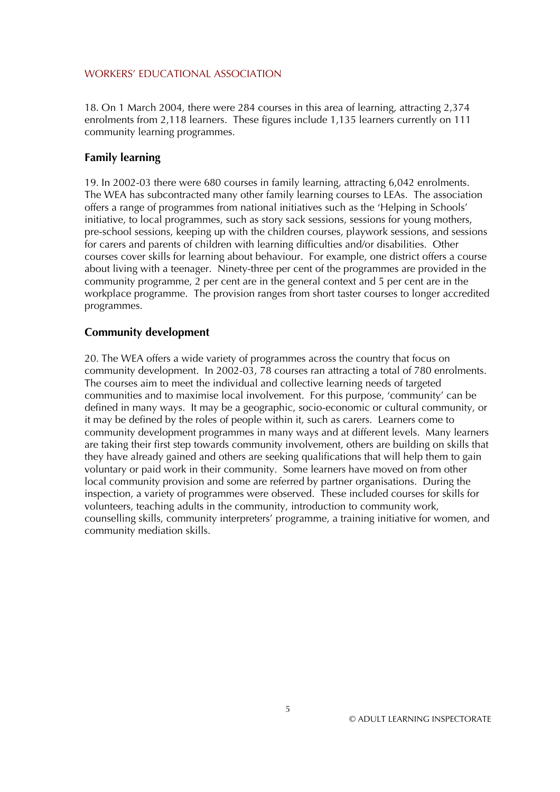18. On 1 March 2004, there were 284 courses in this area of learning, attracting 2,374 enrolments from 2,118 learners. These figures include 1,135 learners currently on 111 community learning programmes.

## **Family learning**

19. In 2002-03 there were 680 courses in family learning, attracting 6,042 enrolments. The WEA has subcontracted many other family learning courses to LEAs. The association offers a range of programmes from national initiatives such as the 'Helping in Schools' initiative, to local programmes, such as story sack sessions, sessions for young mothers, pre-school sessions, keeping up with the children courses, playwork sessions, and sessions for carers and parents of children with learning difficulties and/or disabilities. Other courses cover skills for learning about behaviour. For example, one district offers a course about living with a teenager. Ninety-three per cent of the programmes are provided in the community programme, 2 per cent are in the general context and 5 per cent are in the workplace programme. The provision ranges from short taster courses to longer accredited programmes.

## **Community development**

20. The WEA offers a wide variety of programmes across the country that focus on community development. In 2002-03, 78 courses ran attracting a total of 780 enrolments. The courses aim to meet the individual and collective learning needs of targeted communities and to maximise local involvement. For this purpose, 'community' can be defined in many ways. It may be a geographic, socio-economic or cultural community, or it may be defined by the roles of people within it, such as carers. Learners come to community development programmes in many ways and at different levels. Many learners are taking their first step towards community involvement, others are building on skills that they have already gained and others are seeking qualifications that will help them to gain voluntary or paid work in their community. Some learners have moved on from other local community provision and some are referred by partner organisations. During the inspection, a variety of programmes were observed. These included courses for skills for volunteers, teaching adults in the community, introduction to community work, counselling skills, community interpreters' programme, a training initiative for women, and community mediation skills.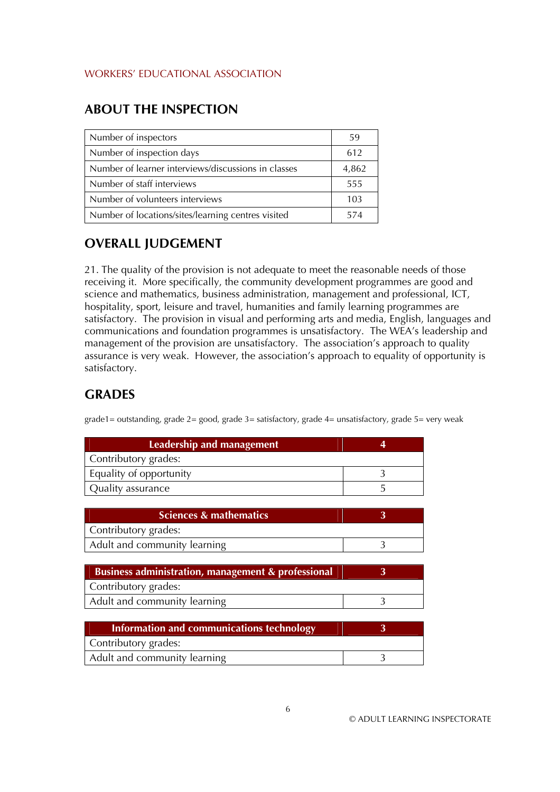# **ABOUT THE INSPECTION**

| Number of inspectors                                | 59    |
|-----------------------------------------------------|-------|
| Number of inspection days                           | 612   |
| Number of learner interviews/discussions in classes | 4,862 |
| Number of staff interviews                          | 555   |
| Number of volunteers interviews                     | 103   |
| Number of locations/sites/learning centres visited  | 574   |

# **OVERALL JUDGEMENT**

21. The quality of the provision is not adequate to meet the reasonable needs of those receiving it. More specifically, the community development programmes are good and science and mathematics, business administration, management and professional, ICT, hospitality, sport, leisure and travel, humanities and family learning programmes are satisfactory. The provision in visual and performing arts and media, English, languages and communications and foundation programmes is unsatisfactory. The WEA's leadership and management of the provision are unsatisfactory. The association's approach to quality assurance is very weak. However, the association's approach to equality of opportunity is satisfactory.

# **GRADES**

grade1= outstanding, grade 2= good, grade 3= satisfactory, grade 4= unsatisfactory, grade 5= very weak

| Leadership and management |  |
|---------------------------|--|
| Contributory grades:      |  |
| Equality of opportunity   |  |
| Quality assurance         |  |

| Sciences & mathematics       |  |
|------------------------------|--|
| Contributory grades:         |  |
| Adult and community learning |  |

| Business administration, management & professional |  |
|----------------------------------------------------|--|
| Contributory grades:                               |  |
| Adult and community learning                       |  |

| Information and communications technology |  |
|-------------------------------------------|--|
| Contributory grades:                      |  |
| Adult and community learning              |  |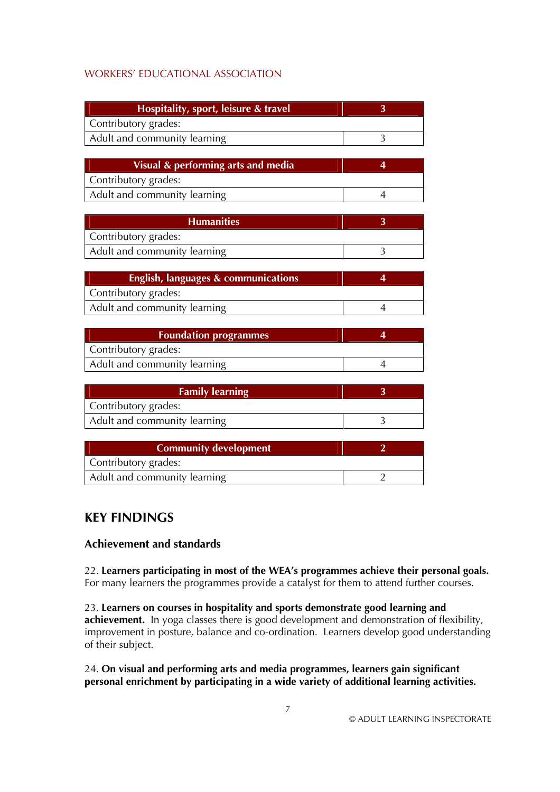| Hospitality, sport, leisure & travel |  |
|--------------------------------------|--|
| Contributory grades:                 |  |
| Adult and community learning         |  |

| Visual & performing arts and media |  |
|------------------------------------|--|
| Contributory grades:               |  |
| Adult and community learning       |  |

| <b>Humanities</b>            |  |
|------------------------------|--|
| Contributory grades:         |  |
| Adult and community learning |  |

| English, languages & communications |  |
|-------------------------------------|--|
| Contributory grades:                |  |
| Adult and community learning        |  |

| <b>Foundation programmes</b> |  |
|------------------------------|--|
| Contributory grades:         |  |
| Adult and community learning |  |

| <b>Family learning</b>       |  |
|------------------------------|--|
| Contributory grades:         |  |
| Adult and community learning |  |

| <b>Community development</b> |  |
|------------------------------|--|
| Contributory grades:         |  |
| Adult and community learning |  |

# **KEY FINDINGS**

# **Achievement and standards**

22. **Learners participating in most of the WEA's programmes achieve their personal goals.** For many learners the programmes provide a catalyst for them to attend further courses.

23. **Learners on courses in hospitality and sports demonstrate good learning and achievement.** In yoga classes there is good development and demonstration of flexibility, improvement in posture, balance and co-ordination. Learners develop good understanding of their subject.

24. **On visual and performing arts and media programmes, learners gain significant personal enrichment by participating in a wide variety of additional learning activities.**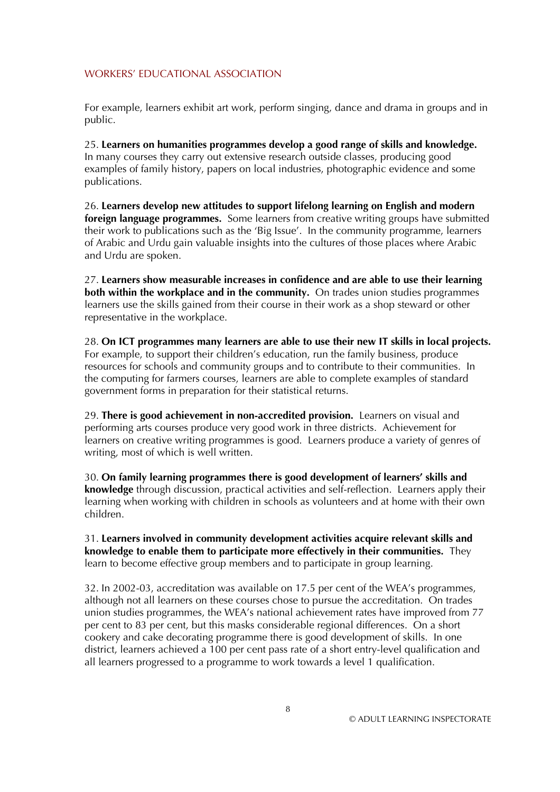For example, learners exhibit art work, perform singing, dance and drama in groups and in public.

25. **Learners on humanities programmes develop a good range of skills and knowledge.** In many courses they carry out extensive research outside classes, producing good examples of family history, papers on local industries, photographic evidence and some publications.

26. **Learners develop new attitudes to support lifelong learning on English and modern foreign language programmes.** Some learners from creative writing groups have submitted their work to publications such as the 'Big Issue'. In the community programme, learners of Arabic and Urdu gain valuable insights into the cultures of those places where Arabic and Urdu are spoken.

27. **Learners show measurable increases in confidence and are able to use their learning both within the workplace and in the community.** On trades union studies programmes learners use the skills gained from their course in their work as a shop steward or other representative in the workplace.

28. **On ICT programmes many learners are able to use their new IT skills in local projects.** For example, to support their children's education, run the family business, produce resources for schools and community groups and to contribute to their communities. In the computing for farmers courses, learners are able to complete examples of standard government forms in preparation for their statistical returns.

29. **There is good achievement in non-accredited provision.** Learners on visual and performing arts courses produce very good work in three districts. Achievement for learners on creative writing programmes is good. Learners produce a variety of genres of writing, most of which is well written.

30. **On family learning programmes there is good development of learners' skills and knowledge** through discussion, practical activities and self-reflection. Learners apply their learning when working with children in schools as volunteers and at home with their own children.

31. **Learners involved in community development activities acquire relevant skills and knowledge to enable them to participate more effectively in their communities.** They learn to become effective group members and to participate in group learning.

32. In 2002-03, accreditation was available on 17.5 per cent of the WEA's programmes, although not all learners on these courses chose to pursue the accreditation. On trades union studies programmes, the WEA's national achievement rates have improved from 77 per cent to 83 per cent, but this masks considerable regional differences. On a short cookery and cake decorating programme there is good development of skills. In one district, learners achieved a 100 per cent pass rate of a short entry-level qualification and all learners progressed to a programme to work towards a level 1 qualification.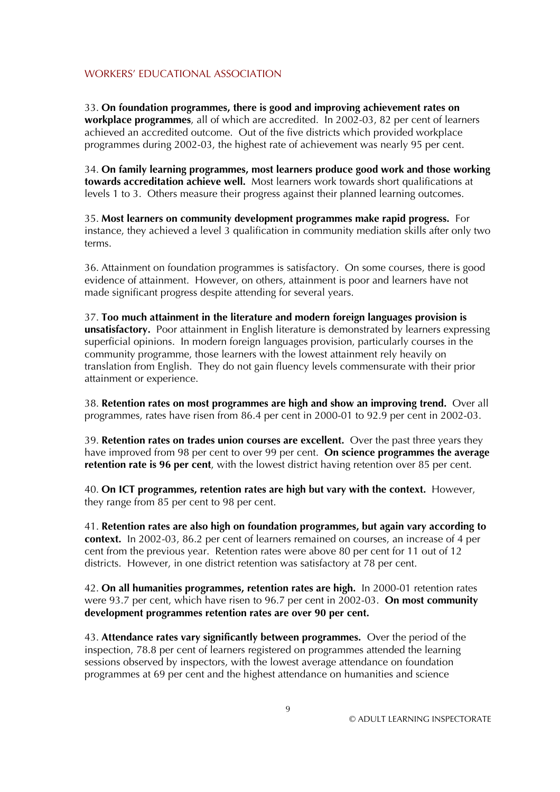33. **On foundation programmes, there is good and improving achievement rates on workplace programmes**, all of which are accredited. In 2002-03, 82 per cent of learners achieved an accredited outcome. Out of the five districts which provided workplace programmes during 2002-03, the highest rate of achievement was nearly 95 per cent.

34. **On family learning programmes, most learners produce good work and those working towards accreditation achieve well.** Most learners work towards short qualifications at levels 1 to 3. Others measure their progress against their planned learning outcomes.

35. **Most learners on community development programmes make rapid progress.** For instance, they achieved a level 3 qualification in community mediation skills after only two terms.

36. Attainment on foundation programmes is satisfactory. On some courses, there is good evidence of attainment. However, on others, attainment is poor and learners have not made significant progress despite attending for several years.

37. **Too much attainment in the literature and modern foreign languages provision is unsatisfactory.** Poor attainment in English literature is demonstrated by learners expressing superficial opinions. In modern foreign languages provision, particularly courses in the community programme, those learners with the lowest attainment rely heavily on translation from English. They do not gain fluency levels commensurate with their prior attainment or experience.

38. **Retention rates on most programmes are high and show an improving trend.** Over all programmes, rates have risen from 86.4 per cent in 2000-01 to 92.9 per cent in 2002-03.

39. **Retention rates on trades union courses are excellent.** Over the past three years they have improved from 98 per cent to over 99 per cent. **On science programmes the average retention rate is 96 per cent**, with the lowest district having retention over 85 per cent.

40. **On ICT programmes, retention rates are high but vary with the context.** However, they range from 85 per cent to 98 per cent.

41. **Retention rates are also high on foundation programmes, but again vary according to context.** In 2002-03, 86.2 per cent of learners remained on courses, an increase of 4 per cent from the previous year. Retention rates were above 80 per cent for 11 out of 12 districts. However, in one district retention was satisfactory at 78 per cent.

42. **On all humanities programmes, retention rates are high.** In 2000-01 retention rates were 93.7 per cent, which have risen to 96.7 per cent in 2002-03. **On most community development programmes retention rates are over 90 per cent.**

43. **Attendance rates vary significantly between programmes.** Over the period of the inspection, 78.8 per cent of learners registered on programmes attended the learning sessions observed by inspectors, with the lowest average attendance on foundation programmes at 69 per cent and the highest attendance on humanities and science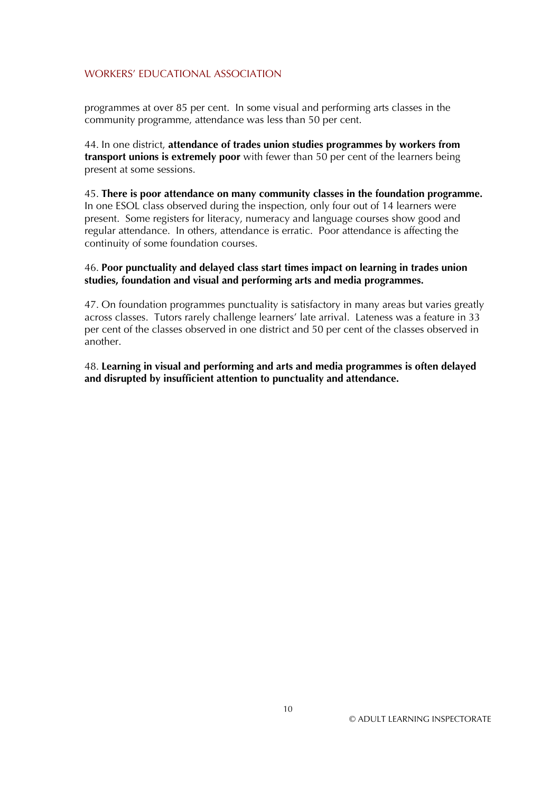programmes at over 85 per cent. In some visual and performing arts classes in the community programme, attendance was less than 50 per cent.

44. In one district, **attendance of trades union studies programmes by workers from transport unions is extremely poor** with fewer than 50 per cent of the learners being present at some sessions.

45. **There is poor attendance on many community classes in the foundation programme.** In one ESOL class observed during the inspection, only four out of 14 learners were present. Some registers for literacy, numeracy and language courses show good and regular attendance. In others, attendance is erratic. Poor attendance is affecting the continuity of some foundation courses.

#### 46. **Poor punctuality and delayed class start times impact on learning in trades union studies, foundation and visual and performing arts and media programmes.**

47. On foundation programmes punctuality is satisfactory in many areas but varies greatly across classes. Tutors rarely challenge learners' late arrival. Lateness was a feature in 33 per cent of the classes observed in one district and 50 per cent of the classes observed in another.

48. **Learning in visual and performing and arts and media programmes is often delayed and disrupted by insufficient attention to punctuality and attendance.**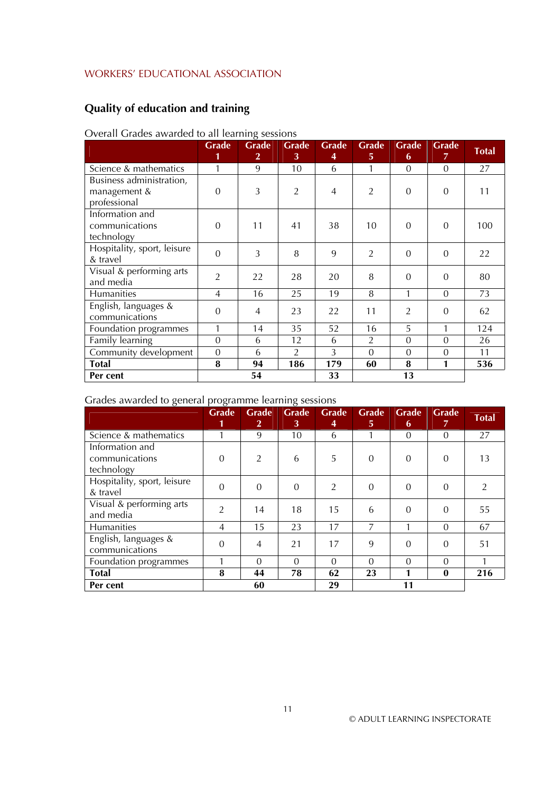# **Quality of education and training**

# Overall Grades awarded to all learning sessions

|                                                          | Grade<br>1     | O<br>Grade<br>$\overline{2}$ | Grade<br>3     | Grade<br>4 | Grade<br>5     | Grade<br>6     | <b>Grade</b><br>$\overline{7}$ | Total |
|----------------------------------------------------------|----------------|------------------------------|----------------|------------|----------------|----------------|--------------------------------|-------|
| Science & mathematics                                    | 1              | 9                            | 10             | 6          |                | $\overline{0}$ | $\overline{0}$                 | 27    |
| Business administration,<br>management &<br>professional | $\overline{0}$ | 3                            | $\overline{2}$ | 4          | $\overline{2}$ | $\overline{0}$ | $\overline{0}$                 | 11    |
| Information and<br>communications<br>technology          | $\Omega$       | 11                           | 41             | 38         | 10             | $\overline{0}$ | $\overline{0}$                 | 100   |
| Hospitality, sport, leisure<br>& travel                  | $\overline{0}$ | 3                            | 8              | 9          | $\overline{2}$ | $\overline{0}$ | $\overline{0}$                 | 22    |
| Visual & performing arts<br>and media                    | $\overline{2}$ | 22                           | 28             | 20         | 8              | $\overline{0}$ | $\overline{0}$                 | 80    |
| Humanities                                               | $\overline{4}$ | 16                           | 25             | 19         | 8              | 1              | $\overline{0}$                 | 73    |
| English, languages &<br>communications                   | $\mathbf{0}$   | $\overline{4}$               | 23             | 22         | 11             | $\overline{2}$ | $\overline{0}$                 | 62    |
| Foundation programmes                                    | 1              | 14                           | 35             | 52         | 16             | 5              | 1                              | 124   |
| Family learning                                          | $\mathbf{0}$   | 6                            | 12             | 6          | 2              | $\overline{0}$ | $\overline{0}$                 | 26    |
| Community development                                    | $\overline{0}$ | 6                            | $\overline{2}$ | 3          | $\Omega$       | $\overline{0}$ | $\overline{0}$                 | 11    |
| <b>Total</b>                                             | 8              | 94                           | 186            | 179        | 60             | 8              | 1                              | 536   |
| Per cent                                                 |                | 54                           |                | 33         |                | 13             |                                |       |

#### Grades awarded to general programme learning sessions

|                                                 | - 0<br>Grade<br>1 | <b>Grade</b><br>$\mathbf{2}$ | $\Omega$<br><b>Grade</b><br>3 | <b>Grade</b><br>4 | Grade<br>5.    | <b>Grade</b><br>6 | Grade<br>7     | <b>Total</b>   |
|-------------------------------------------------|-------------------|------------------------------|-------------------------------|-------------------|----------------|-------------------|----------------|----------------|
| Science & mathematics                           |                   | 9                            | 10                            | 6                 |                | $\overline{0}$    | $\Omega$       | 27             |
| Information and<br>communications<br>technology | $\overline{0}$    | $\overline{2}$               | 6                             | 5                 | $\overline{0}$ | $\theta$          | 0              | 13             |
| Hospitality, sport, leisure<br>& travel         | $\overline{0}$    | $\Omega$                     | $\theta$                      | 2                 | $\Omega$       | $\theta$          | $\overline{0}$ | $\mathfrak{D}$ |
| Visual & performing arts<br>and media           | $\overline{2}$    | 14                           | 18                            | 15                | 6              | $\Omega$          | $\Omega$       | 55             |
| Humanities                                      | $\overline{4}$    | 15                           | 23                            | 17                | $\overline{7}$ | 1                 | $\Omega$       | 67             |
| English, languages &<br>communications          | $\overline{0}$    | $\overline{4}$               | 21                            | 17                | 9              | $\Omega$          | $\Omega$       | 51             |
| Foundation programmes                           |                   | $\Omega$                     | $\Omega$                      | $\Omega$          | $\Omega$       | $\Omega$          | $\Omega$       |                |
| <b>Total</b>                                    | 8                 | 44                           | 78                            | 62                | 23             |                   | $\bf{0}$       | 216            |
| Per cent                                        |                   | 60                           |                               | 29                |                | 11                |                |                |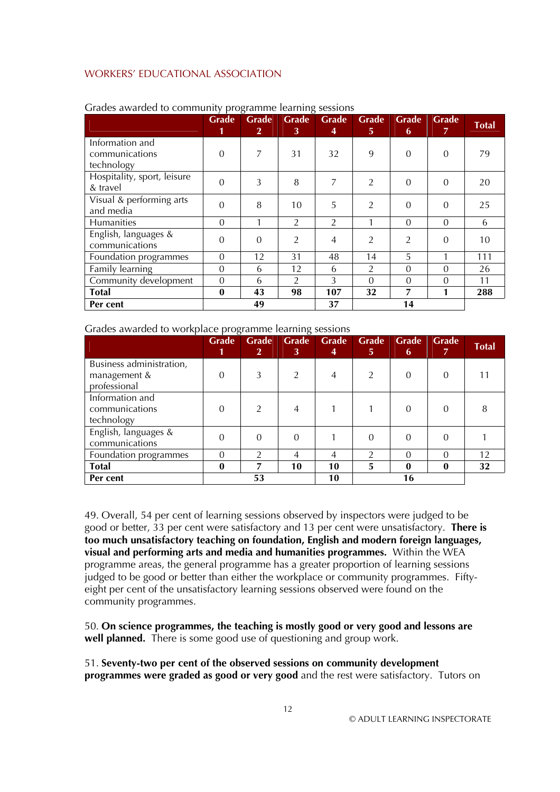|                                                 | r o<br><b>Grade</b><br>1 | <b>Grade</b><br>$\overline{2}$ | <b>Grade</b><br>3 | <b>Grade</b><br>4 | Grade<br>5 <sup>1</sup> | <b>Grade</b><br>6 | Grade<br>$\overline{7}$ | <b>Total</b> |
|-------------------------------------------------|--------------------------|--------------------------------|-------------------|-------------------|-------------------------|-------------------|-------------------------|--------------|
| Information and<br>communications<br>technology | $\boldsymbol{0}$         | 7                              | 31                | 32                | 9                       | $\overline{0}$    | $\overline{0}$          | 79           |
| Hospitality, sport, leisure<br>& travel         | $\Omega$                 | 3                              | 8                 | 7                 | $\mathcal{P}$           | $\Omega$          | $\Omega$                | 20           |
| Visual & performing arts<br>and media           | $\mathbf{0}$             | 8                              | 10                | 5                 | $\overline{2}$          | $\overline{0}$    | $\theta$                | 25           |
| Humanities                                      | $\theta$                 |                                | 2                 | 2                 |                         | $\theta$          | $\theta$                | 6            |
| English, languages &<br>communications          | $\overline{0}$           | 0                              | $\overline{2}$    | 4                 | $\overline{2}$          | $\overline{2}$    | $\overline{0}$          | 10           |
| Foundation programmes                           | $\theta$                 | 12                             | 31                | 48                | 14                      | 5                 | 1                       | 111          |
| Family learning                                 | $\theta$                 | 6                              | 12                | 6                 | $\overline{2}$          | $\Omega$          | $\Omega$                | 26           |
| Community development                           | $\overline{0}$           | 6                              | 2                 | 3                 | $\Omega$                | $\theta$          | $\overline{0}$          | 11           |
| Total                                           | $\bf{0}$                 | 43                             | 98                | 107               | 32                      | 7                 | 1                       | 288          |
| Per cent                                        |                          | 49                             |                   | 37                |                         | 14                |                         |              |

#### Grades awarded to community programme learning sessions

#### Grades awarded to workplace programme learning sessions

|                                                          | $\cdot$<br><b>Grade</b><br>1 | <b>Grade</b><br>2 <sup>1</sup> | <b>Grade</b><br>3 | <b>Grade</b><br>4 | <b>Grade</b><br>5 <sup>1</sup> | <b>Grade</b><br>6 | Grade<br>7 | <b>Total</b> |
|----------------------------------------------------------|------------------------------|--------------------------------|-------------------|-------------------|--------------------------------|-------------------|------------|--------------|
| Business administration,<br>management &<br>professional | 0                            |                                | $\mathfrak{D}$    | 4                 | $\mathfrak{D}$                 | $\Omega$          | 0          |              |
| Information and<br>communications<br>technology          | 0                            | $\mathfrak{D}$                 | 4                 |                   |                                | $\Omega$          | 0          | 8            |
| English, languages &<br>communications                   | 0                            | 0                              | $\Omega$          |                   |                                | $\Omega$          | 0          |              |
| Foundation programmes                                    | $\Omega$                     |                                | 4                 | 4                 |                                | $\Omega$          | 0          | 12           |
| <b>Total</b>                                             | 0                            |                                | 10                | 10                | 5                              | $\mathbf{0}$      | 0          | 32           |
| Per cent                                                 |                              | 53                             |                   | 10                |                                | 16                |            |              |

49. Overall, 54 per cent of learning sessions observed by inspectors were judged to be good or better, 33 per cent were satisfactory and 13 per cent were unsatisfactory. **There is too much unsatisfactory teaching on foundation, English and modern foreign languages, visual and performing arts and media and humanities programmes.** Within the WEA programme areas, the general programme has a greater proportion of learning sessions judged to be good or better than either the workplace or community programmes. Fiftyeight per cent of the unsatisfactory learning sessions observed were found on the community programmes.

50. **On science programmes, the teaching is mostly good or very good and lessons are well planned.** There is some good use of questioning and group work.

51. **Seventy-two per cent of the observed sessions on community development programmes were graded as good or very good** and the rest were satisfactory. Tutors on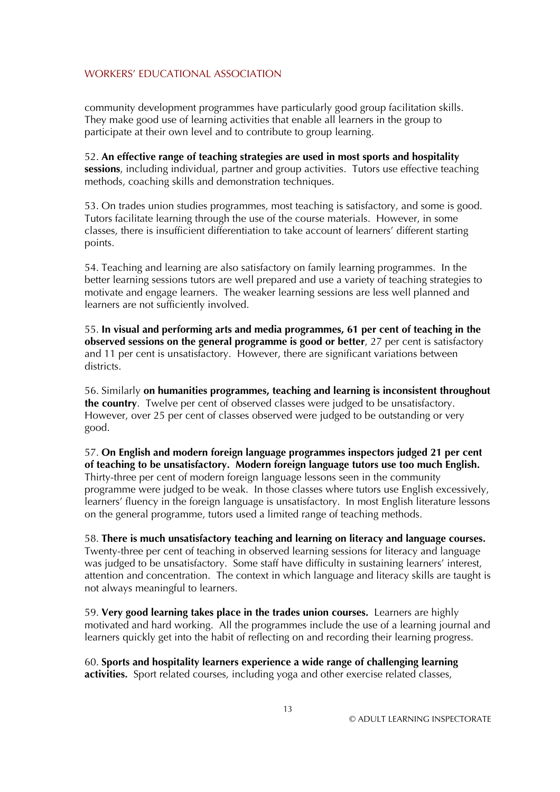community development programmes have particularly good group facilitation skills. They make good use of learning activities that enable all learners in the group to participate at their own level and to contribute to group learning.

52. **An effective range of teaching strategies are used in most sports and hospitality sessions**, including individual, partner and group activities. Tutors use effective teaching methods, coaching skills and demonstration techniques.

53. On trades union studies programmes, most teaching is satisfactory, and some is good. Tutors facilitate learning through the use of the course materials. However, in some classes, there is insufficient differentiation to take account of learners' different starting points.

54. Teaching and learning are also satisfactory on family learning programmes. In the better learning sessions tutors are well prepared and use a variety of teaching strategies to motivate and engage learners. The weaker learning sessions are less well planned and learners are not sufficiently involved.

55. **In visual and performing arts and media programmes, 61 per cent of teaching in the observed sessions on the general programme is good or better**, 27 per cent is satisfactory and 11 per cent is unsatisfactory. However, there are significant variations between districts.

56. Similarly **on humanities programmes, teaching and learning is inconsistent throughout the country**. Twelve per cent of observed classes were judged to be unsatisfactory. However, over 25 per cent of classes observed were judged to be outstanding or very good.

57. **On English and modern foreign language programmes inspectors judged 21 per cent of teaching to be unsatisfactory. Modern foreign language tutors use too much English.** Thirty-three per cent of modern foreign language lessons seen in the community programme were judged to be weak. In those classes where tutors use English excessively, learners' fluency in the foreign language is unsatisfactory. In most English literature lessons on the general programme, tutors used a limited range of teaching methods.

58. **There is much unsatisfactory teaching and learning on literacy and language courses.** Twenty-three per cent of teaching in observed learning sessions for literacy and language was judged to be unsatisfactory. Some staff have difficulty in sustaining learners' interest, attention and concentration. The context in which language and literacy skills are taught is not always meaningful to learners.

59. **Very good learning takes place in the trades union courses.** Learners are highly motivated and hard working. All the programmes include the use of a learning journal and learners quickly get into the habit of reflecting on and recording their learning progress.

60. **Sports and hospitality learners experience a wide range of challenging learning activities.** Sport related courses, including yoga and other exercise related classes,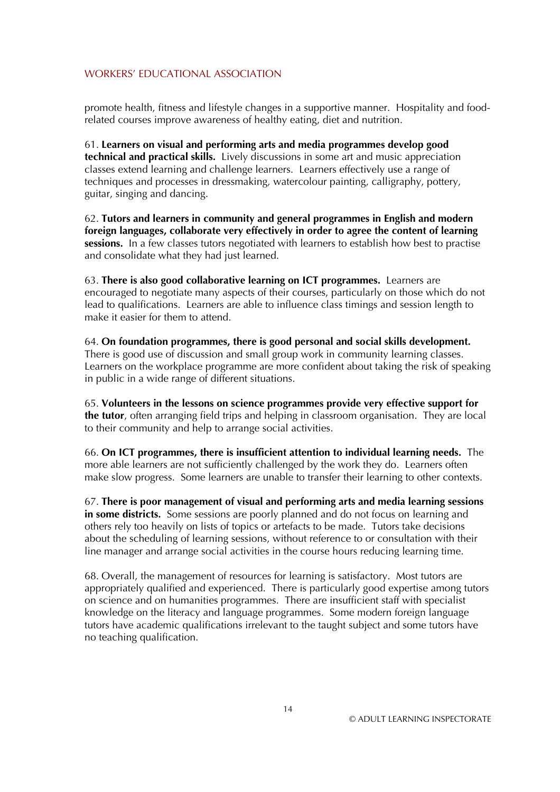promote health, fitness and lifestyle changes in a supportive manner. Hospitality and foodrelated courses improve awareness of healthy eating, diet and nutrition.

61. **Learners on visual and performing arts and media programmes develop good technical and practical skills.** Lively discussions in some art and music appreciation classes extend learning and challenge learners. Learners effectively use a range of techniques and processes in dressmaking, watercolour painting, calligraphy, pottery, guitar, singing and dancing.

62. **Tutors and learners in community and general programmes in English and modern foreign languages, collaborate very effectively in order to agree the content of learning sessions.** In a few classes tutors negotiated with learners to establish how best to practise and consolidate what they had just learned.

63. **There is also good collaborative learning on ICT programmes.** Learners are encouraged to negotiate many aspects of their courses, particularly on those which do not lead to qualifications. Learners are able to influence class timings and session length to make it easier for them to attend.

64. **On foundation programmes, there is good personal and social skills development.** There is good use of discussion and small group work in community learning classes. Learners on the workplace programme are more confident about taking the risk of speaking in public in a wide range of different situations.

65. **Volunteers in the lessons on science programmes provide very effective support for the tutor**, often arranging field trips and helping in classroom organisation. They are local to their community and help to arrange social activities.

66. **On ICT programmes, there is insufficient attention to individual learning needs.** The more able learners are not sufficiently challenged by the work they do. Learners often make slow progress. Some learners are unable to transfer their learning to other contexts.

67. **There is poor management of visual and performing arts and media learning sessions in some districts.** Some sessions are poorly planned and do not focus on learning and others rely too heavily on lists of topics or artefacts to be made. Tutors take decisions about the scheduling of learning sessions, without reference to or consultation with their line manager and arrange social activities in the course hours reducing learning time.

68. Overall, the management of resources for learning is satisfactory. Most tutors are appropriately qualified and experienced. There is particularly good expertise among tutors on science and on humanities programmes. There are insufficient staff with specialist knowledge on the literacy and language programmes. Some modern foreign language tutors have academic qualifications irrelevant to the taught subject and some tutors have no teaching qualification.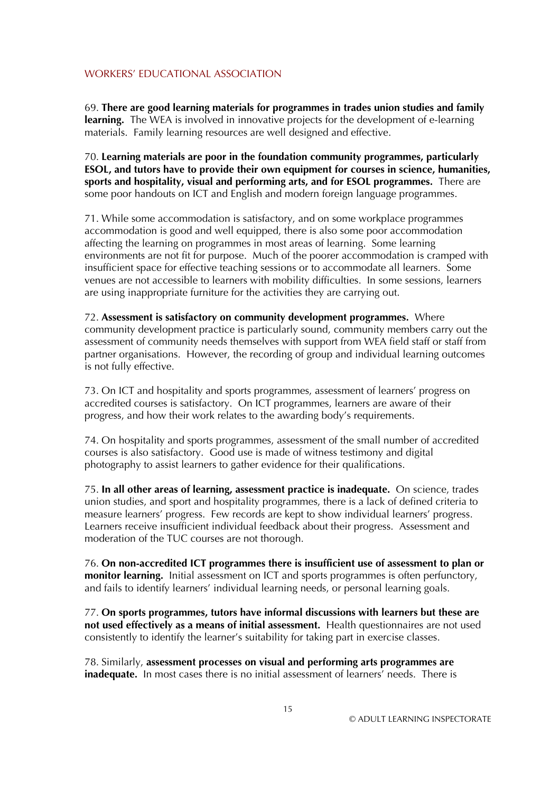69. **There are good learning materials for programmes in trades union studies and family learning.** The WEA is involved in innovative projects for the development of e-learning materials. Family learning resources are well designed and effective.

70. **Learning materials are poor in the foundation community programmes, particularly ESOL, and tutors have to provide their own equipment for courses in science, humanities, sports and hospitality, visual and performing arts, and for ESOL programmes.** There are some poor handouts on ICT and English and modern foreign language programmes.

71. While some accommodation is satisfactory, and on some workplace programmes accommodation is good and well equipped, there is also some poor accommodation affecting the learning on programmes in most areas of learning. Some learning environments are not fit for purpose. Much of the poorer accommodation is cramped with insufficient space for effective teaching sessions or to accommodate all learners. Some venues are not accessible to learners with mobility difficulties. In some sessions, learners are using inappropriate furniture for the activities they are carrying out.

72. **Assessment is satisfactory on community development programmes.** Where community development practice is particularly sound, community members carry out the assessment of community needs themselves with support from WEA field staff or staff from partner organisations. However, the recording of group and individual learning outcomes is not fully effective.

73. On ICT and hospitality and sports programmes, assessment of learners' progress on accredited courses is satisfactory. On ICT programmes, learners are aware of their progress, and how their work relates to the awarding body's requirements.

74. On hospitality and sports programmes, assessment of the small number of accredited courses is also satisfactory. Good use is made of witness testimony and digital photography to assist learners to gather evidence for their qualifications.

75. **In all other areas of learning, assessment practice is inadequate.** On science, trades union studies, and sport and hospitality programmes, there is a lack of defined criteria to measure learners' progress. Few records are kept to show individual learners' progress. Learners receive insufficient individual feedback about their progress. Assessment and moderation of the TUC courses are not thorough.

76. **On non-accredited ICT programmes there is insufficient use of assessment to plan or monitor learning.** Initial assessment on ICT and sports programmes is often perfunctory, and fails to identify learners' individual learning needs, or personal learning goals.

77. **On sports programmes, tutors have informal discussions with learners but these are not used effectively as a means of initial assessment.** Health questionnaires are not used consistently to identify the learner's suitability for taking part in exercise classes.

78. Similarly, **assessment processes on visual and performing arts programmes are inadequate.** In most cases there is no initial assessment of learners' needs. There is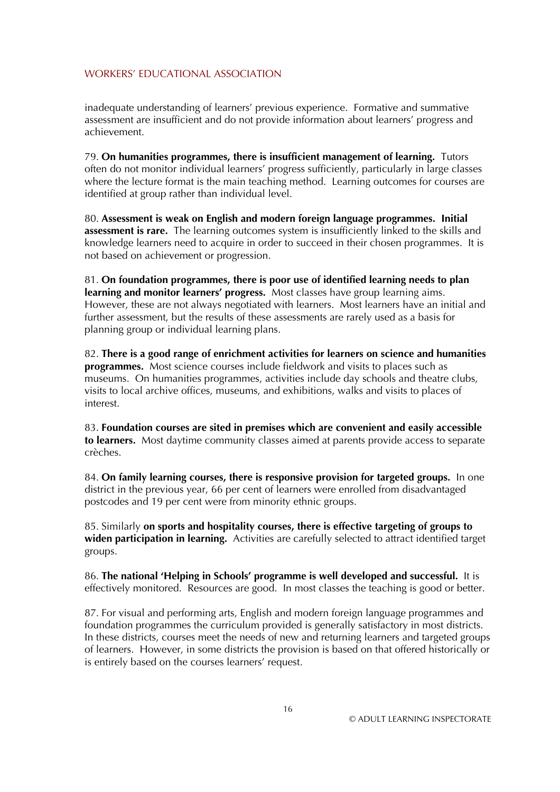inadequate understanding of learners' previous experience. Formative and summative assessment are insufficient and do not provide information about learners' progress and achievement.

79. **On humanities programmes, there is insufficient management of learning.** Tutors often do not monitor individual learners' progress sufficiently, particularly in large classes where the lecture format is the main teaching method. Learning outcomes for courses are identified at group rather than individual level.

80. **Assessment is weak on English and modern foreign language programmes. Initial assessment is rare.** The learning outcomes system is insufficiently linked to the skills and knowledge learners need to acquire in order to succeed in their chosen programmes. It is not based on achievement or progression.

81. **On foundation programmes, there is poor use of identified learning needs to plan learning and monitor learners' progress.** Most classes have group learning aims. However, these are not always negotiated with learners. Most learners have an initial and further assessment, but the results of these assessments are rarely used as a basis for planning group or individual learning plans.

82. **There is a good range of enrichment activities for learners on science and humanities programmes.** Most science courses include fieldwork and visits to places such as museums. On humanities programmes, activities include day schools and theatre clubs, visits to local archive offices, museums, and exhibitions, walks and visits to places of interest.

83. **Foundation courses are sited in premises which are convenient and easily accessible to learners.** Most daytime community classes aimed at parents provide access to separate crèches.

84. **On family learning courses, there is responsive provision for targeted groups.** In one district in the previous year, 66 per cent of learners were enrolled from disadvantaged postcodes and 19 per cent were from minority ethnic groups.

85. Similarly **on sports and hospitality courses, there is effective targeting of groups to widen participation in learning.** Activities are carefully selected to attract identified target groups.

86. **The national 'Helping in Schools' programme is well developed and successful.** It is effectively monitored. Resources are good. In most classes the teaching is good or better.

87. For visual and performing arts, English and modern foreign language programmes and foundation programmes the curriculum provided is generally satisfactory in most districts. In these districts, courses meet the needs of new and returning learners and targeted groups of learners. However, in some districts the provision is based on that offered historically or is entirely based on the courses learners' request.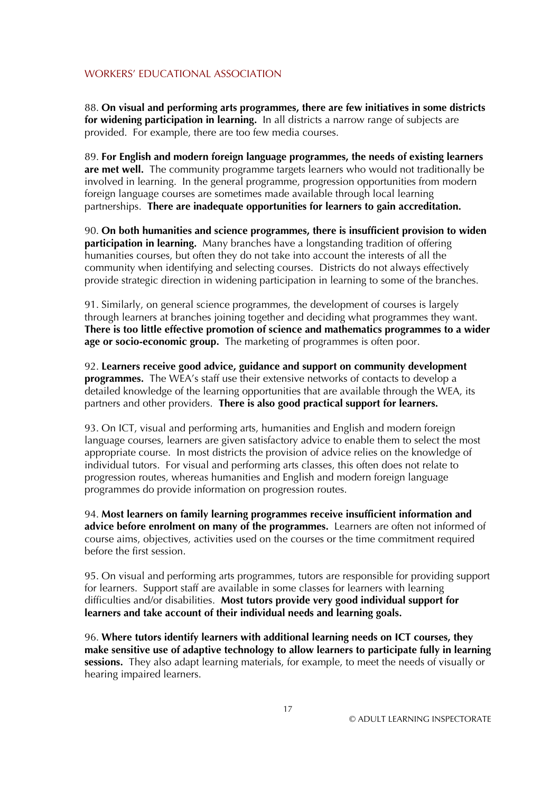88. **On visual and performing arts programmes, there are few initiatives in some districts for widening participation in learning.** In all districts a narrow range of subjects are provided. For example, there are too few media courses.

89. **For English and modern foreign language programmes, the needs of existing learners are met well.** The community programme targets learners who would not traditionally be involved in learning. In the general programme, progression opportunities from modern foreign language courses are sometimes made available through local learning partnerships. **There are inadequate opportunities for learners to gain accreditation.**

90. **On both humanities and science programmes, there is insufficient provision to widen participation in learning.** Many branches have a longstanding tradition of offering humanities courses, but often they do not take into account the interests of all the community when identifying and selecting courses. Districts do not always effectively provide strategic direction in widening participation in learning to some of the branches.

91. Similarly, on general science programmes, the development of courses is largely through learners at branches joining together and deciding what programmes they want. **There is too little effective promotion of science and mathematics programmes to a wider age or socio-economic group.** The marketing of programmes is often poor.

92. **Learners receive good advice, guidance and support on community development programmes.** The WEA's staff use their extensive networks of contacts to develop a detailed knowledge of the learning opportunities that are available through the WEA, its partners and other providers. **There is also good practical support for learners.**

93. On ICT, visual and performing arts, humanities and English and modern foreign language courses, learners are given satisfactory advice to enable them to select the most appropriate course. In most districts the provision of advice relies on the knowledge of individual tutors. For visual and performing arts classes, this often does not relate to progression routes, whereas humanities and English and modern foreign language programmes do provide information on progression routes.

94. **Most learners on family learning programmes receive insufficient information and advice before enrolment on many of the programmes.** Learners are often not informed of course aims, objectives, activities used on the courses or the time commitment required before the first session.

95. On visual and performing arts programmes, tutors are responsible for providing support for learners. Support staff are available in some classes for learners with learning difficulties and/or disabilities. **Most tutors provide very good individual support for learners and take account of their individual needs and learning goals.**

96. **Where tutors identify learners with additional learning needs on ICT courses, they make sensitive use of adaptive technology to allow learners to participate fully in learning**  sessions. They also adapt learning materials, for example, to meet the needs of visually or hearing impaired learners.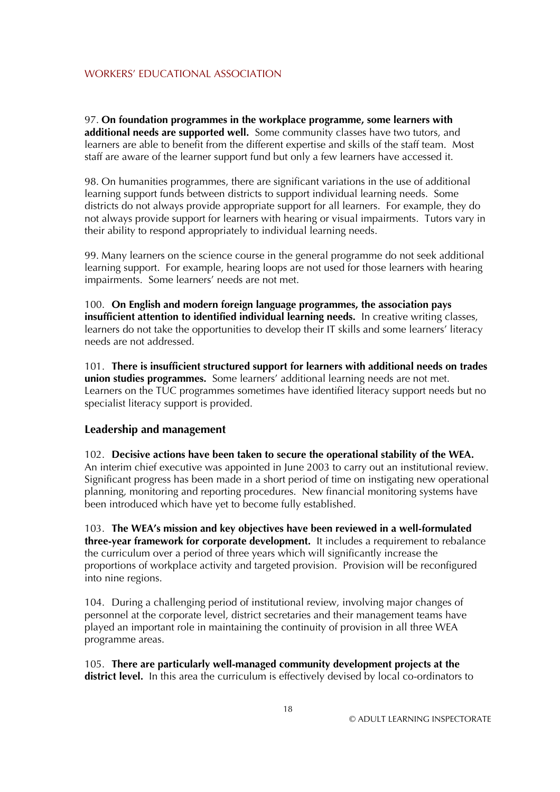97. **On foundation programmes in the workplace programme, some learners with additional needs are supported well.** Some community classes have two tutors, and learners are able to benefit from the different expertise and skills of the staff team. Most staff are aware of the learner support fund but only a few learners have accessed it.

98. On humanities programmes, there are significant variations in the use of additional learning support funds between districts to support individual learning needs. Some districts do not always provide appropriate support for all learners. For example, they do not always provide support for learners with hearing or visual impairments. Tutors vary in their ability to respond appropriately to individual learning needs.

99. Many learners on the science course in the general programme do not seek additional learning support. For example, hearing loops are not used for those learners with hearing impairments. Some learners' needs are not met.

100. **On English and modern foreign language programmes, the association pays insufficient attention to identified individual learning needs.** In creative writing classes, learners do not take the opportunities to develop their IT skills and some learners' literacy needs are not addressed.

101. **There is insufficient structured support for learners with additional needs on trades union studies programmes.** Some learners' additional learning needs are not met. Learners on the TUC programmes sometimes have identified literacy support needs but no specialist literacy support is provided.

#### **Leadership and management**

102. **Decisive actions have been taken to secure the operational stability of the WEA.** An interim chief executive was appointed in June 2003 to carry out an institutional review. Significant progress has been made in a short period of time on instigating new operational planning, monitoring and reporting procedures. New financial monitoring systems have been introduced which have yet to become fully established.

103. **The WEA's mission and key objectives have been reviewed in a well-formulated three-year framework for corporate development.** It includes a requirement to rebalance the curriculum over a period of three years which will significantly increase the proportions of workplace activity and targeted provision. Provision will be reconfigured into nine regions.

104. During a challenging period of institutional review, involving major changes of personnel at the corporate level, district secretaries and their management teams have played an important role in maintaining the continuity of provision in all three WEA programme areas.

105. **There are particularly well-managed community development projects at the**  district level. In this area the curriculum is effectively devised by local co-ordinators to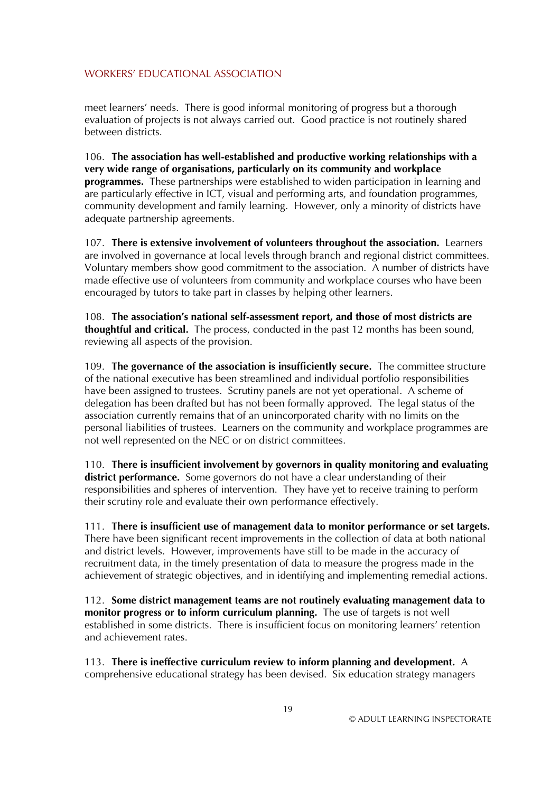meet learners' needs. There is good informal monitoring of progress but a thorough evaluation of projects is not always carried out. Good practice is not routinely shared between districts.

106. **The association has well-established and productive working relationships with a very wide range of organisations, particularly on its community and workplace programmes.** These partnerships were established to widen participation in learning and are particularly effective in ICT, visual and performing arts, and foundation programmes, community development and family learning. However, only a minority of districts have adequate partnership agreements.

107. **There is extensive involvement of volunteers throughout the association.** Learners are involved in governance at local levels through branch and regional district committees. Voluntary members show good commitment to the association. A number of districts have made effective use of volunteers from community and workplace courses who have been encouraged by tutors to take part in classes by helping other learners.

108. **The association's national self-assessment report, and those of most districts are thoughtful and critical.** The process, conducted in the past 12 months has been sound, reviewing all aspects of the provision.

109. **The governance of the association is insufficiently secure.** The committee structure of the national executive has been streamlined and individual portfolio responsibilities have been assigned to trustees. Scrutiny panels are not yet operational. A scheme of delegation has been drafted but has not been formally approved. The legal status of the association currently remains that of an unincorporated charity with no limits on the personal liabilities of trustees. Learners on the community and workplace programmes are not well represented on the NEC or on district committees.

110. **There is insufficient involvement by governors in quality monitoring and evaluating district performance.** Some governors do not have a clear understanding of their responsibilities and spheres of intervention. They have yet to receive training to perform their scrutiny role and evaluate their own performance effectively.

111. **There is insufficient use of management data to monitor performance or set targets.** There have been significant recent improvements in the collection of data at both national and district levels. However, improvements have still to be made in the accuracy of recruitment data, in the timely presentation of data to measure the progress made in the achievement of strategic objectives, and in identifying and implementing remedial actions.

112. **Some district management teams are not routinely evaluating management data to monitor progress or to inform curriculum planning.** The use of targets is not well established in some districts. There is insufficient focus on monitoring learners' retention and achievement rates.

113. **There is ineffective curriculum review to inform planning and development.** A comprehensive educational strategy has been devised. Six education strategy managers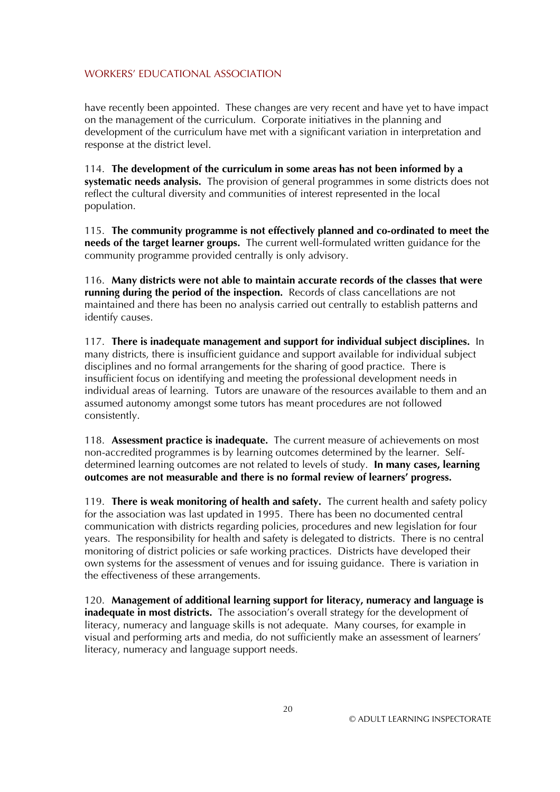have recently been appointed. These changes are very recent and have yet to have impact on the management of the curriculum. Corporate initiatives in the planning and development of the curriculum have met with a significant variation in interpretation and response at the district level.

114. **The development of the curriculum in some areas has not been informed by a systematic needs analysis.** The provision of general programmes in some districts does not reflect the cultural diversity and communities of interest represented in the local population.

115. **The community programme is not effectively planned and co-ordinated to meet the needs of the target learner groups.** The current well-formulated written guidance for the community programme provided centrally is only advisory.

116. **Many districts were not able to maintain accurate records of the classes that were running during the period of the inspection.** Records of class cancellations are not maintained and there has been no analysis carried out centrally to establish patterns and identify causes.

117. **There is inadequate management and support for individual subject disciplines.** In many districts, there is insufficient guidance and support available for individual subject disciplines and no formal arrangements for the sharing of good practice. There is insufficient focus on identifying and meeting the professional development needs in individual areas of learning. Tutors are unaware of the resources available to them and an assumed autonomy amongst some tutors has meant procedures are not followed consistently.

118. **Assessment practice is inadequate.** The current measure of achievements on most non-accredited programmes is by learning outcomes determined by the learner. Selfdetermined learning outcomes are not related to levels of study. **In many cases, learning outcomes are not measurable and there is no formal review of learners' progress.**

119. **There is weak monitoring of health and safety.** The current health and safety policy for the association was last updated in 1995. There has been no documented central communication with districts regarding policies, procedures and new legislation for four years. The responsibility for health and safety is delegated to districts. There is no central monitoring of district policies or safe working practices. Districts have developed their own systems for the assessment of venues and for issuing guidance. There is variation in the effectiveness of these arrangements.

120. **Management of additional learning support for literacy, numeracy and language is inadequate in most districts.** The association's overall strategy for the development of literacy, numeracy and language skills is not adequate. Many courses, for example in visual and performing arts and media, do not sufficiently make an assessment of learners' literacy, numeracy and language support needs.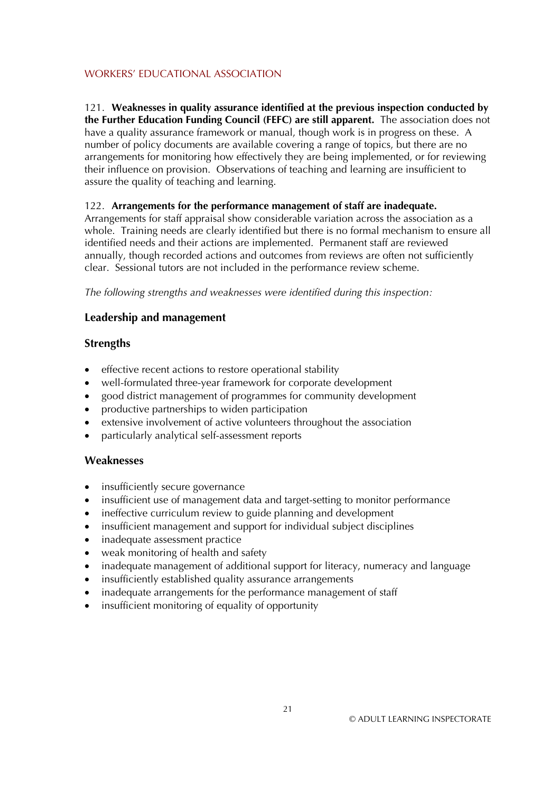#### 121. **Weaknesses in quality assurance identified at the previous inspection conducted by the Further Education Funding Council (FEFC) are still apparent.** The association does not have a quality assurance framework or manual, though work is in progress on these. A number of policy documents are available covering a range of topics, but there are no arrangements for monitoring how effectively they are being implemented, or for reviewing their influence on provision. Observations of teaching and learning are insufficient to assure the quality of teaching and learning.

## 122. **Arrangements for the performance management of staff are inadequate.**

Arrangements for staff appraisal show considerable variation across the association as a whole. Training needs are clearly identified but there is no formal mechanism to ensure all identified needs and their actions are implemented. Permanent staff are reviewed annually, though recorded actions and outcomes from reviews are often not sufficiently clear. Sessional tutors are not included in the performance review scheme.

*The following strengths and weaknesses were identified during this inspection:* 

# **Leadership and management**

# **Strengths**

- effective recent actions to restore operational stability
- well-formulated three-year framework for corporate development
- good district management of programmes for community development
- productive partnerships to widen participation
- extensive involvement of active volunteers throughout the association
- particularly analytical self-assessment reports

# **Weaknesses**

- insufficiently secure governance
- insufficient use of management data and target-setting to monitor performance
- ineffective curriculum review to guide planning and development
- insufficient management and support for individual subject disciplines
- inadequate assessment practice
- weak monitoring of health and safety
- inadequate management of additional support for literacy, numeracy and language
- insufficiently established quality assurance arrangements
- inadequate arrangements for the performance management of staff
- insufficient monitoring of equality of opportunity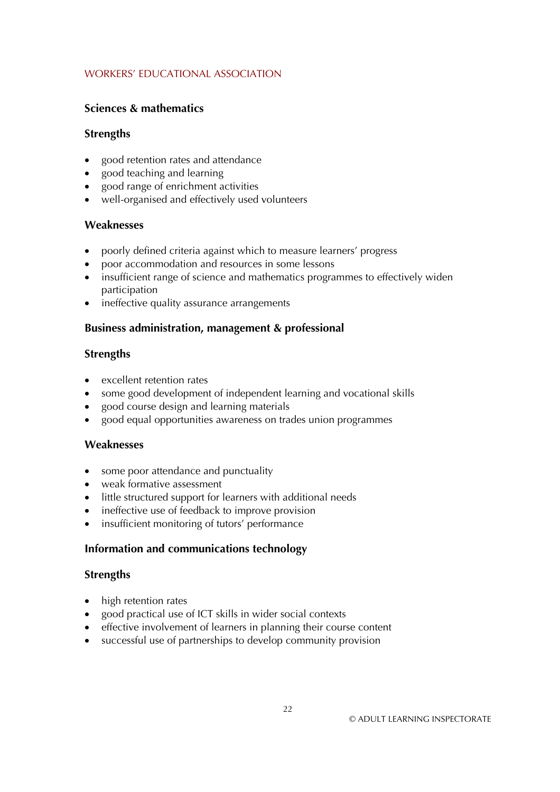# **Sciences & mathematics**

## **Strengths**

- good retention rates and attendance
- good teaching and learning
- good range of enrichment activities
- well-organised and effectively used volunteers

# **Weaknesses**

- poorly defined criteria against which to measure learners' progress
- poor accommodation and resources in some lessons
- insufficient range of science and mathematics programmes to effectively widen participation
- ineffective quality assurance arrangements

## **Business administration, management & professional**

## **Strengths**

- excellent retention rates
- some good development of independent learning and vocational skills
- good course design and learning materials
- good equal opportunities awareness on trades union programmes

# **Weaknesses**

- some poor attendance and punctuality
- weak formative assessment
- little structured support for learners with additional needs
- ineffective use of feedback to improve provision
- insufficient monitoring of tutors' performance

# **Information and communications technology**

#### **Strengths**

- high retention rates
- good practical use of ICT skills in wider social contexts
- effective involvement of learners in planning their course content
- successful use of partnerships to develop community provision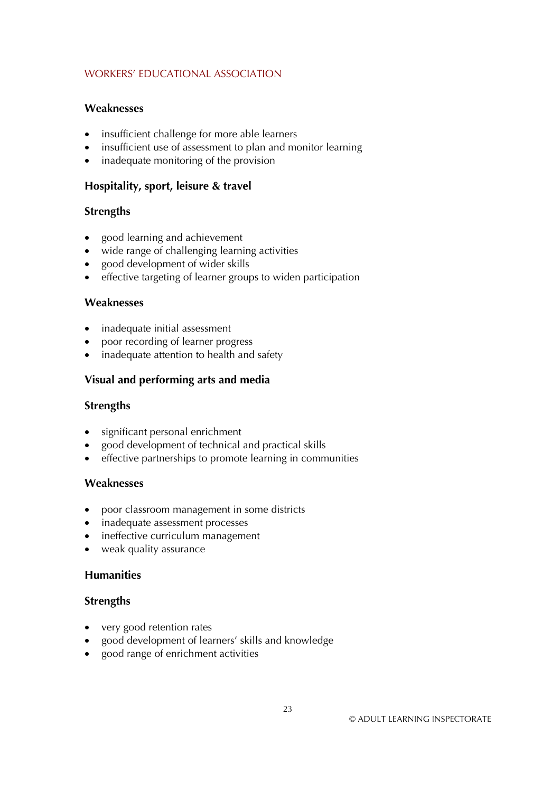#### **Weaknesses**

- insufficient challenge for more able learners
- insufficient use of assessment to plan and monitor learning
- inadequate monitoring of the provision

#### **Hospitality, sport, leisure & travel**

#### **Strengths**

- good learning and achievement
- wide range of challenging learning activities
- good development of wider skills
- effective targeting of learner groups to widen participation

#### **Weaknesses**

- inadequate initial assessment
- poor recording of learner progress
- inadequate attention to health and safety

#### **Visual and performing arts and media**

#### **Strengths**

- significant personal enrichment
- good development of technical and practical skills
- effective partnerships to promote learning in communities

#### **Weaknesses**

- poor classroom management in some districts
- inadequate assessment processes
- ineffective curriculum management
- weak quality assurance

#### **Humanities**

#### **Strengths**

- very good retention rates
- good development of learners' skills and knowledge
- good range of enrichment activities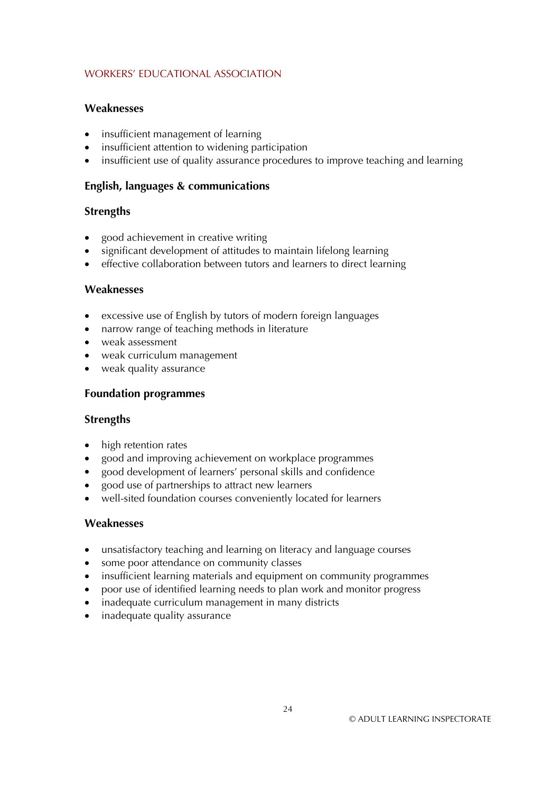## **Weaknesses**

- insufficient management of learning
- insufficient attention to widening participation
- insufficient use of quality assurance procedures to improve teaching and learning

# **English, languages & communications**

## **Strengths**

- good achievement in creative writing
- significant development of attitudes to maintain lifelong learning
- effective collaboration between tutors and learners to direct learning

## **Weaknesses**

- excessive use of English by tutors of modern foreign languages
- narrow range of teaching methods in literature
- weak assessment
- weak curriculum management
- weak quality assurance

## **Foundation programmes**

#### **Strengths**

- high retention rates
- good and improving achievement on workplace programmes
- good development of learners' personal skills and confidence
- good use of partnerships to attract new learners
- well-sited foundation courses conveniently located for learners

#### **Weaknesses**

- unsatisfactory teaching and learning on literacy and language courses
- some poor attendance on community classes
- insufficient learning materials and equipment on community programmes
- poor use of identified learning needs to plan work and monitor progress
- inadequate curriculum management in many districts
- inadequate quality assurance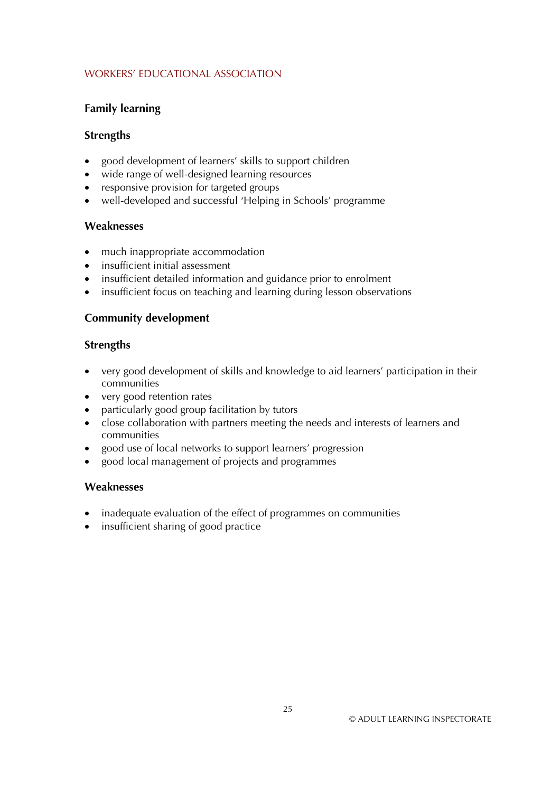# **Family learning**

# **Strengths**

- good development of learners' skills to support children
- wide range of well-designed learning resources
- responsive provision for targeted groups
- well-developed and successful 'Helping in Schools' programme

## **Weaknesses**

- much inappropriate accommodation
- insufficient initial assessment
- insufficient detailed information and guidance prior to enrolment
- insufficient focus on teaching and learning during lesson observations

# **Community development**

## **Strengths**

- very good development of skills and knowledge to aid learners' participation in their communities
- very good retention rates
- particularly good group facilitation by tutors
- close collaboration with partners meeting the needs and interests of learners and communities
- good use of local networks to support learners' progression
- good local management of projects and programmes

# **Weaknesses**

- inadequate evaluation of the effect of programmes on communities
- insufficient sharing of good practice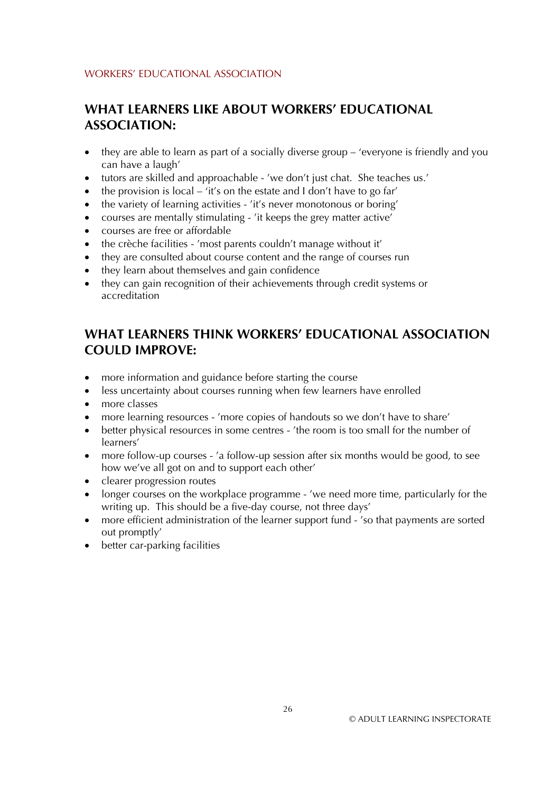# **WHAT LEARNERS LIKE ABOUT WORKERS' EDUCATIONAL ASSOCIATION:**

- they are able to learn as part of a socially diverse group – 'everyone is friendly and you can have a laugh'
- tutors are skilled and approachable - 'we don't just chat. She teaches us.'
- the provision is local – 'it's on the estate and I don't have to go far'
- the variety of learning activities - 'it's never monotonous or boring'
- courses are mentally stimulating - 'it keeps the grey matter active'
- courses are free or affordable
- the crèche facilities - 'most parents couldn't manage without it'
- they are consulted about course content and the range of courses run
- they learn about themselves and gain confidence
- they can gain recognition of their achievements through credit systems or accreditation

# **WHAT LEARNERS THINK WORKERS' EDUCATIONAL ASSOCIATION COULD IMPROVE:**

- more information and guidance before starting the course
- less uncertainty about courses running when few learners have enrolled
- more classes
- more learning resources 'more copies of handouts so we don't have to share'
- better physical resources in some centres 'the room is too small for the number of learners'
- more follow-up courses 'a follow-up session after six months would be good, to see how we've all got on and to support each other'
- clearer progression routes
- longer courses on the workplace programme - 'we need more time, particularly for the writing up. This should be a five-day course, not three days'
- more efficient administration of the learner support fund - 'so that payments are sorted out promptly'
- better car-parking facilities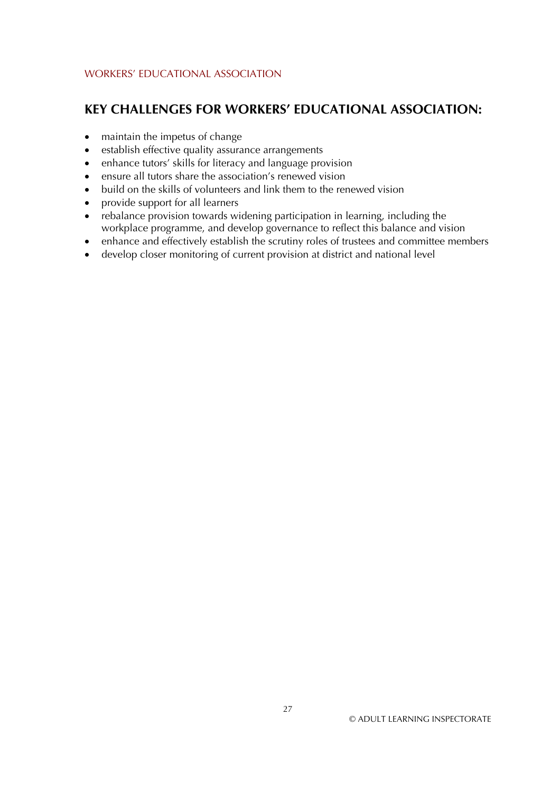# **KEY CHALLENGES FOR WORKERS' EDUCATIONAL ASSOCIATION:**

- maintain the impetus of change
- establish effective quality assurance arrangements
- enhance tutors' skills for literacy and language provision
- $\bullet$ ensure all tutors share the association's renewed vision
- build on the skills of volunteers and link them to the renewed vision
- provide support for all learners
- rebalance provision towards widening participation in learning, including the workplace programme, and develop governance to reflect this balance and vision
- enhance and effectively establish the scrutiny roles of trustees and committee members
- develop closer monitoring of current provision at district and national level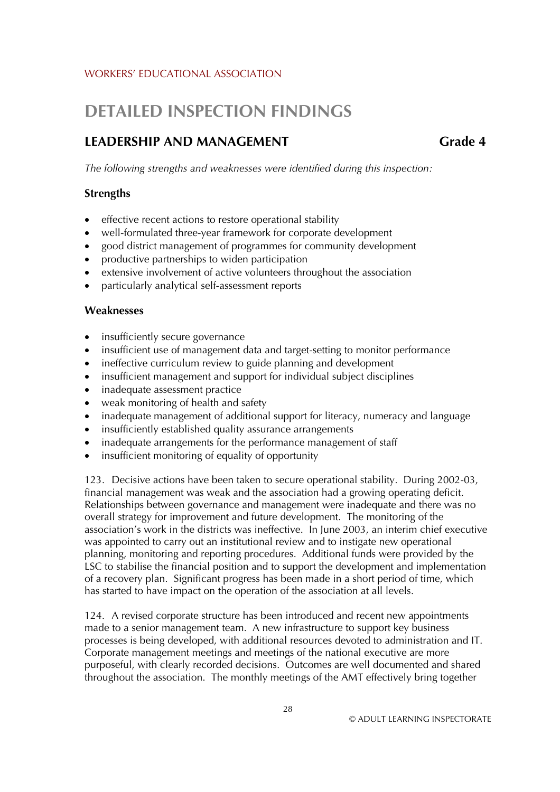# **DETAILED INSPECTION FINDINGS**

# **LEADERSHIP AND MANAGEMENT Grade 4**

*The following strengths and weaknesses were identified during this inspection:* 

## **Strengths**

- effective recent actions to restore operational stability
- well-formulated three-year framework for corporate development
- good district management of programmes for community development
- productive partnerships to widen participation
- extensive involvement of active volunteers throughout the association
- particularly analytical self-assessment reports

#### **Weaknesses**

- insufficiently secure governance
- insufficient use of management data and target-setting to monitor performance
- ineffective curriculum review to guide planning and development
- insufficient management and support for individual subject disciplines
- inadequate assessment practice
- weak monitoring of health and safety
- inadequate management of additional support for literacy, numeracy and language
- insufficiently established quality assurance arrangements
- inadequate arrangements for the performance management of staff
- insufficient monitoring of equality of opportunity

123. Decisive actions have been taken to secure operational stability. During 2002-03, financial management was weak and the association had a growing operating deficit. Relationships between governance and management were inadequate and there was no overall strategy for improvement and future development. The monitoring of the association's work in the districts was ineffective. In June 2003, an interim chief executive was appointed to carry out an institutional review and to instigate new operational planning, monitoring and reporting procedures. Additional funds were provided by the LSC to stabilise the financial position and to support the development and implementation of a recovery plan. Significant progress has been made in a short period of time, which has started to have impact on the operation of the association at all levels.

124. A revised corporate structure has been introduced and recent new appointments made to a senior management team. A new infrastructure to support key business processes is being developed, with additional resources devoted to administration and IT. Corporate management meetings and meetings of the national executive are more purposeful, with clearly recorded decisions. Outcomes are well documented and shared throughout the association. The monthly meetings of the AMT effectively bring together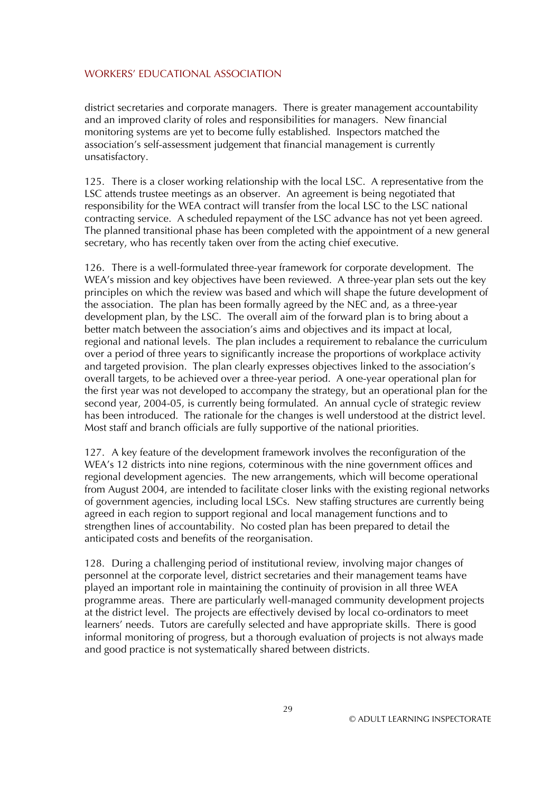district secretaries and corporate managers. There is greater management accountability and an improved clarity of roles and responsibilities for managers. New financial monitoring systems are yet to become fully established. Inspectors matched the association's self-assessment judgement that financial management is currently unsatisfactory.

125. There is a closer working relationship with the local LSC. A representative from the LSC attends trustee meetings as an observer. An agreement is being negotiated that responsibility for the WEA contract will transfer from the local LSC to the LSC national contracting service. A scheduled repayment of the LSC advance has not yet been agreed. The planned transitional phase has been completed with the appointment of a new general secretary, who has recently taken over from the acting chief executive.

126. There is a well-formulated three-year framework for corporate development. The WEA's mission and key objectives have been reviewed. A three-year plan sets out the key principles on which the review was based and which will shape the future development of the association. The plan has been formally agreed by the NEC and, as a three-year development plan, by the LSC. The overall aim of the forward plan is to bring about a better match between the association's aims and objectives and its impact at local, regional and national levels. The plan includes a requirement to rebalance the curriculum over a period of three years to significantly increase the proportions of workplace activity and targeted provision. The plan clearly expresses objectives linked to the association's overall targets, to be achieved over a three-year period. A one-year operational plan for the first year was not developed to accompany the strategy, but an operational plan for the second year, 2004-05, is currently being formulated. An annual cycle of strategic review has been introduced. The rationale for the changes is well understood at the district level. Most staff and branch officials are fully supportive of the national priorities.

127. A key feature of the development framework involves the reconfiguration of the WEA's 12 districts into nine regions, coterminous with the nine government offices and regional development agencies. The new arrangements, which will become operational from August 2004, are intended to facilitate closer links with the existing regional networks of government agencies, including local LSCs. New staffing structures are currently being agreed in each region to support regional and local management functions and to strengthen lines of accountability. No costed plan has been prepared to detail the anticipated costs and benefits of the reorganisation.

128. During a challenging period of institutional review, involving major changes of personnel at the corporate level, district secretaries and their management teams have played an important role in maintaining the continuity of provision in all three WEA programme areas. There are particularly well-managed community development projects at the district level. The projects are effectively devised by local co-ordinators to meet learners' needs. Tutors are carefully selected and have appropriate skills. There is good informal monitoring of progress, but a thorough evaluation of projects is not always made and good practice is not systematically shared between districts.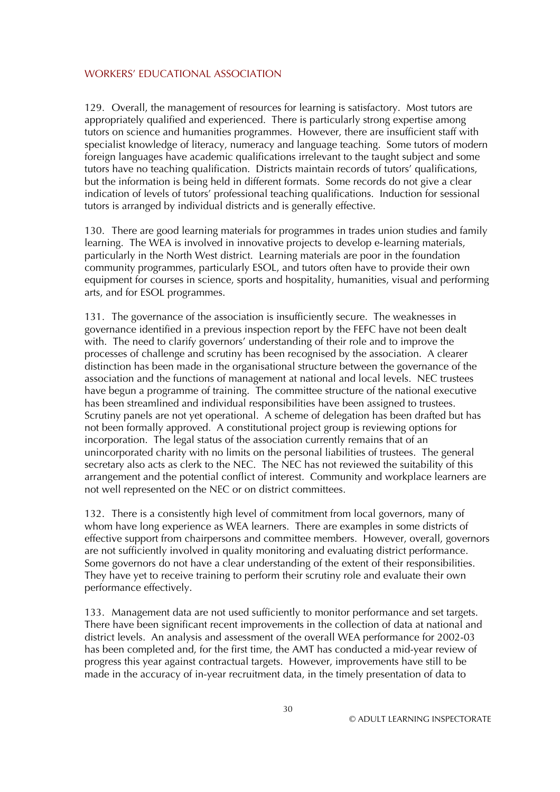129. Overall, the management of resources for learning is satisfactory. Most tutors are appropriately qualified and experienced. There is particularly strong expertise among tutors on science and humanities programmes. However, there are insufficient staff with specialist knowledge of literacy, numeracy and language teaching. Some tutors of modern foreign languages have academic qualifications irrelevant to the taught subject and some tutors have no teaching qualification. Districts maintain records of tutors' qualifications, but the information is being held in different formats. Some records do not give a clear indication of levels of tutors' professional teaching qualifications. Induction for sessional tutors is arranged by individual districts and is generally effective.

130. There are good learning materials for programmes in trades union studies and family learning. The WEA is involved in innovative projects to develop e-learning materials, particularly in the North West district. Learning materials are poor in the foundation community programmes, particularly ESOL, and tutors often have to provide their own equipment for courses in science, sports and hospitality, humanities, visual and performing arts, and for ESOL programmes.

131. The governance of the association is insufficiently secure. The weaknesses in governance identified in a previous inspection report by the FEFC have not been dealt with. The need to clarify governors' understanding of their role and to improve the processes of challenge and scrutiny has been recognised by the association. A clearer distinction has been made in the organisational structure between the governance of the association and the functions of management at national and local levels. NEC trustees have begun a programme of training. The committee structure of the national executive has been streamlined and individual responsibilities have been assigned to trustees. Scrutiny panels are not yet operational. A scheme of delegation has been drafted but has not been formally approved. A constitutional project group is reviewing options for incorporation. The legal status of the association currently remains that of an unincorporated charity with no limits on the personal liabilities of trustees. The general secretary also acts as clerk to the NEC. The NEC has not reviewed the suitability of this arrangement and the potential conflict of interest. Community and workplace learners are not well represented on the NEC or on district committees.

132. There is a consistently high level of commitment from local governors, many of whom have long experience as WEA learners. There are examples in some districts of effective support from chairpersons and committee members. However, overall, governors are not sufficiently involved in quality monitoring and evaluating district performance. Some governors do not have a clear understanding of the extent of their responsibilities. They have yet to receive training to perform their scrutiny role and evaluate their own performance effectively.

133. Management data are not used sufficiently to monitor performance and set targets. There have been significant recent improvements in the collection of data at national and district levels. An analysis and assessment of the overall WEA performance for 2002-03 has been completed and, for the first time, the AMT has conducted a mid-year review of progress this year against contractual targets. However, improvements have still to be made in the accuracy of in-year recruitment data, in the timely presentation of data to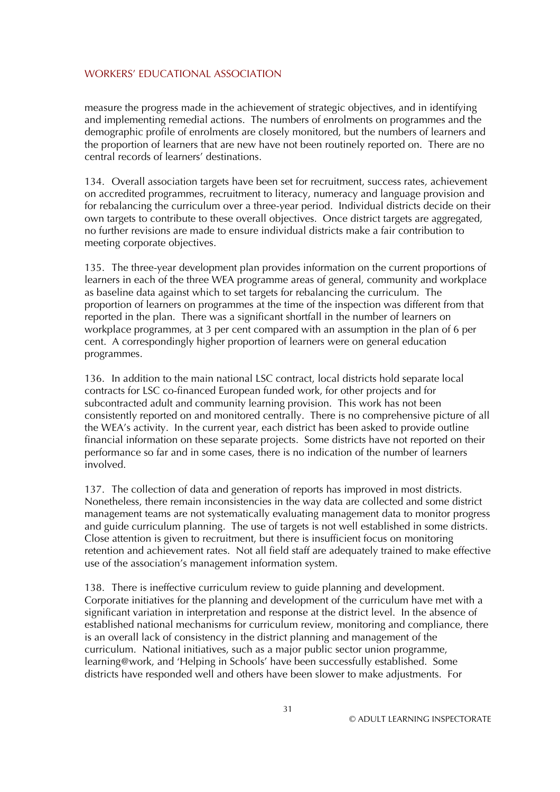measure the progress made in the achievement of strategic objectives, and in identifying and implementing remedial actions. The numbers of enrolments on programmes and the demographic profile of enrolments are closely monitored, but the numbers of learners and the proportion of learners that are new have not been routinely reported on. There are no central records of learners' destinations.

134. Overall association targets have been set for recruitment, success rates, achievement on accredited programmes, recruitment to literacy, numeracy and language provision and for rebalancing the curriculum over a three-year period. Individual districts decide on their own targets to contribute to these overall objectives. Once district targets are aggregated, no further revisions are made to ensure individual districts make a fair contribution to meeting corporate objectives.

135. The three-year development plan provides information on the current proportions of learners in each of the three WEA programme areas of general, community and workplace as baseline data against which to set targets for rebalancing the curriculum. The proportion of learners on programmes at the time of the inspection was different from that reported in the plan. There was a significant shortfall in the number of learners on workplace programmes, at 3 per cent compared with an assumption in the plan of 6 per cent. A correspondingly higher proportion of learners were on general education programmes.

136. In addition to the main national LSC contract, local districts hold separate local contracts for LSC co-financed European funded work, for other projects and for subcontracted adult and community learning provision. This work has not been consistently reported on and monitored centrally. There is no comprehensive picture of all the WEA's activity. In the current year, each district has been asked to provide outline financial information on these separate projects. Some districts have not reported on their performance so far and in some cases, there is no indication of the number of learners involved.

137. The collection of data and generation of reports has improved in most districts. Nonetheless, there remain inconsistencies in the way data are collected and some district management teams are not systematically evaluating management data to monitor progress and guide curriculum planning. The use of targets is not well established in some districts. Close attention is given to recruitment, but there is insufficient focus on monitoring retention and achievement rates. Not all field staff are adequately trained to make effective use of the association's management information system.

138. There is ineffective curriculum review to guide planning and development. Corporate initiatives for the planning and development of the curriculum have met with a significant variation in interpretation and response at the district level. In the absence of established national mechanisms for curriculum review, monitoring and compliance, there is an overall lack of consistency in the district planning and management of the curriculum. National initiatives, such as a major public sector union programme, learning@work, and 'Helping in Schools' have been successfully established. Some districts have responded well and others have been slower to make adjustments. For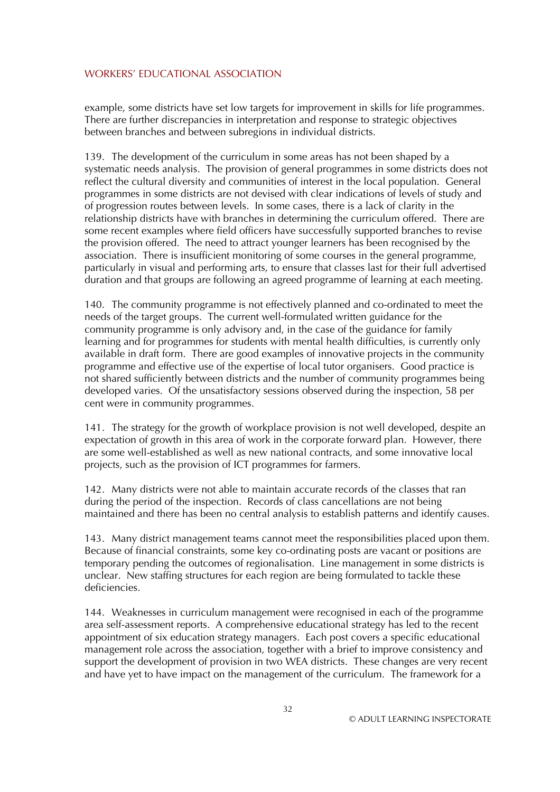example, some districts have set low targets for improvement in skills for life programmes. There are further discrepancies in interpretation and response to strategic objectives between branches and between subregions in individual districts.

139. The development of the curriculum in some areas has not been shaped by a systematic needs analysis. The provision of general programmes in some districts does not reflect the cultural diversity and communities of interest in the local population. General programmes in some districts are not devised with clear indications of levels of study and of progression routes between levels. In some cases, there is a lack of clarity in the relationship districts have with branches in determining the curriculum offered. There are some recent examples where field officers have successfully supported branches to revise the provision offered. The need to attract younger learners has been recognised by the association. There is insufficient monitoring of some courses in the general programme, particularly in visual and performing arts, to ensure that classes last for their full advertised duration and that groups are following an agreed programme of learning at each meeting.

140. The community programme is not effectively planned and co-ordinated to meet the needs of the target groups. The current well-formulated written guidance for the community programme is only advisory and, in the case of the guidance for family learning and for programmes for students with mental health difficulties, is currently only available in draft form. There are good examples of innovative projects in the community programme and effective use of the expertise of local tutor organisers. Good practice is not shared sufficiently between districts and the number of community programmes being developed varies. Of the unsatisfactory sessions observed during the inspection, 58 per cent were in community programmes.

141. The strategy for the growth of workplace provision is not well developed, despite an expectation of growth in this area of work in the corporate forward plan. However, there are some well-established as well as new national contracts, and some innovative local projects, such as the provision of ICT programmes for farmers.

142. Many districts were not able to maintain accurate records of the classes that ran during the period of the inspection. Records of class cancellations are not being maintained and there has been no central analysis to establish patterns and identify causes.

143. Many district management teams cannot meet the responsibilities placed upon them. Because of financial constraints, some key co-ordinating posts are vacant or positions are temporary pending the outcomes of regionalisation. Line management in some districts is unclear. New staffing structures for each region are being formulated to tackle these deficiencies.

144. Weaknesses in curriculum management were recognised in each of the programme area self-assessment reports. A comprehensive educational strategy has led to the recent appointment of six education strategy managers. Each post covers a specific educational management role across the association, together with a brief to improve consistency and support the development of provision in two WEA districts. These changes are very recent and have yet to have impact on the management of the curriculum. The framework for a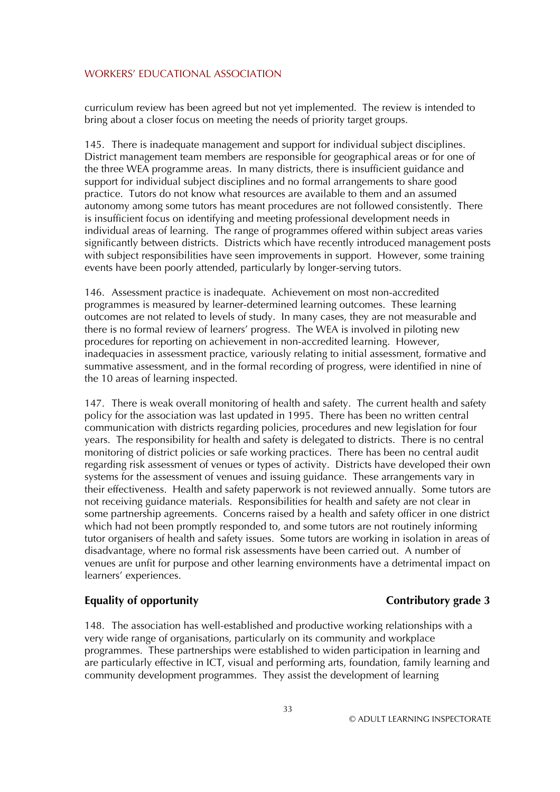curriculum review has been agreed but not yet implemented. The review is intended to bring about a closer focus on meeting the needs of priority target groups.

145. There is inadequate management and support for individual subject disciplines. District management team members are responsible for geographical areas or for one of the three WEA programme areas. In many districts, there is insufficient guidance and support for individual subject disciplines and no formal arrangements to share good practice. Tutors do not know what resources are available to them and an assumed autonomy among some tutors has meant procedures are not followed consistently. There is insufficient focus on identifying and meeting professional development needs in individual areas of learning. The range of programmes offered within subject areas varies significantly between districts. Districts which have recently introduced management posts with subject responsibilities have seen improvements in support. However, some training events have been poorly attended, particularly by longer-serving tutors.

146. Assessment practice is inadequate. Achievement on most non-accredited programmes is measured by learner-determined learning outcomes. These learning outcomes are not related to levels of study. In many cases, they are not measurable and there is no formal review of learners' progress. The WEA is involved in piloting new procedures for reporting on achievement in non-accredited learning. However, inadequacies in assessment practice, variously relating to initial assessment, formative and summative assessment, and in the formal recording of progress, were identified in nine of the 10 areas of learning inspected.

147. There is weak overall monitoring of health and safety. The current health and safety policy for the association was last updated in 1995. There has been no written central communication with districts regarding policies, procedures and new legislation for four years. The responsibility for health and safety is delegated to districts. There is no central monitoring of district policies or safe working practices. There has been no central audit regarding risk assessment of venues or types of activity. Districts have developed their own systems for the assessment of venues and issuing guidance. These arrangements vary in their effectiveness. Health and safety paperwork is not reviewed annually. Some tutors are not receiving guidance materials. Responsibilities for health and safety are not clear in some partnership agreements. Concerns raised by a health and safety officer in one district which had not been promptly responded to, and some tutors are not routinely informing tutor organisers of health and safety issues. Some tutors are working in isolation in areas of disadvantage, where no formal risk assessments have been carried out. A number of venues are unfit for purpose and other learning environments have a detrimental impact on learners' experiences.

## **Equality of opportunity Contributory grade 3**

148. The association has well-established and productive working relationships with a very wide range of organisations, particularly on its community and workplace programmes. These partnerships were established to widen participation in learning and are particularly effective in ICT, visual and performing arts, foundation, family learning and community development programmes. They assist the development of learning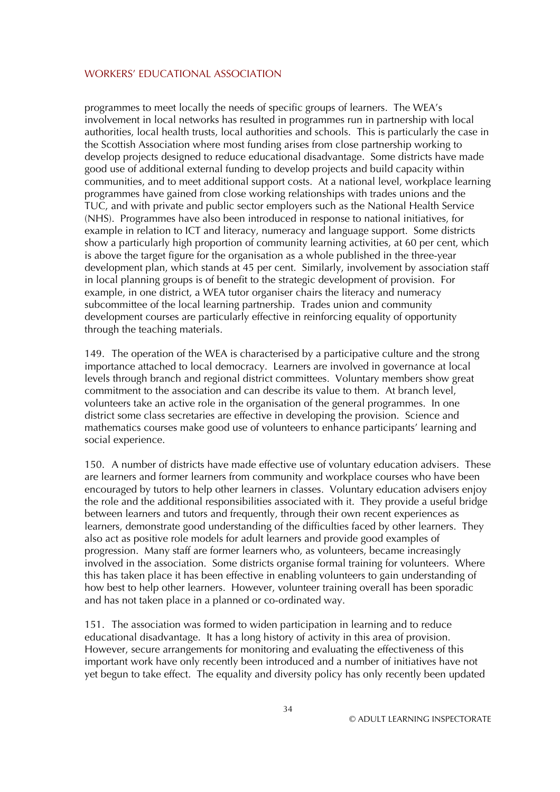programmes to meet locally the needs of specific groups of learners. The WEA's involvement in local networks has resulted in programmes run in partnership with local authorities, local health trusts, local authorities and schools. This is particularly the case in the Scottish Association where most funding arises from close partnership working to develop projects designed to reduce educational disadvantage. Some districts have made good use of additional external funding to develop projects and build capacity within communities, and to meet additional support costs. At a national level, workplace learning programmes have gained from close working relationships with trades unions and the TUC, and with private and public sector employers such as the National Health Service (NHS). Programmes have also been introduced in response to national initiatives, for example in relation to ICT and literacy, numeracy and language support. Some districts show a particularly high proportion of community learning activities, at 60 per cent, which is above the target figure for the organisation as a whole published in the three-year development plan, which stands at 45 per cent. Similarly, involvement by association staff in local planning groups is of benefit to the strategic development of provision. For example, in one district, a WEA tutor organiser chairs the literacy and numeracy subcommittee of the local learning partnership. Trades union and community development courses are particularly effective in reinforcing equality of opportunity through the teaching materials.

149. The operation of the WEA is characterised by a participative culture and the strong importance attached to local democracy. Learners are involved in governance at local levels through branch and regional district committees. Voluntary members show great commitment to the association and can describe its value to them. At branch level, volunteers take an active role in the organisation of the general programmes. In one district some class secretaries are effective in developing the provision. Science and mathematics courses make good use of volunteers to enhance participants' learning and social experience.

150. A number of districts have made effective use of voluntary education advisers. These are learners and former learners from community and workplace courses who have been encouraged by tutors to help other learners in classes. Voluntary education advisers enjoy the role and the additional responsibilities associated with it. They provide a useful bridge between learners and tutors and frequently, through their own recent experiences as learners, demonstrate good understanding of the difficulties faced by other learners. They also act as positive role models for adult learners and provide good examples of progression. Many staff are former learners who, as volunteers, became increasingly involved in the association. Some districts organise formal training for volunteers. Where this has taken place it has been effective in enabling volunteers to gain understanding of how best to help other learners. However, volunteer training overall has been sporadic and has not taken place in a planned or co-ordinated way.

151. The association was formed to widen participation in learning and to reduce educational disadvantage. It has a long history of activity in this area of provision. However, secure arrangements for monitoring and evaluating the effectiveness of this important work have only recently been introduced and a number of initiatives have not yet begun to take effect. The equality and diversity policy has only recently been updated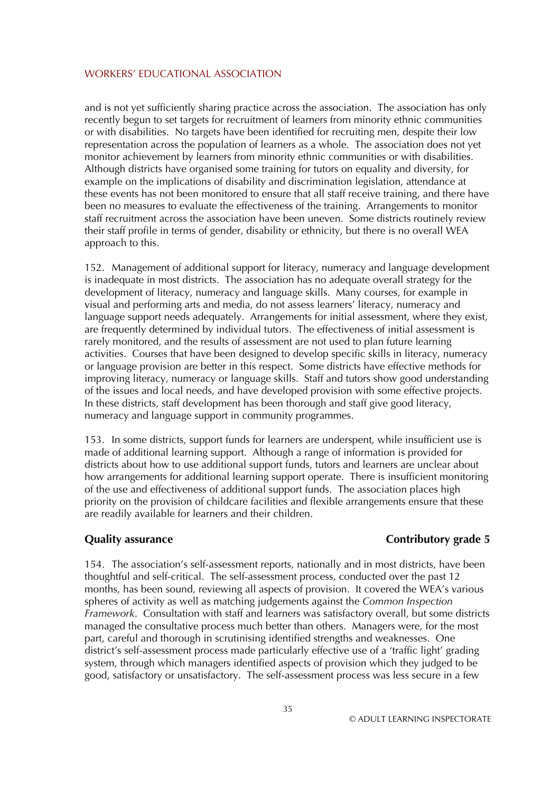and is not yet sufficiently sharing practice across the association. The association has only recently begun to set targets for recruitment of learners from minority ethnic communities or with disabilities. No targets have been identified for recruiting men, despite their low representation across the population of learners as a whole. The association does not yet monitor achievement by learners from minority ethnic communities or with disabilities. Although districts have organised some training for tutors on equality and diversity, for example on the implications of disability and discrimination legislation, attendance at these events has not been monitored to ensure that all staff receive training, and there have been no measures to evaluate the effectiveness of the training. Arrangements to monitor staff recruitment across the association have been uneven. Some districts routinely review their staff profile in terms of gender, disability or ethnicity, but there is no overall WEA approach to this.

152. Management of additional support for literacy, numeracy and language development is inadequate in most districts. The association has no adequate overall strategy for the development of literacy, numeracy and language skills. Many courses, for example in visual and performing arts and media, do not assess learners' literacy, numeracy and language support needs adequately. Arrangements for initial assessment, where they exist, are frequently determined by individual tutors. The effectiveness of initial assessment is rarely monitored, and the results of assessment are not used to plan future learning activities. Courses that have been designed to develop specific skills in literacy, numeracy or language provision are better in this respect. Some districts have effective methods for improving literacy, numeracy or language skills. Staff and tutors show good understanding of the issues and local needs, and have developed provision with some effective projects. In these districts, staff development has been thorough and staff give good literacy, numeracy and language support in community programmes.

153. In some districts, support funds for learners are underspent, while insufficient use is made of additional learning support. Although a range of information is provided for districts about how to use additional support funds, tutors and learners are unclear about how arrangements for additional learning support operate. There is insufficient monitoring of the use and effectiveness of additional support funds. The association places high priority on the provision of childcare facilities and flexible arrangements ensure that these are readily available for learners and their children.

## **Quality assurance** Contributory grade 5

154. The association's self-assessment reports, nationally and in most districts, have been thoughtful and self-critical. The self-assessment process, conducted over the past 12 months, has been sound, reviewing all aspects of provision. It covered the WEA's various spheres of activity as well as matching judgements against the *Common Inspection Framework*. Consultation with staff and learners was satisfactory overall, but some districts managed the consultative process much better than others. Managers were, for the most part, careful and thorough in scrutinising identified strengths and weaknesses. One district's self-assessment process made particularly effective use of a 'traffic light' grading system, through which managers identified aspects of provision which they judged to be good, satisfactory or unsatisfactory. The self-assessment process was less secure in a few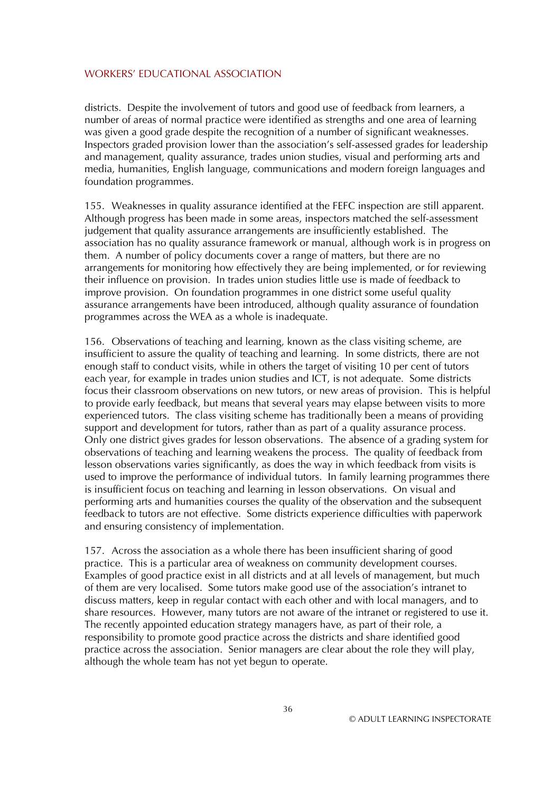districts. Despite the involvement of tutors and good use of feedback from learners, a number of areas of normal practice were identified as strengths and one area of learning was given a good grade despite the recognition of a number of significant weaknesses. Inspectors graded provision lower than the association's self-assessed grades for leadership and management, quality assurance, trades union studies, visual and performing arts and media, humanities, English language, communications and modern foreign languages and foundation programmes.

155. Weaknesses in quality assurance identified at the FEFC inspection are still apparent. Although progress has been made in some areas, inspectors matched the self-assessment judgement that quality assurance arrangements are insufficiently established. The association has no quality assurance framework or manual, although work is in progress on them. A number of policy documents cover a range of matters, but there are no arrangements for monitoring how effectively they are being implemented, or for reviewing their influence on provision. In trades union studies little use is made of feedback to improve provision. On foundation programmes in one district some useful quality assurance arrangements have been introduced, although quality assurance of foundation programmes across the WEA as a whole is inadequate.

156. Observations of teaching and learning, known as the class visiting scheme, are insufficient to assure the quality of teaching and learning. In some districts, there are not enough staff to conduct visits, while in others the target of visiting 10 per cent of tutors each year, for example in trades union studies and ICT, is not adequate. Some districts focus their classroom observations on new tutors, or new areas of provision. This is helpful to provide early feedback, but means that several years may elapse between visits to more experienced tutors. The class visiting scheme has traditionally been a means of providing support and development for tutors, rather than as part of a quality assurance process. Only one district gives grades for lesson observations. The absence of a grading system for observations of teaching and learning weakens the process. The quality of feedback from lesson observations varies significantly, as does the way in which feedback from visits is used to improve the performance of individual tutors. In family learning programmes there is insufficient focus on teaching and learning in lesson observations. On visual and performing arts and humanities courses the quality of the observation and the subsequent feedback to tutors are not effective. Some districts experience difficulties with paperwork and ensuring consistency of implementation.

157. Across the association as a whole there has been insufficient sharing of good practice. This is a particular area of weakness on community development courses. Examples of good practice exist in all districts and at all levels of management, but much of them are very localised. Some tutors make good use of the association's intranet to discuss matters, keep in regular contact with each other and with local managers, and to share resources. However, many tutors are not aware of the intranet or registered to use it. The recently appointed education strategy managers have, as part of their role, a responsibility to promote good practice across the districts and share identified good practice across the association. Senior managers are clear about the role they will play, although the whole team has not yet begun to operate.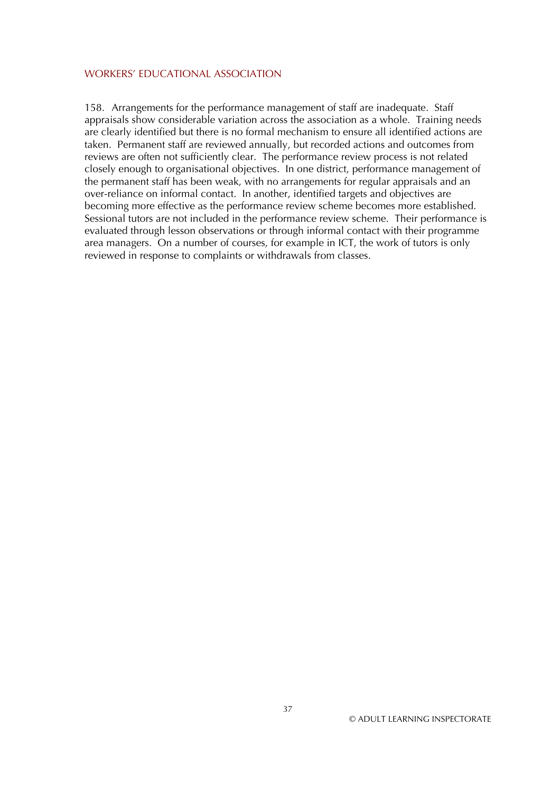158. Arrangements for the performance management of staff are inadequate. Staff appraisals show considerable variation across the association as a whole. Training needs are clearly identified but there is no formal mechanism to ensure all identified actions are taken. Permanent staff are reviewed annually, but recorded actions and outcomes from reviews are often not sufficiently clear. The performance review process is not related closely enough to organisational objectives. In one district, performance management of the permanent staff has been weak, with no arrangements for regular appraisals and an over-reliance on informal contact. In another, identified targets and objectives are becoming more effective as the performance review scheme becomes more established. Sessional tutors are not included in the performance review scheme. Their performance is evaluated through lesson observations or through informal contact with their programme area managers. On a number of courses, for example in ICT, the work of tutors is only reviewed in response to complaints or withdrawals from classes.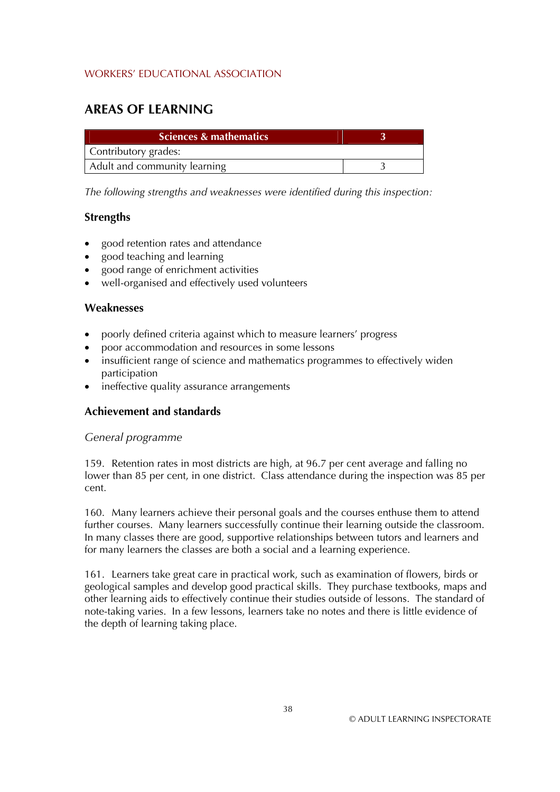# **AREAS OF LEARNING**

| Sciences & mathematics       |  |
|------------------------------|--|
| Contributory grades:         |  |
| Adult and community learning |  |

*The following strengths and weaknesses were identified during this inspection:* 

### **Strengths**

- good retention rates and attendance
- good teaching and learning
- good range of enrichment activities
- well-organised and effectively used volunteers

### **Weaknesses**

- poorly defined criteria against which to measure learners' progress
- poor accommodation and resources in some lessons
- insufficient range of science and mathematics programmes to effectively widen participation
- ineffective quality assurance arrangements

## **Achievement and standards**

## *General programme*

159. Retention rates in most districts are high, at 96.7 per cent average and falling no lower than 85 per cent, in one district. Class attendance during the inspection was 85 per cent.

160. Many learners achieve their personal goals and the courses enthuse them to attend further courses. Many learners successfully continue their learning outside the classroom. In many classes there are good, supportive relationships between tutors and learners and for many learners the classes are both a social and a learning experience.

161. Learners take great care in practical work, such as examination of flowers, birds or geological samples and develop good practical skills. They purchase textbooks, maps and other learning aids to effectively continue their studies outside of lessons. The standard of note-taking varies. In a few lessons, learners take no notes and there is little evidence of the depth of learning taking place.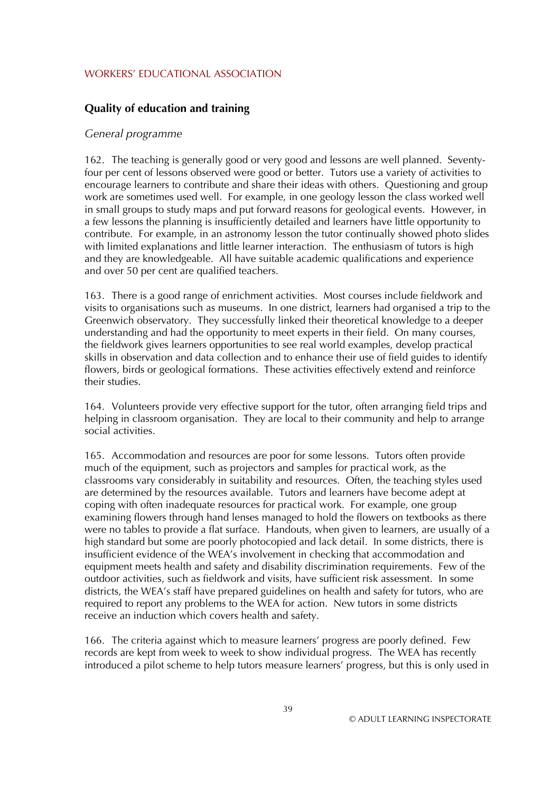# **Quality of education and training**

#### *General programme*

162. The teaching is generally good or very good and lessons are well planned. Seventyfour per cent of lessons observed were good or better. Tutors use a variety of activities to encourage learners to contribute and share their ideas with others. Questioning and group work are sometimes used well. For example, in one geology lesson the class worked well in small groups to study maps and put forward reasons for geological events. However, in a few lessons the planning is insufficiently detailed and learners have little opportunity to contribute. For example, in an astronomy lesson the tutor continually showed photo slides with limited explanations and little learner interaction. The enthusiasm of tutors is high and they are knowledgeable. All have suitable academic qualifications and experience and over 50 per cent are qualified teachers.

163. There is a good range of enrichment activities. Most courses include fieldwork and visits to organisations such as museums. In one district, learners had organised a trip to the Greenwich observatory. They successfully linked their theoretical knowledge to a deeper understanding and had the opportunity to meet experts in their field. On many courses, the fieldwork gives learners opportunities to see real world examples, develop practical skills in observation and data collection and to enhance their use of field guides to identify flowers, birds or geological formations. These activities effectively extend and reinforce their studies.

164. Volunteers provide very effective support for the tutor, often arranging field trips and helping in classroom organisation. They are local to their community and help to arrange social activities.

165. Accommodation and resources are poor for some lessons. Tutors often provide much of the equipment, such as projectors and samples for practical work, as the classrooms vary considerably in suitability and resources. Often, the teaching styles used are determined by the resources available. Tutors and learners have become adept at coping with often inadequate resources for practical work. For example, one group examining flowers through hand lenses managed to hold the flowers on textbooks as there were no tables to provide a flat surface. Handouts, when given to learners, are usually of a high standard but some are poorly photocopied and lack detail. In some districts, there is insufficient evidence of the WEA's involvement in checking that accommodation and equipment meets health and safety and disability discrimination requirements. Few of the outdoor activities, such as fieldwork and visits, have sufficient risk assessment. In some districts, the WEA's staff have prepared guidelines on health and safety for tutors, who are required to report any problems to the WEA for action. New tutors in some districts receive an induction which covers health and safety.

166. The criteria against which to measure learners' progress are poorly defined. Few records are kept from week to week to show individual progress. The WEA has recently introduced a pilot scheme to help tutors measure learners' progress, but this is only used in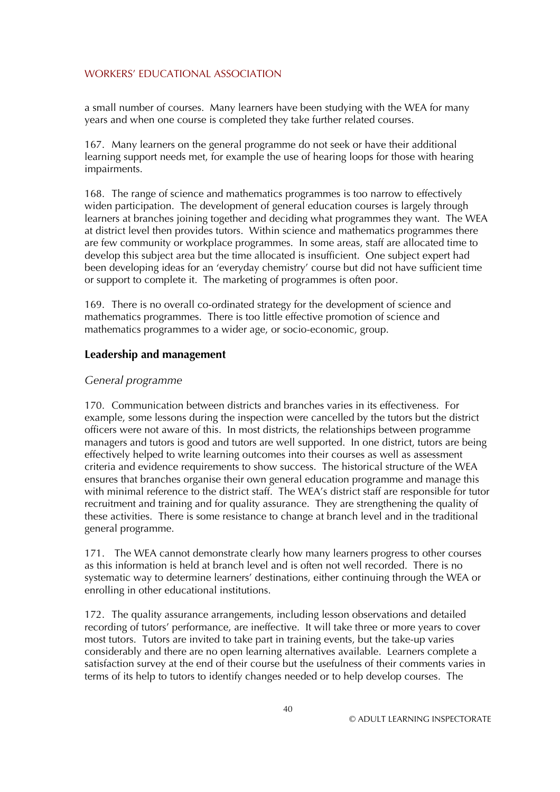a small number of courses. Many learners have been studying with the WEA for many years and when one course is completed they take further related courses.

167. Many learners on the general programme do not seek or have their additional learning support needs met, for example the use of hearing loops for those with hearing impairments.

168. The range of science and mathematics programmes is too narrow to effectively widen participation. The development of general education courses is largely through learners at branches joining together and deciding what programmes they want. The WEA at district level then provides tutors. Within science and mathematics programmes there are few community or workplace programmes. In some areas, staff are allocated time to develop this subject area but the time allocated is insufficient. One subject expert had been developing ideas for an 'everyday chemistry' course but did not have sufficient time or support to complete it. The marketing of programmes is often poor.

169. There is no overall co-ordinated strategy for the development of science and mathematics programmes. There is too little effective promotion of science and mathematics programmes to a wider age, or socio-economic, group.

#### **Leadership and management**

### *General programme*

170. Communication between districts and branches varies in its effectiveness. For example, some lessons during the inspection were cancelled by the tutors but the district officers were not aware of this. In most districts, the relationships between programme managers and tutors is good and tutors are well supported. In one district, tutors are being effectively helped to write learning outcomes into their courses as well as assessment criteria and evidence requirements to show success. The historical structure of the WEA ensures that branches organise their own general education programme and manage this with minimal reference to the district staff. The WEA's district staff are responsible for tutor recruitment and training and for quality assurance. They are strengthening the quality of these activities. There is some resistance to change at branch level and in the traditional general programme.

171. The WEA cannot demonstrate clearly how many learners progress to other courses as this information is held at branch level and is often not well recorded. There is no systematic way to determine learners' destinations, either continuing through the WEA or enrolling in other educational institutions.

172. The quality assurance arrangements, including lesson observations and detailed recording of tutors' performance, are ineffective. It will take three or more years to cover most tutors. Tutors are invited to take part in training events, but the take-up varies considerably and there are no open learning alternatives available. Learners complete a satisfaction survey at the end of their course but the usefulness of their comments varies in terms of its help to tutors to identify changes needed or to help develop courses. The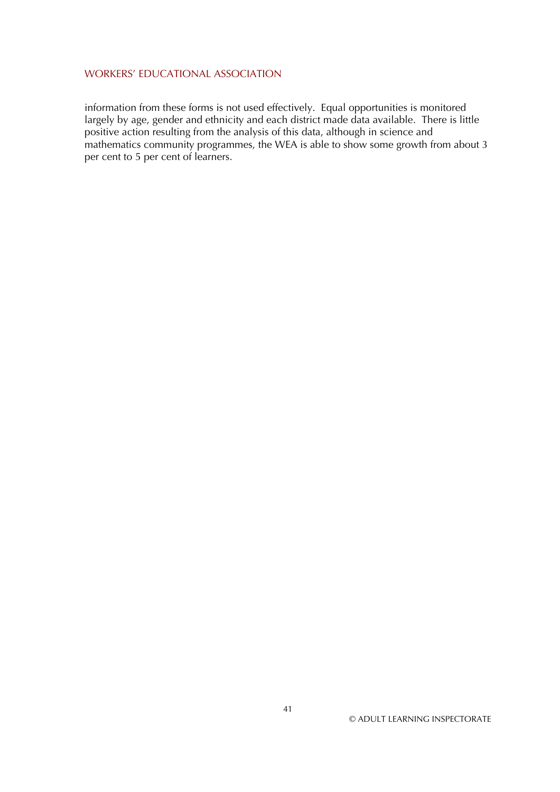information from these forms is not used effectively. Equal opportunities is monitored largely by age, gender and ethnicity and each district made data available. There is little positive action resulting from the analysis of this data, although in science and mathematics community programmes, the WEA is able to show some growth from about 3 per cent to 5 per cent of learners.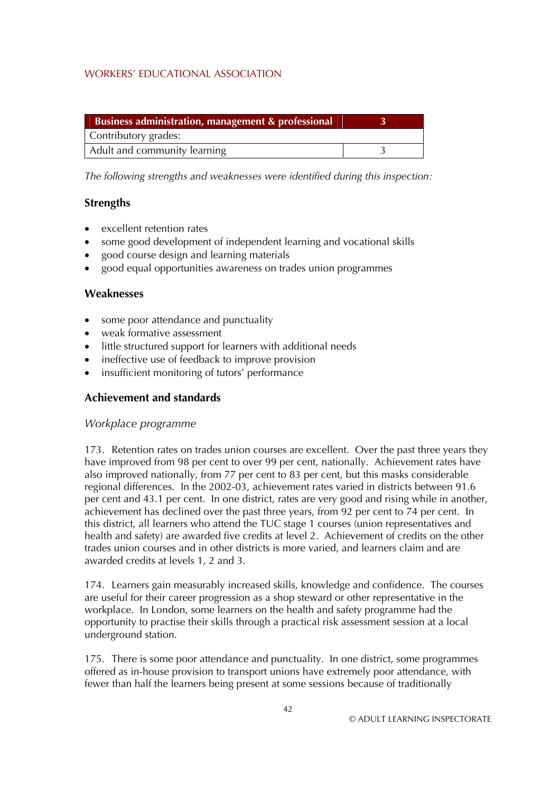| Business administration, management & professional |  |
|----------------------------------------------------|--|
| Contributory grades:                               |  |
| Adult and community learning                       |  |

*The following strengths and weaknesses were identified during this inspection:* 

### **Strengths**

- excellent retention rates
- some good development of independent learning and vocational skills
- good course design and learning materials
- good equal opportunities awareness on trades union programmes

### **Weaknesses**

- some poor attendance and punctuality
- weak formative assessment
- little structured support for learners with additional needs
- ineffective use of feedback to improve provision
- insufficient monitoring of tutors' performance

## **Achievement and standards**

#### *Workplace programme*

173. Retention rates on trades union courses are excellent. Over the past three years they have improved from 98 per cent to over 99 per cent, nationally. Achievement rates have also improved nationally, from 77 per cent to 83 per cent, but this masks considerable regional differences. In the 2002-03, achievement rates varied in districts between 91.6 per cent and 43.1 per cent. In one district, rates are very good and rising while in another, achievement has declined over the past three years, from 92 per cent to 74 per cent. In this district, all learners who attend the TUC stage 1 courses (union representatives and health and safety) are awarded five credits at level 2. Achievement of credits on the other trades union courses and in other districts is more varied, and learners claim and are awarded credits at levels 1, 2 and 3.

174. Learners gain measurably increased skills, knowledge and confidence. The courses are useful for their career progression as a shop steward or other representative in the workplace. In London, some learners on the health and safety programme had the opportunity to practise their skills through a practical risk assessment session at a local underground station.

175. There is some poor attendance and punctuality. In one district, some programmes offered as in-house provision to transport unions have extremely poor attendance, with fewer than half the learners being present at some sessions because of traditionally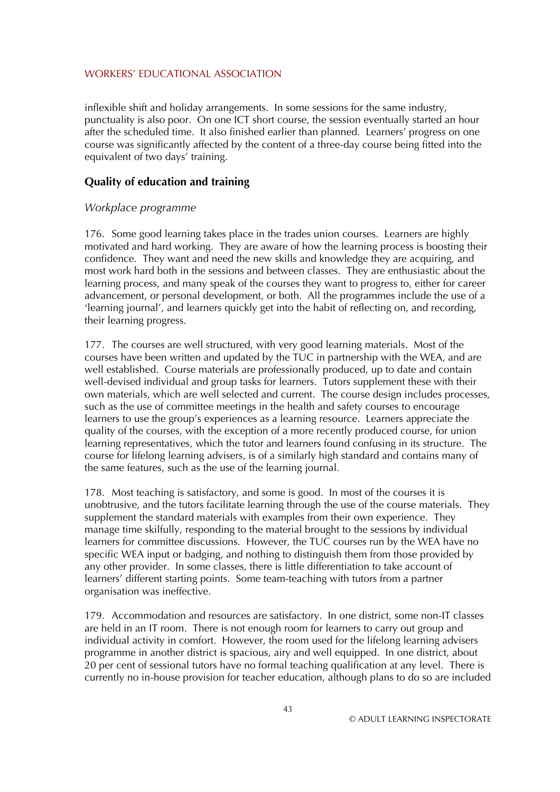inflexible shift and holiday arrangements. In some sessions for the same industry, punctuality is also poor. On one ICT short course, the session eventually started an hour after the scheduled time. It also finished earlier than planned. Learners' progress on one course was significantly affected by the content of a three-day course being fitted into the equivalent of two days' training.

## **Quality of education and training**

#### *Workplace programme*

176. Some good learning takes place in the trades union courses. Learners are highly motivated and hard working. They are aware of how the learning process is boosting their confidence. They want and need the new skills and knowledge they are acquiring, and most work hard both in the sessions and between classes. They are enthusiastic about the learning process, and many speak of the courses they want to progress to, either for career advancement, or personal development, or both. All the programmes include the use of a 'learning journal', and learners quickly get into the habit of reflecting on, and recording, their learning progress.

177. The courses are well structured, with very good learning materials. Most of the courses have been written and updated by the TUC in partnership with the WEA, and are well established. Course materials are professionally produced, up to date and contain well-devised individual and group tasks for learners. Tutors supplement these with their own materials, which are well selected and current. The course design includes processes, such as the use of committee meetings in the health and safety courses to encourage learners to use the group's experiences as a learning resource. Learners appreciate the quality of the courses, with the exception of a more recently produced course, for union learning representatives, which the tutor and learners found confusing in its structure. The course for lifelong learning advisers, is of a similarly high standard and contains many of the same features, such as the use of the learning journal.

178. Most teaching is satisfactory, and some is good. In most of the courses it is unobtrusive, and the tutors facilitate learning through the use of the course materials. They supplement the standard materials with examples from their own experience. They manage time skilfully, responding to the material brought to the sessions by individual learners for committee discussions. However, the TUC courses run by the WEA have no specific WEA input or badging, and nothing to distinguish them from those provided by any other provider. In some classes, there is little differentiation to take account of learners' different starting points. Some team-teaching with tutors from a partner organisation was ineffective.

179. Accommodation and resources are satisfactory. In one district, some non-IT classes are held in an IT room. There is not enough room for learners to carry out group and individual activity in comfort. However, the room used for the lifelong learning advisers programme in another district is spacious, airy and well equipped. In one district, about 20 per cent of sessional tutors have no formal teaching qualification at any level. There is currently no in-house provision for teacher education, although plans to do so are included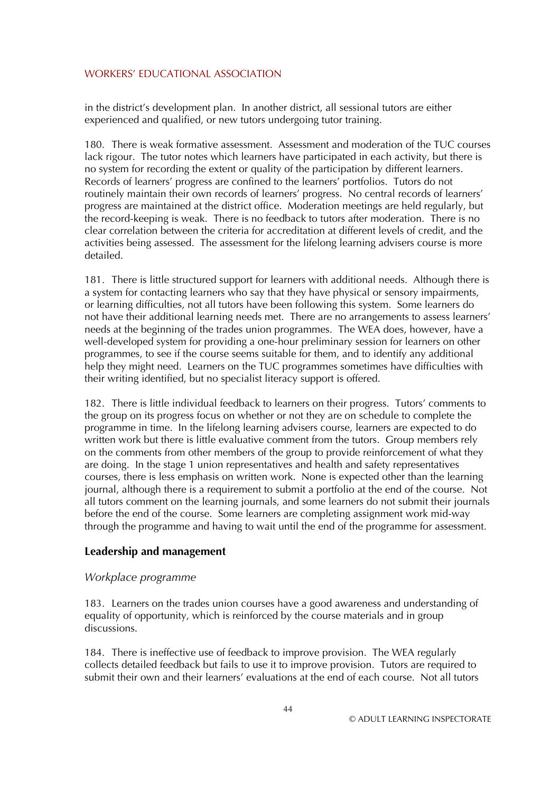in the district's development plan. In another district, all sessional tutors are either experienced and qualified, or new tutors undergoing tutor training.

180. There is weak formative assessment. Assessment and moderation of the TUC courses lack rigour. The tutor notes which learners have participated in each activity, but there is no system for recording the extent or quality of the participation by different learners. Records of learners' progress are confined to the learners' portfolios. Tutors do not routinely maintain their own records of learners' progress. No central records of learners' progress are maintained at the district office. Moderation meetings are held regularly, but the record-keeping is weak. There is no feedback to tutors after moderation. There is no clear correlation between the criteria for accreditation at different levels of credit, and the activities being assessed. The assessment for the lifelong learning advisers course is more detailed.

181. There is little structured support for learners with additional needs. Although there is a system for contacting learners who say that they have physical or sensory impairments, or learning difficulties, not all tutors have been following this system. Some learners do not have their additional learning needs met. There are no arrangements to assess learners' needs at the beginning of the trades union programmes. The WEA does, however, have a well-developed system for providing a one-hour preliminary session for learners on other programmes, to see if the course seems suitable for them, and to identify any additional help they might need. Learners on the TUC programmes sometimes have difficulties with their writing identified, but no specialist literacy support is offered.

182. There is little individual feedback to learners on their progress. Tutors' comments to the group on its progress focus on whether or not they are on schedule to complete the programme in time. In the lifelong learning advisers course, learners are expected to do written work but there is little evaluative comment from the tutors. Group members rely on the comments from other members of the group to provide reinforcement of what they are doing. In the stage 1 union representatives and health and safety representatives courses, there is less emphasis on written work. None is expected other than the learning journal, although there is a requirement to submit a portfolio at the end of the course. Not all tutors comment on the learning journals, and some learners do not submit their journals before the end of the course. Some learners are completing assignment work mid-way through the programme and having to wait until the end of the programme for assessment.

#### **Leadership and management**

#### *Workplace programme*

183. Learners on the trades union courses have a good awareness and understanding of equality of opportunity, which is reinforced by the course materials and in group discussions.

184. There is ineffective use of feedback to improve provision. The WEA regularly collects detailed feedback but fails to use it to improve provision. Tutors are required to submit their own and their learners' evaluations at the end of each course. Not all tutors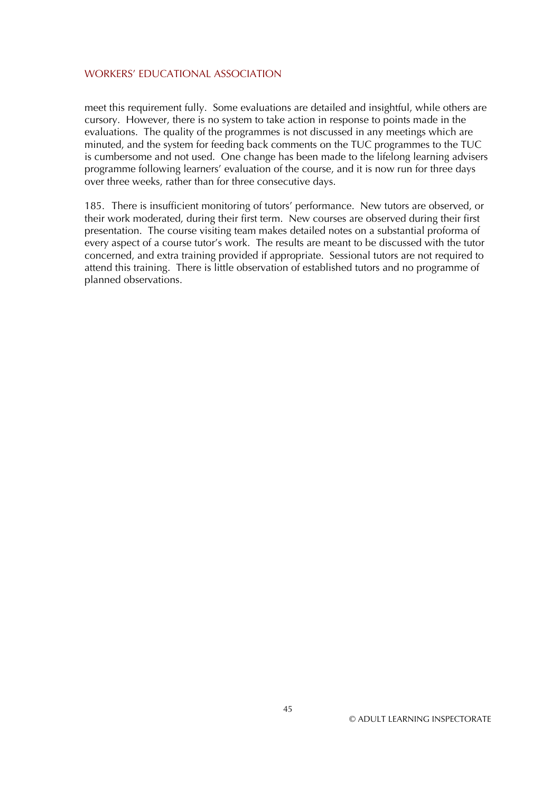meet this requirement fully. Some evaluations are detailed and insightful, while others are cursory. However, there is no system to take action in response to points made in the evaluations. The quality of the programmes is not discussed in any meetings which are minuted, and the system for feeding back comments on the TUC programmes to the TUC is cumbersome and not used. One change has been made to the lifelong learning advisers programme following learners' evaluation of the course, and it is now run for three days over three weeks, rather than for three consecutive days.

185. There is insufficient monitoring of tutors' performance. New tutors are observed, or their work moderated, during their first term. New courses are observed during their first presentation. The course visiting team makes detailed notes on a substantial proforma of every aspect of a course tutor's work. The results are meant to be discussed with the tutor concerned, and extra training provided if appropriate. Sessional tutors are not required to attend this training. There is little observation of established tutors and no programme of planned observations.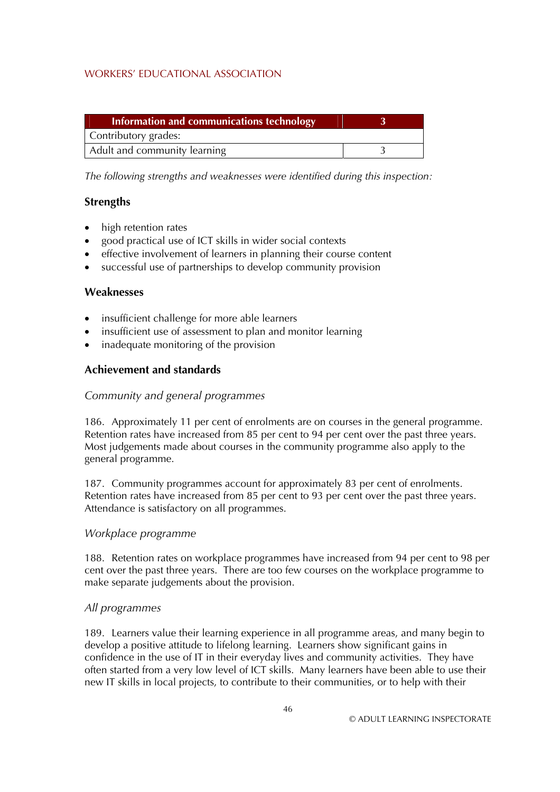| Information and communications technology |  |
|-------------------------------------------|--|
| Contributory grades:                      |  |
| Adult and community learning              |  |

*The following strengths and weaknesses were identified during this inspection:* 

## **Strengths**

- $\bullet$ high retention rates
- good practical use of ICT skills in wider social contexts
- effective involvement of learners in planning their course content
- successful use of partnerships to develop community provision

### **Weaknesses**

- insufficient challenge for more able learners
- insufficient use of assessment to plan and monitor learning
- inadequate monitoring of the provision

## **Achievement and standards**

### *Community and general programmes*

186. Approximately 11 per cent of enrolments are on courses in the general programme. Retention rates have increased from 85 per cent to 94 per cent over the past three years. Most judgements made about courses in the community programme also apply to the general programme.

187. Community programmes account for approximately 83 per cent of enrolments. Retention rates have increased from 85 per cent to 93 per cent over the past three years. Attendance is satisfactory on all programmes.

#### *Workplace programme*

188. Retention rates on workplace programmes have increased from 94 per cent to 98 per cent over the past three years. There are too few courses on the workplace programme to make separate judgements about the provision.

#### *All programmes*

189. Learners value their learning experience in all programme areas, and many begin to develop a positive attitude to lifelong learning. Learners show significant gains in confidence in the use of IT in their everyday lives and community activities. They have often started from a very low level of ICT skills. Many learners have been able to use their new IT skills in local projects, to contribute to their communities, or to help with their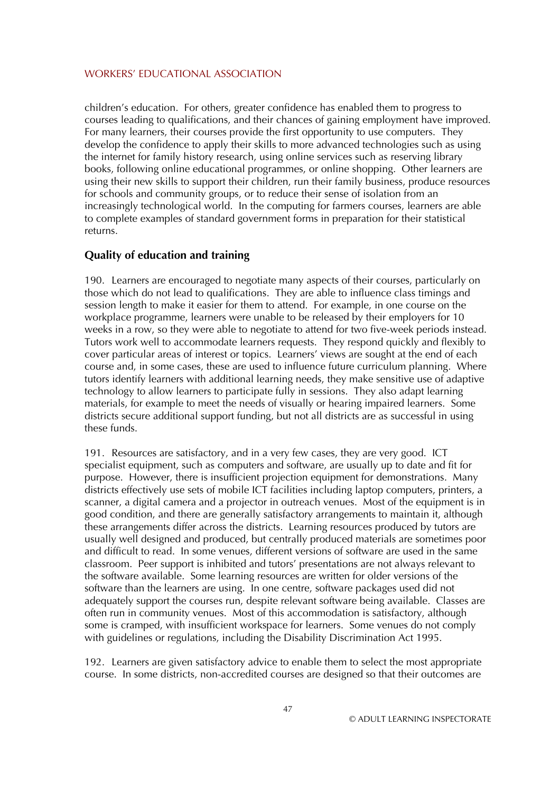children's education. For others, greater confidence has enabled them to progress to courses leading to qualifications, and their chances of gaining employment have improved. For many learners, their courses provide the first opportunity to use computers. They develop the confidence to apply their skills to more advanced technologies such as using the internet for family history research, using online services such as reserving library books, following online educational programmes, or online shopping. Other learners are using their new skills to support their children, run their family business, produce resources for schools and community groups, or to reduce their sense of isolation from an increasingly technological world. In the computing for farmers courses, learners are able to complete examples of standard government forms in preparation for their statistical returns.

#### **Quality of education and training**

190. Learners are encouraged to negotiate many aspects of their courses, particularly on those which do not lead to qualifications. They are able to influence class timings and session length to make it easier for them to attend. For example, in one course on the workplace programme, learners were unable to be released by their employers for 10 weeks in a row, so they were able to negotiate to attend for two five-week periods instead. Tutors work well to accommodate learners requests. They respond quickly and flexibly to cover particular areas of interest or topics. Learners' views are sought at the end of each course and, in some cases, these are used to influence future curriculum planning. Where tutors identify learners with additional learning needs, they make sensitive use of adaptive technology to allow learners to participate fully in sessions. They also adapt learning materials, for example to meet the needs of visually or hearing impaired learners. Some districts secure additional support funding, but not all districts are as successful in using these funds.

191. Resources are satisfactory, and in a very few cases, they are very good. ICT specialist equipment, such as computers and software, are usually up to date and fit for purpose. However, there is insufficient projection equipment for demonstrations. Many districts effectively use sets of mobile ICT facilities including laptop computers, printers, a scanner, a digital camera and a projector in outreach venues. Most of the equipment is in good condition, and there are generally satisfactory arrangements to maintain it, although these arrangements differ across the districts. Learning resources produced by tutors are usually well designed and produced, but centrally produced materials are sometimes poor and difficult to read. In some venues, different versions of software are used in the same classroom. Peer support is inhibited and tutors' presentations are not always relevant to the software available. Some learning resources are written for older versions of the software than the learners are using. In one centre, software packages used did not adequately support the courses run, despite relevant software being available. Classes are often run in community venues. Most of this accommodation is satisfactory, although some is cramped, with insufficient workspace for learners. Some venues do not comply with guidelines or regulations, including the Disability Discrimination Act 1995.

192. Learners are given satisfactory advice to enable them to select the most appropriate course. In some districts, non-accredited courses are designed so that their outcomes are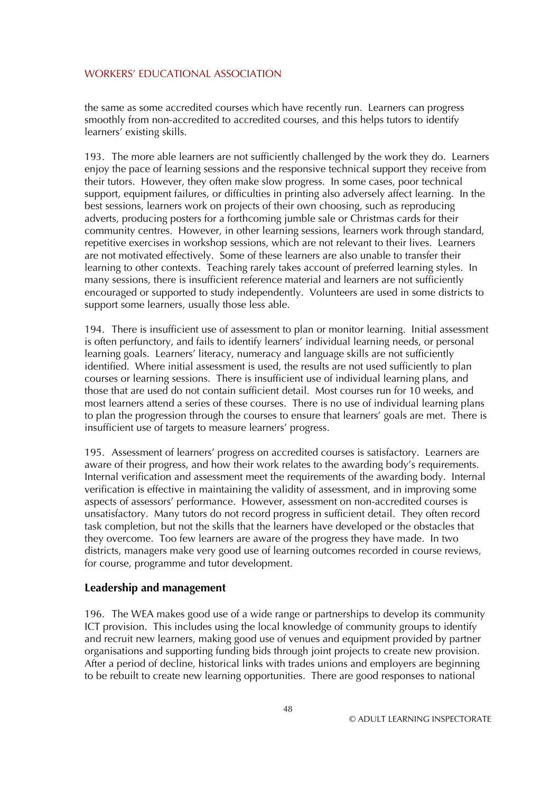the same as some accredited courses which have recently run. Learners can progress smoothly from non-accredited to accredited courses, and this helps tutors to identify learners' existing skills.

193. The more able learners are not sufficiently challenged by the work they do. Learners enjoy the pace of learning sessions and the responsive technical support they receive from their tutors. However, they often make slow progress. In some cases, poor technical support, equipment failures, or difficulties in printing also adversely affect learning. In the best sessions, learners work on projects of their own choosing, such as reproducing adverts, producing posters for a forthcoming jumble sale or Christmas cards for their community centres. However, in other learning sessions, learners work through standard, repetitive exercises in workshop sessions, which are not relevant to their lives. Learners are not motivated effectively. Some of these learners are also unable to transfer their learning to other contexts. Teaching rarely takes account of preferred learning styles. In many sessions, there is insufficient reference material and learners are not sufficiently encouraged or supported to study independently. Volunteers are used in some districts to support some learners, usually those less able.

194. There is insufficient use of assessment to plan or monitor learning. Initial assessment is often perfunctory, and fails to identify learners' individual learning needs, or personal learning goals. Learners' literacy, numeracy and language skills are not sufficiently identified. Where initial assessment is used, the results are not used sufficiently to plan courses or learning sessions. There is insufficient use of individual learning plans, and those that are used do not contain sufficient detail. Most courses run for 10 weeks, and most learners attend a series of these courses. There is no use of individual learning plans to plan the progression through the courses to ensure that learners' goals are met. There is insufficient use of targets to measure learners' progress.

195. Assessment of learners' progress on accredited courses is satisfactory. Learners are aware of their progress, and how their work relates to the awarding body's requirements. Internal verification and assessment meet the requirements of the awarding body. Internal verification is effective in maintaining the validity of assessment, and in improving some aspects of assessors' performance. However, assessment on non-accredited courses is unsatisfactory. Many tutors do not record progress in sufficient detail. They often record task completion, but not the skills that the learners have developed or the obstacles that they overcome. Too few learners are aware of the progress they have made. In two districts, managers make very good use of learning outcomes recorded in course reviews, for course, programme and tutor development.

#### **Leadership and management**

196. The WEA makes good use of a wide range or partnerships to develop its community ICT provision. This includes using the local knowledge of community groups to identify and recruit new learners, making good use of venues and equipment provided by partner organisations and supporting funding bids through joint projects to create new provision. After a period of decline, historical links with trades unions and employers are beginning to be rebuilt to create new learning opportunities. There are good responses to national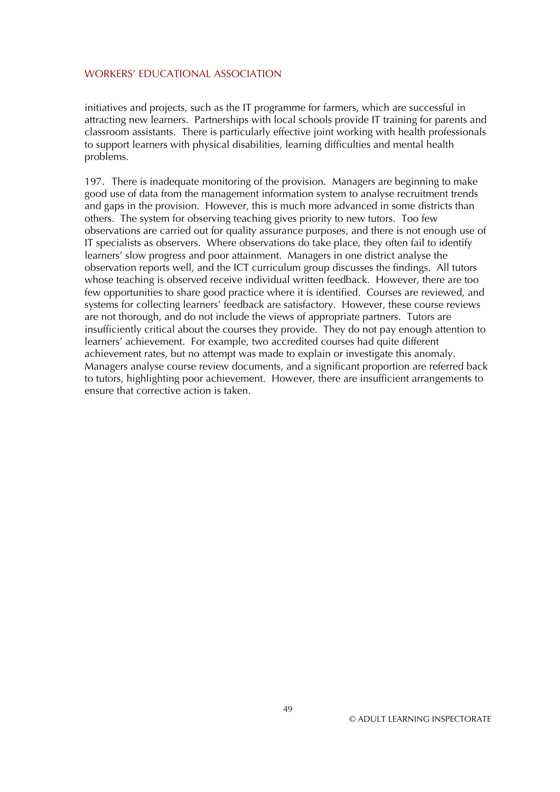initiatives and projects, such as the IT programme for farmers, which are successful in attracting new learners. Partnerships with local schools provide IT training for parents and classroom assistants. There is particularly effective joint working with health professionals to support learners with physical disabilities, learning difficulties and mental health problems.

197. There is inadequate monitoring of the provision. Managers are beginning to make good use of data from the management information system to analyse recruitment trends and gaps in the provision. However, this is much more advanced in some districts than others. The system for observing teaching gives priority to new tutors. Too few observations are carried out for quality assurance purposes, and there is not enough use of IT specialists as observers. Where observations do take place, they often fail to identify learners' slow progress and poor attainment. Managers in one district analyse the observation reports well, and the ICT curriculum group discusses the findings. All tutors whose teaching is observed receive individual written feedback. However, there are too few opportunities to share good practice where it is identified. Courses are reviewed, and systems for collecting learners' feedback are satisfactory. However, these course reviews are not thorough, and do not include the views of appropriate partners. Tutors are insufficiently critical about the courses they provide. They do not pay enough attention to learners' achievement. For example, two accredited courses had quite different achievement rates, but no attempt was made to explain or investigate this anomaly. Managers analyse course review documents, and a significant proportion are referred back to tutors, highlighting poor achievement. However, there are insufficient arrangements to ensure that corrective action is taken.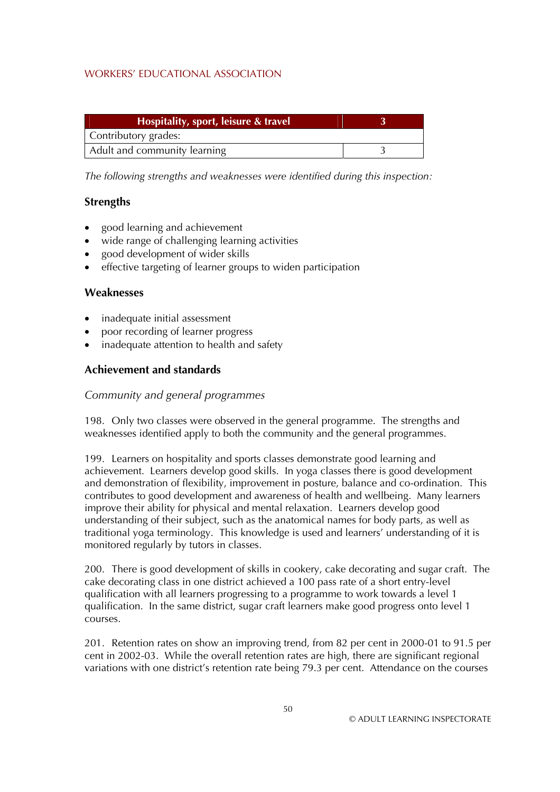| Hospitality, sport, leisure & travel |  |
|--------------------------------------|--|
| Contributory grades:                 |  |
| Adult and community learning         |  |

*The following strengths and weaknesses were identified during this inspection:* 

## **Strengths**

- good learning and achievement
- wide range of challenging learning activities
- good development of wider skills
- effective targeting of learner groups to widen participation

### **Weaknesses**

- inadequate initial assessment
- poor recording of learner progress
- inadequate attention to health and safety

## **Achievement and standards**

## *Community and general programmes*

198. Only two classes were observed in the general programme. The strengths and weaknesses identified apply to both the community and the general programmes.

199. Learners on hospitality and sports classes demonstrate good learning and achievement. Learners develop good skills. In yoga classes there is good development and demonstration of flexibility, improvement in posture, balance and co-ordination. This contributes to good development and awareness of health and wellbeing. Many learners improve their ability for physical and mental relaxation. Learners develop good understanding of their subject, such as the anatomical names for body parts, as well as traditional yoga terminology. This knowledge is used and learners' understanding of it is monitored regularly by tutors in classes.

200. There is good development of skills in cookery, cake decorating and sugar craft. The cake decorating class in one district achieved a 100 pass rate of a short entry-level qualification with all learners progressing to a programme to work towards a level 1 qualification. In the same district, sugar craft learners make good progress onto level 1 courses.

201. Retention rates on show an improving trend, from 82 per cent in 2000-01 to 91.5 per cent in 2002-03. While the overall retention rates are high, there are significant regional variations with one district's retention rate being 79.3 per cent. Attendance on the courses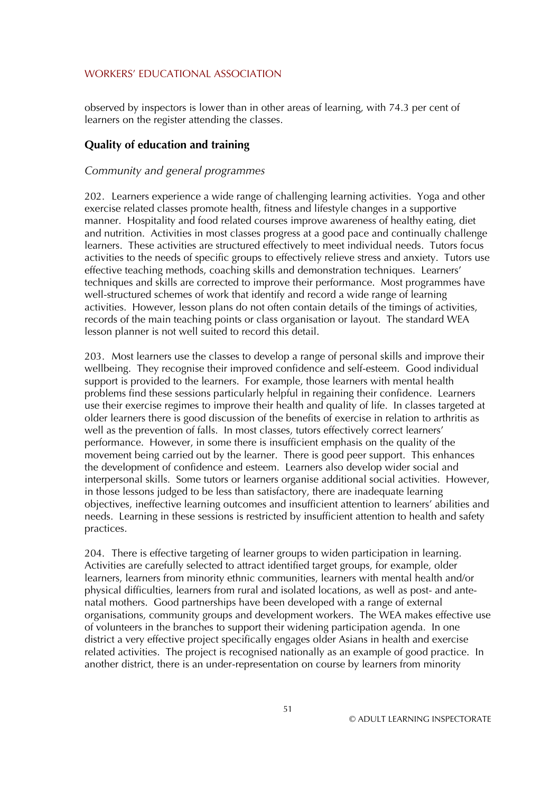observed by inspectors is lower than in other areas of learning, with 74.3 per cent of learners on the register attending the classes.

## **Quality of education and training**

#### *Community and general programmes*

202. Learners experience a wide range of challenging learning activities. Yoga and other exercise related classes promote health, fitness and lifestyle changes in a supportive manner. Hospitality and food related courses improve awareness of healthy eating, diet and nutrition. Activities in most classes progress at a good pace and continually challenge learners. These activities are structured effectively to meet individual needs. Tutors focus activities to the needs of specific groups to effectively relieve stress and anxiety. Tutors use effective teaching methods, coaching skills and demonstration techniques. Learners' techniques and skills are corrected to improve their performance. Most programmes have well-structured schemes of work that identify and record a wide range of learning activities. However, lesson plans do not often contain details of the timings of activities, records of the main teaching points or class organisation or layout. The standard WEA lesson planner is not well suited to record this detail.

203. Most learners use the classes to develop a range of personal skills and improve their wellbeing. They recognise their improved confidence and self-esteem. Good individual support is provided to the learners. For example, those learners with mental health problems find these sessions particularly helpful in regaining their confidence. Learners use their exercise regimes to improve their health and quality of life. In classes targeted at older learners there is good discussion of the benefits of exercise in relation to arthritis as well as the prevention of falls. In most classes, tutors effectively correct learners' performance. However, in some there is insufficient emphasis on the quality of the movement being carried out by the learner. There is good peer support. This enhances the development of confidence and esteem. Learners also develop wider social and interpersonal skills. Some tutors or learners organise additional social activities. However, in those lessons judged to be less than satisfactory, there are inadequate learning objectives, ineffective learning outcomes and insufficient attention to learners' abilities and needs. Learning in these sessions is restricted by insufficient attention to health and safety practices.

204. There is effective targeting of learner groups to widen participation in learning. Activities are carefully selected to attract identified target groups, for example, older learners, learners from minority ethnic communities, learners with mental health and/or physical difficulties, learners from rural and isolated locations, as well as post- and antenatal mothers. Good partnerships have been developed with a range of external organisations, community groups and development workers. The WEA makes effective use of volunteers in the branches to support their widening participation agenda. In one district a very effective project specifically engages older Asians in health and exercise related activities. The project is recognised nationally as an example of good practice. In another district, there is an under-representation on course by learners from minority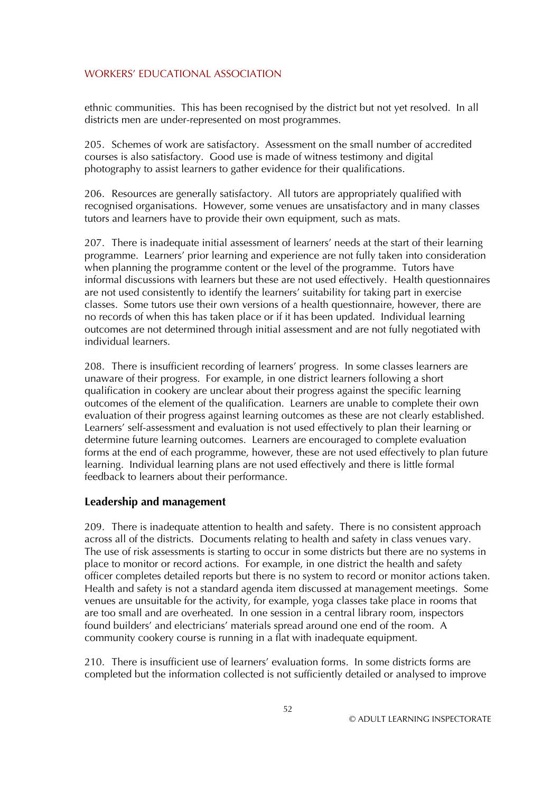ethnic communities. This has been recognised by the district but not yet resolved. In all districts men are under-represented on most programmes.

205. Schemes of work are satisfactory. Assessment on the small number of accredited courses is also satisfactory. Good use is made of witness testimony and digital photography to assist learners to gather evidence for their qualifications.

206. Resources are generally satisfactory. All tutors are appropriately qualified with recognised organisations. However, some venues are unsatisfactory and in many classes tutors and learners have to provide their own equipment, such as mats.

207. There is inadequate initial assessment of learners' needs at the start of their learning programme. Learners' prior learning and experience are not fully taken into consideration when planning the programme content or the level of the programme. Tutors have informal discussions with learners but these are not used effectively. Health questionnaires are not used consistently to identify the learners' suitability for taking part in exercise classes. Some tutors use their own versions of a health questionnaire, however, there are no records of when this has taken place or if it has been updated. Individual learning outcomes are not determined through initial assessment and are not fully negotiated with individual learners.

208. There is insufficient recording of learners' progress. In some classes learners are unaware of their progress. For example, in one district learners following a short qualification in cookery are unclear about their progress against the specific learning outcomes of the element of the qualification. Learners are unable to complete their own evaluation of their progress against learning outcomes as these are not clearly established. Learners' self-assessment and evaluation is not used effectively to plan their learning or determine future learning outcomes. Learners are encouraged to complete evaluation forms at the end of each programme, however, these are not used effectively to plan future learning. Individual learning plans are not used effectively and there is little formal feedback to learners about their performance.

#### **Leadership and management**

209. There is inadequate attention to health and safety. There is no consistent approach across all of the districts. Documents relating to health and safety in class venues vary. The use of risk assessments is starting to occur in some districts but there are no systems in place to monitor or record actions. For example, in one district the health and safety officer completes detailed reports but there is no system to record or monitor actions taken. Health and safety is not a standard agenda item discussed at management meetings. Some venues are unsuitable for the activity, for example, yoga classes take place in rooms that are too small and are overheated. In one session in a central library room, inspectors found builders' and electricians' materials spread around one end of the room. A community cookery course is running in a flat with inadequate equipment.

210. There is insufficient use of learners' evaluation forms. In some districts forms are completed but the information collected is not sufficiently detailed or analysed to improve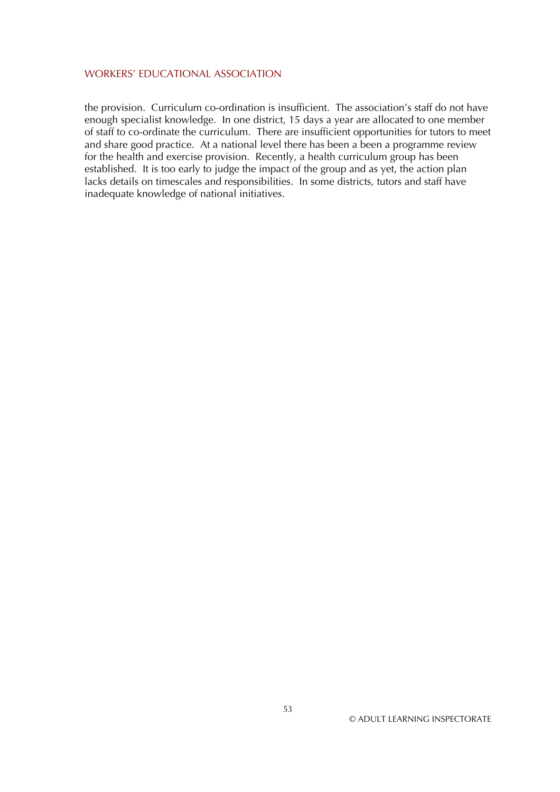the provision. Curriculum co-ordination is insufficient. The association's staff do not have enough specialist knowledge. In one district, 15 days a year are allocated to one member of staff to co-ordinate the curriculum. There are insufficient opportunities for tutors to meet and share good practice. At a national level there has been a been a programme review for the health and exercise provision. Recently, a health curriculum group has been established. It is too early to judge the impact of the group and as yet, the action plan lacks details on timescales and responsibilities. In some districts, tutors and staff have inadequate knowledge of national initiatives.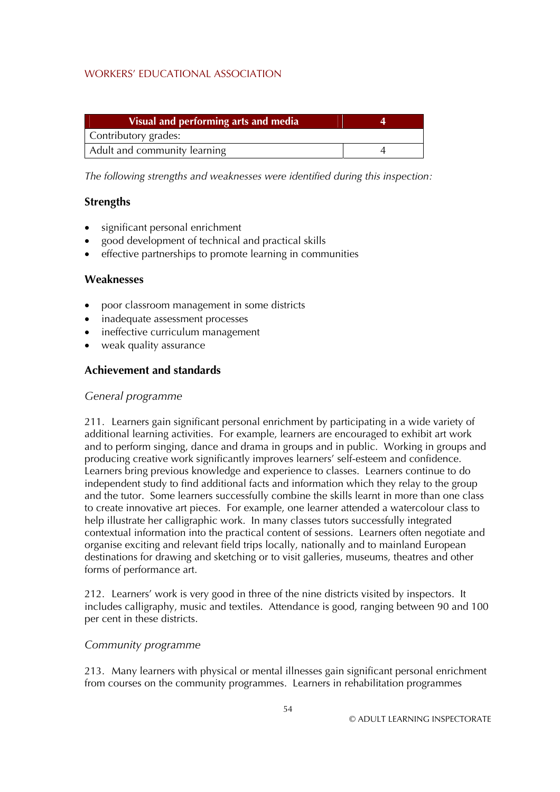| Visual and performing arts and media |  |
|--------------------------------------|--|
| Contributory grades:                 |  |
| Adult and community learning         |  |

*The following strengths and weaknesses were identified during this inspection:* 

## **Strengths**

- significant personal enrichment
- good development of technical and practical skills
- effective partnerships to promote learning in communities

### **Weaknesses**

- poor classroom management in some districts
- inadequate assessment processes
- ineffective curriculum management
- weak quality assurance

## **Achievement and standards**

#### *General programme*

211. Learners gain significant personal enrichment by participating in a wide variety of additional learning activities. For example, learners are encouraged to exhibit art work and to perform singing, dance and drama in groups and in public. Working in groups and producing creative work significantly improves learners' self-esteem and confidence. Learners bring previous knowledge and experience to classes. Learners continue to do independent study to find additional facts and information which they relay to the group and the tutor. Some learners successfully combine the skills learnt in more than one class to create innovative art pieces. For example, one learner attended a watercolour class to help illustrate her calligraphic work. In many classes tutors successfully integrated contextual information into the practical content of sessions. Learners often negotiate and organise exciting and relevant field trips locally, nationally and to mainland European destinations for drawing and sketching or to visit galleries, museums, theatres and other forms of performance art.

212. Learners' work is very good in three of the nine districts visited by inspectors. It includes calligraphy, music and textiles. Attendance is good, ranging between 90 and 100 per cent in these districts.

#### *Community programme*

213. Many learners with physical or mental illnesses gain significant personal enrichment from courses on the community programmes. Learners in rehabilitation programmes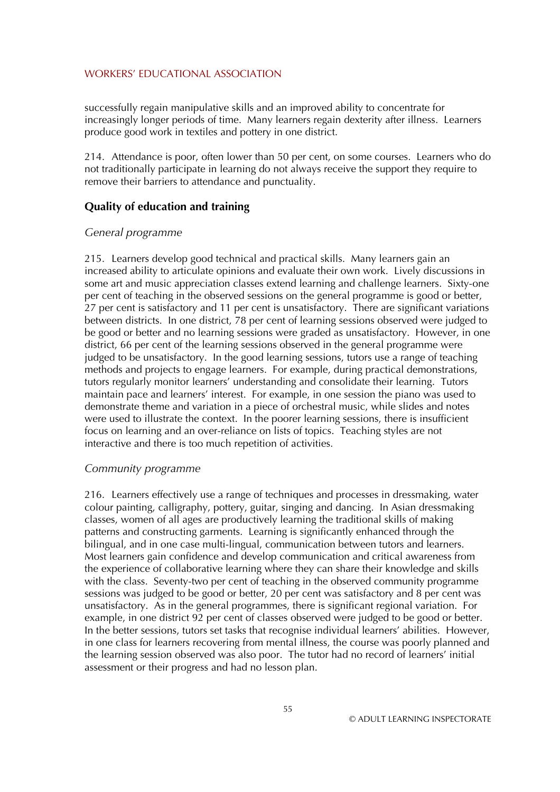successfully regain manipulative skills and an improved ability to concentrate for increasingly longer periods of time. Many learners regain dexterity after illness. Learners produce good work in textiles and pottery in one district.

214. Attendance is poor, often lower than 50 per cent, on some courses. Learners who do not traditionally participate in learning do not always receive the support they require to remove their barriers to attendance and punctuality.

#### **Quality of education and training**

#### *General programme*

215. Learners develop good technical and practical skills. Many learners gain an increased ability to articulate opinions and evaluate their own work. Lively discussions in some art and music appreciation classes extend learning and challenge learners. Sixty-one per cent of teaching in the observed sessions on the general programme is good or better, 27 per cent is satisfactory and 11 per cent is unsatisfactory. There are significant variations between districts. In one district, 78 per cent of learning sessions observed were judged to be good or better and no learning sessions were graded as unsatisfactory. However, in one district, 66 per cent of the learning sessions observed in the general programme were judged to be unsatisfactory. In the good learning sessions, tutors use a range of teaching methods and projects to engage learners. For example, during practical demonstrations, tutors regularly monitor learners' understanding and consolidate their learning. Tutors maintain pace and learners' interest. For example, in one session the piano was used to demonstrate theme and variation in a piece of orchestral music, while slides and notes were used to illustrate the context. In the poorer learning sessions, there is insufficient focus on learning and an over-reliance on lists of topics. Teaching styles are not interactive and there is too much repetition of activities.

#### *Community programme*

216. Learners effectively use a range of techniques and processes in dressmaking, water colour painting, calligraphy, pottery, guitar, singing and dancing. In Asian dressmaking classes, women of all ages are productively learning the traditional skills of making patterns and constructing garments. Learning is significantly enhanced through the bilingual, and in one case multi-lingual, communication between tutors and learners. Most learners gain confidence and develop communication and critical awareness from the experience of collaborative learning where they can share their knowledge and skills with the class. Seventy-two per cent of teaching in the observed community programme sessions was judged to be good or better, 20 per cent was satisfactory and 8 per cent was unsatisfactory. As in the general programmes, there is significant regional variation. For example, in one district 92 per cent of classes observed were judged to be good or better. In the better sessions, tutors set tasks that recognise individual learners' abilities. However, in one class for learners recovering from mental illness, the course was poorly planned and the learning session observed was also poor. The tutor had no record of learners' initial assessment or their progress and had no lesson plan.

55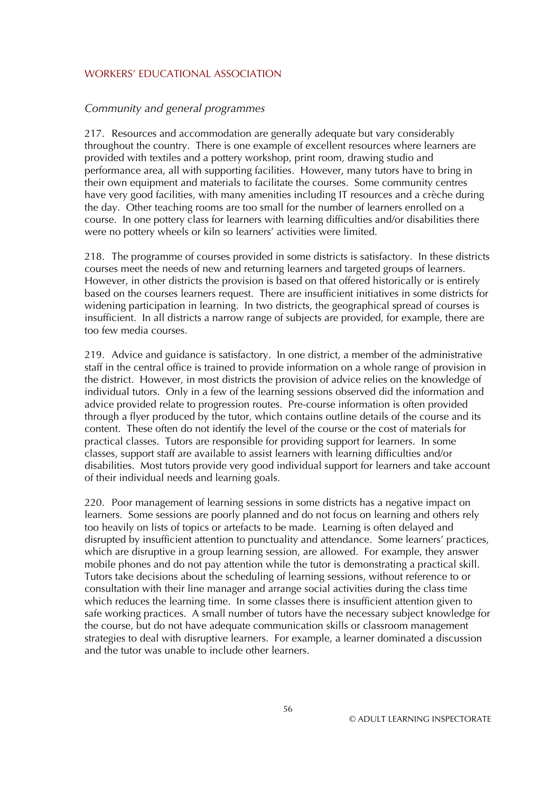#### *Community and general programmes*

217. Resources and accommodation are generally adequate but vary considerably throughout the country. There is one example of excellent resources where learners are provided with textiles and a pottery workshop, print room, drawing studio and performance area, all with supporting facilities. However, many tutors have to bring in their own equipment and materials to facilitate the courses. Some community centres have very good facilities, with many amenities including IT resources and a crèche during the day. Other teaching rooms are too small for the number of learners enrolled on a course. In one pottery class for learners with learning difficulties and/or disabilities there were no pottery wheels or kiln so learners' activities were limited.

218. The programme of courses provided in some districts is satisfactory. In these districts courses meet the needs of new and returning learners and targeted groups of learners. However, in other districts the provision is based on that offered historically or is entirely based on the courses learners request. There are insufficient initiatives in some districts for widening participation in learning. In two districts, the geographical spread of courses is insufficient. In all districts a narrow range of subjects are provided, for example, there are too few media courses.

219. Advice and guidance is satisfactory. In one district, a member of the administrative staff in the central office is trained to provide information on a whole range of provision in the district. However, in most districts the provision of advice relies on the knowledge of individual tutors. Only in a few of the learning sessions observed did the information and advice provided relate to progression routes. Pre-course information is often provided through a flyer produced by the tutor, which contains outline details of the course and its content. These often do not identify the level of the course or the cost of materials for practical classes. Tutors are responsible for providing support for learners. In some classes, support staff are available to assist learners with learning difficulties and/or disabilities. Most tutors provide very good individual support for learners and take account of their individual needs and learning goals.

220. Poor management of learning sessions in some districts has a negative impact on learners. Some sessions are poorly planned and do not focus on learning and others rely too heavily on lists of topics or artefacts to be made. Learning is often delayed and disrupted by insufficient attention to punctuality and attendance. Some learners' practices, which are disruptive in a group learning session, are allowed. For example, they answer mobile phones and do not pay attention while the tutor is demonstrating a practical skill. Tutors take decisions about the scheduling of learning sessions, without reference to or consultation with their line manager and arrange social activities during the class time which reduces the learning time. In some classes there is insufficient attention given to safe working practices. A small number of tutors have the necessary subject knowledge for the course, but do not have adequate communication skills or classroom management strategies to deal with disruptive learners. For example, a learner dominated a discussion and the tutor was unable to include other learners.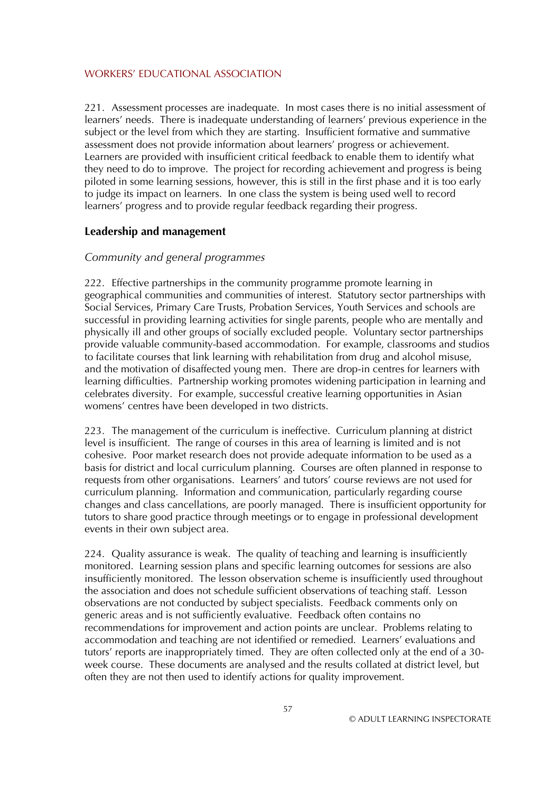221. Assessment processes are inadequate. In most cases there is no initial assessment of learners' needs. There is inadequate understanding of learners' previous experience in the subject or the level from which they are starting. Insufficient formative and summative assessment does not provide information about learners' progress or achievement. Learners are provided with insufficient critical feedback to enable them to identify what they need to do to improve. The project for recording achievement and progress is being piloted in some learning sessions, however, this is still in the first phase and it is too early to judge its impact on learners. In one class the system is being used well to record learners' progress and to provide regular feedback regarding their progress.

#### **Leadership and management**

#### *Community and general programmes*

222. Effective partnerships in the community programme promote learning in geographical communities and communities of interest. Statutory sector partnerships with Social Services, Primary Care Trusts, Probation Services, Youth Services and schools are successful in providing learning activities for single parents, people who are mentally and physically ill and other groups of socially excluded people. Voluntary sector partnerships provide valuable community-based accommodation. For example, classrooms and studios to facilitate courses that link learning with rehabilitation from drug and alcohol misuse, and the motivation of disaffected young men. There are drop-in centres for learners with learning difficulties. Partnership working promotes widening participation in learning and celebrates diversity. For example, successful creative learning opportunities in Asian womens' centres have been developed in two districts.

223. The management of the curriculum is ineffective. Curriculum planning at district level is insufficient. The range of courses in this area of learning is limited and is not cohesive. Poor market research does not provide adequate information to be used as a basis for district and local curriculum planning. Courses are often planned in response to requests from other organisations. Learners' and tutors' course reviews are not used for curriculum planning. Information and communication, particularly regarding course changes and class cancellations, are poorly managed. There is insufficient opportunity for tutors to share good practice through meetings or to engage in professional development events in their own subject area.

224. Quality assurance is weak. The quality of teaching and learning is insufficiently monitored. Learning session plans and specific learning outcomes for sessions are also insufficiently monitored. The lesson observation scheme is insufficiently used throughout the association and does not schedule sufficient observations of teaching staff. Lesson observations are not conducted by subject specialists. Feedback comments only on generic areas and is not sufficiently evaluative. Feedback often contains no recommendations for improvement and action points are unclear. Problems relating to accommodation and teaching are not identified or remedied. Learners' evaluations and tutors' reports are inappropriately timed. They are often collected only at the end of a 30 week course. These documents are analysed and the results collated at district level, but often they are not then used to identify actions for quality improvement.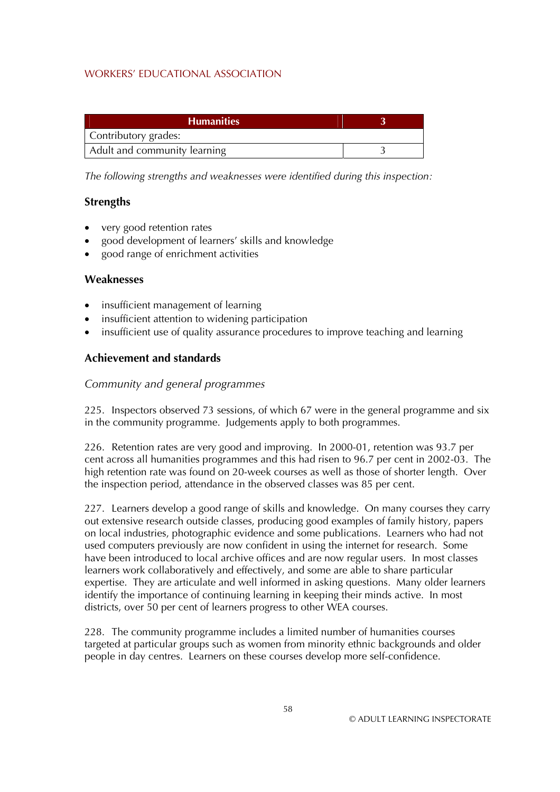| <b>Humanities</b>            |  |
|------------------------------|--|
| Contributory grades:         |  |
| Adult and community learning |  |

*The following strengths and weaknesses were identified during this inspection:* 

### **Strengths**

- very good retention rates
- good development of learners' skills and knowledge
- good range of enrichment activities

### **Weaknesses**

- insufficient management of learning
- insufficient attention to widening participation
- insufficient use of quality assurance procedures to improve teaching and learning

## **Achievement and standards**

### *Community and general programmes*

225. Inspectors observed 73 sessions, of which 67 were in the general programme and six in the community programme. Judgements apply to both programmes.

226. Retention rates are very good and improving. In 2000-01, retention was 93.7 per cent across all humanities programmes and this had risen to 96.7 per cent in 2002-03. The high retention rate was found on 20-week courses as well as those of shorter length. Over the inspection period, attendance in the observed classes was 85 per cent.

227. Learners develop a good range of skills and knowledge. On many courses they carry out extensive research outside classes, producing good examples of family history, papers on local industries, photographic evidence and some publications. Learners who had not used computers previously are now confident in using the internet for research. Some have been introduced to local archive offices and are now regular users. In most classes learners work collaboratively and effectively, and some are able to share particular expertise. They are articulate and well informed in asking questions. Many older learners identify the importance of continuing learning in keeping their minds active. In most districts, over 50 per cent of learners progress to other WEA courses.

228. The community programme includes a limited number of humanities courses targeted at particular groups such as women from minority ethnic backgrounds and older people in day centres. Learners on these courses develop more self-confidence.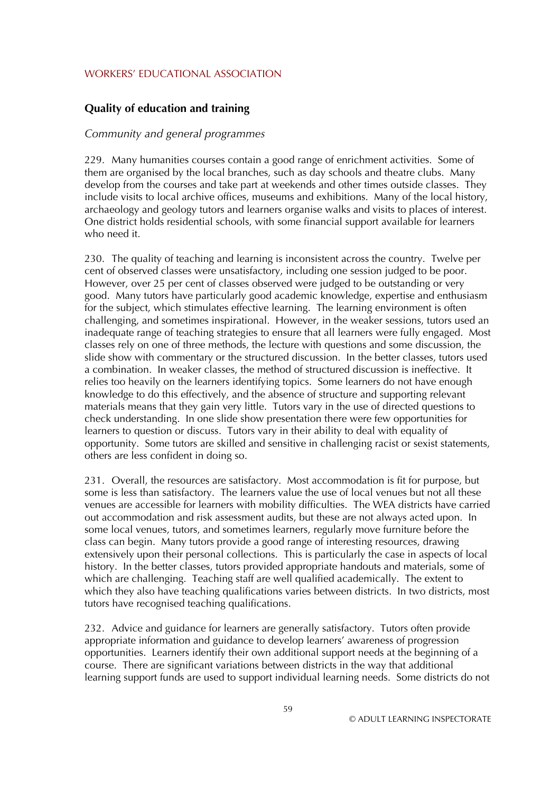# **Quality of education and training**

#### *Community and general programmes*

229. Many humanities courses contain a good range of enrichment activities. Some of them are organised by the local branches, such as day schools and theatre clubs. Many develop from the courses and take part at weekends and other times outside classes. They include visits to local archive offices, museums and exhibitions. Many of the local history, archaeology and geology tutors and learners organise walks and visits to places of interest. One district holds residential schools, with some financial support available for learners who need it.

230. The quality of teaching and learning is inconsistent across the country. Twelve per cent of observed classes were unsatisfactory, including one session judged to be poor. However, over 25 per cent of classes observed were judged to be outstanding or very good. Many tutors have particularly good academic knowledge, expertise and enthusiasm for the subject, which stimulates effective learning. The learning environment is often challenging, and sometimes inspirational. However, in the weaker sessions, tutors used an inadequate range of teaching strategies to ensure that all learners were fully engaged. Most classes rely on one of three methods, the lecture with questions and some discussion, the slide show with commentary or the structured discussion. In the better classes, tutors used a combination. In weaker classes, the method of structured discussion is ineffective. It relies too heavily on the learners identifying topics. Some learners do not have enough knowledge to do this effectively, and the absence of structure and supporting relevant materials means that they gain very little. Tutors vary in the use of directed questions to check understanding. In one slide show presentation there were few opportunities for learners to question or discuss. Tutors vary in their ability to deal with equality of opportunity. Some tutors are skilled and sensitive in challenging racist or sexist statements, others are less confident in doing so.

231. Overall, the resources are satisfactory. Most accommodation is fit for purpose, but some is less than satisfactory. The learners value the use of local venues but not all these venues are accessible for learners with mobility difficulties. The WEA districts have carried out accommodation and risk assessment audits, but these are not always acted upon. In some local venues, tutors, and sometimes learners, regularly move furniture before the class can begin. Many tutors provide a good range of interesting resources, drawing extensively upon their personal collections. This is particularly the case in aspects of local history. In the better classes, tutors provided appropriate handouts and materials, some of which are challenging. Teaching staff are well qualified academically. The extent to which they also have teaching qualifications varies between districts. In two districts, most tutors have recognised teaching qualifications.

232. Advice and guidance for learners are generally satisfactory. Tutors often provide appropriate information and guidance to develop learners' awareness of progression opportunities. Learners identify their own additional support needs at the beginning of a course. There are significant variations between districts in the way that additional learning support funds are used to support individual learning needs. Some districts do not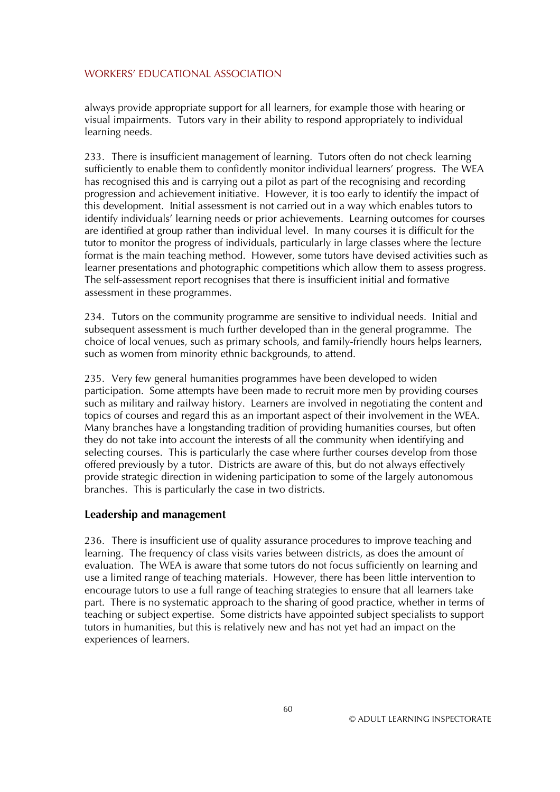always provide appropriate support for all learners, for example those with hearing or visual impairments. Tutors vary in their ability to respond appropriately to individual learning needs.

233. There is insufficient management of learning. Tutors often do not check learning sufficiently to enable them to confidently monitor individual learners' progress. The WEA has recognised this and is carrying out a pilot as part of the recognising and recording progression and achievement initiative. However, it is too early to identify the impact of this development. Initial assessment is not carried out in a way which enables tutors to identify individuals' learning needs or prior achievements. Learning outcomes for courses are identified at group rather than individual level. In many courses it is difficult for the tutor to monitor the progress of individuals, particularly in large classes where the lecture format is the main teaching method. However, some tutors have devised activities such as learner presentations and photographic competitions which allow them to assess progress. The self-assessment report recognises that there is insufficient initial and formative assessment in these programmes.

234. Tutors on the community programme are sensitive to individual needs. Initial and subsequent assessment is much further developed than in the general programme. The choice of local venues, such as primary schools, and family-friendly hours helps learners, such as women from minority ethnic backgrounds, to attend.

235. Very few general humanities programmes have been developed to widen participation. Some attempts have been made to recruit more men by providing courses such as military and railway history. Learners are involved in negotiating the content and topics of courses and regard this as an important aspect of their involvement in the WEA. Many branches have a longstanding tradition of providing humanities courses, but often they do not take into account the interests of all the community when identifying and selecting courses. This is particularly the case where further courses develop from those offered previously by a tutor. Districts are aware of this, but do not always effectively provide strategic direction in widening participation to some of the largely autonomous branches. This is particularly the case in two districts.

#### **Leadership and management**

236. There is insufficient use of quality assurance procedures to improve teaching and learning. The frequency of class visits varies between districts, as does the amount of evaluation. The WEA is aware that some tutors do not focus sufficiently on learning and use a limited range of teaching materials. However, there has been little intervention to encourage tutors to use a full range of teaching strategies to ensure that all learners take part. There is no systematic approach to the sharing of good practice, whether in terms of teaching or subject expertise. Some districts have appointed subject specialists to support tutors in humanities, but this is relatively new and has not yet had an impact on the experiences of learners.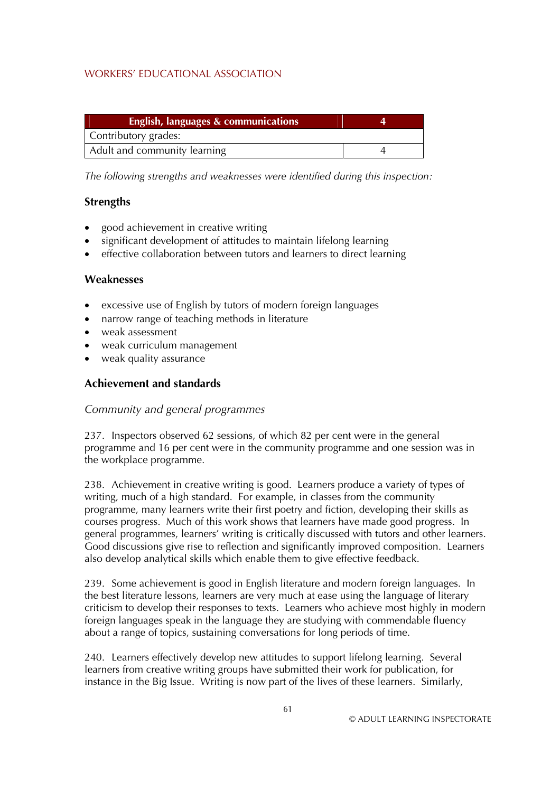| <b>English, languages &amp; communications</b> |  |
|------------------------------------------------|--|
| Contributory grades:                           |  |
| Adult and community learning                   |  |

*The following strengths and weaknesses were identified during this inspection:* 

## **Strengths**

- good achievement in creative writing
- significant development of attitudes to maintain lifelong learning
- effective collaboration between tutors and learners to direct learning

### **Weaknesses**

- excessive use of English by tutors of modern foreign languages
- narrow range of teaching methods in literature
- weak assessment
- weak curriculum management
- weak quality assurance

## **Achievement and standards**

#### *Community and general programmes*

237. Inspectors observed 62 sessions, of which 82 per cent were in the general programme and 16 per cent were in the community programme and one session was in the workplace programme.

238. Achievement in creative writing is good. Learners produce a variety of types of writing, much of a high standard. For example, in classes from the community programme, many learners write their first poetry and fiction, developing their skills as courses progress. Much of this work shows that learners have made good progress. In general programmes, learners' writing is critically discussed with tutors and other learners. Good discussions give rise to reflection and significantly improved composition. Learners also develop analytical skills which enable them to give effective feedback.

239. Some achievement is good in English literature and modern foreign languages. In the best literature lessons, learners are very much at ease using the language of literary criticism to develop their responses to texts. Learners who achieve most highly in modern foreign languages speak in the language they are studying with commendable fluency about a range of topics, sustaining conversations for long periods of time.

240. Learners effectively develop new attitudes to support lifelong learning. Several learners from creative writing groups have submitted their work for publication, for instance in the Big Issue. Writing is now part of the lives of these learners. Similarly,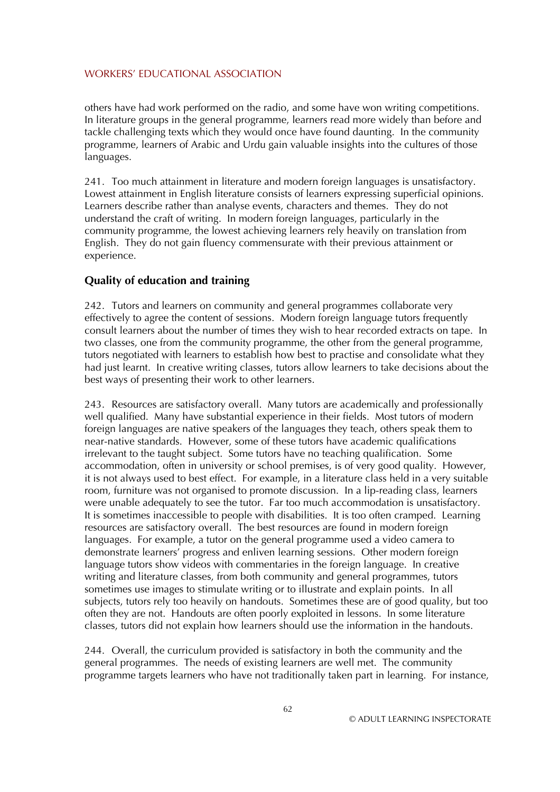others have had work performed on the radio, and some have won writing competitions. In literature groups in the general programme, learners read more widely than before and tackle challenging texts which they would once have found daunting. In the community programme, learners of Arabic and Urdu gain valuable insights into the cultures of those languages.

241. Too much attainment in literature and modern foreign languages is unsatisfactory. Lowest attainment in English literature consists of learners expressing superficial opinions. Learners describe rather than analyse events, characters and themes. They do not understand the craft of writing. In modern foreign languages, particularly in the community programme, the lowest achieving learners rely heavily on translation from English. They do not gain fluency commensurate with their previous attainment or experience.

# **Quality of education and training**

242. Tutors and learners on community and general programmes collaborate very effectively to agree the content of sessions. Modern foreign language tutors frequently consult learners about the number of times they wish to hear recorded extracts on tape. In two classes, one from the community programme, the other from the general programme, tutors negotiated with learners to establish how best to practise and consolidate what they had just learnt. In creative writing classes, tutors allow learners to take decisions about the best ways of presenting their work to other learners.

243. Resources are satisfactory overall. Many tutors are academically and professionally well qualified. Many have substantial experience in their fields. Most tutors of modern foreign languages are native speakers of the languages they teach, others speak them to near-native standards. However, some of these tutors have academic qualifications irrelevant to the taught subject. Some tutors have no teaching qualification. Some accommodation, often in university or school premises, is of very good quality. However, it is not always used to best effect. For example, in a literature class held in a very suitable room, furniture was not organised to promote discussion. In a lip-reading class, learners were unable adequately to see the tutor. Far too much accommodation is unsatisfactory. It is sometimes inaccessible to people with disabilities. It is too often cramped. Learning resources are satisfactory overall. The best resources are found in modern foreign languages. For example, a tutor on the general programme used a video camera to demonstrate learners' progress and enliven learning sessions. Other modern foreign language tutors show videos with commentaries in the foreign language. In creative writing and literature classes, from both community and general programmes, tutors sometimes use images to stimulate writing or to illustrate and explain points. In all subjects, tutors rely too heavily on handouts. Sometimes these are of good quality, but too often they are not. Handouts are often poorly exploited in lessons. In some literature classes, tutors did not explain how learners should use the information in the handouts.

244. Overall, the curriculum provided is satisfactory in both the community and the general programmes. The needs of existing learners are well met. The community programme targets learners who have not traditionally taken part in learning. For instance,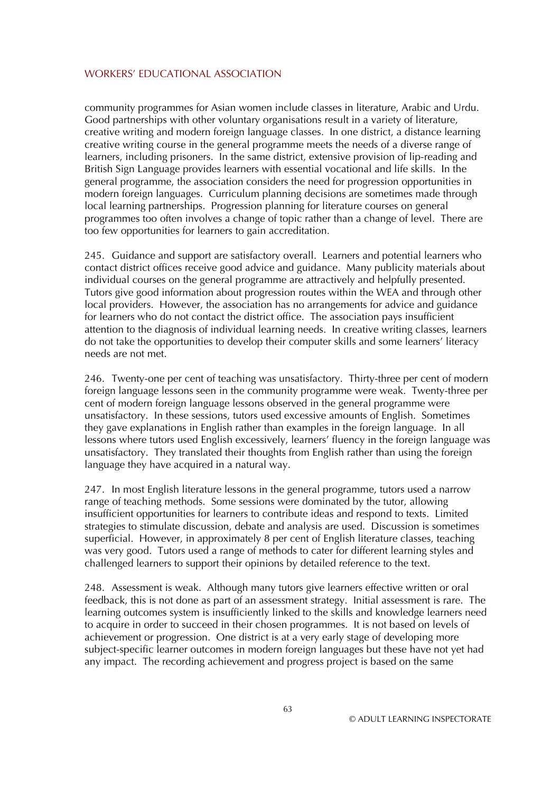community programmes for Asian women include classes in literature, Arabic and Urdu. Good partnerships with other voluntary organisations result in a variety of literature, creative writing and modern foreign language classes. In one district, a distance learning creative writing course in the general programme meets the needs of a diverse range of learners, including prisoners. In the same district, extensive provision of lip-reading and British Sign Language provides learners with essential vocational and life skills. In the general programme, the association considers the need for progression opportunities in modern foreign languages. Curriculum planning decisions are sometimes made through local learning partnerships. Progression planning for literature courses on general programmes too often involves a change of topic rather than a change of level. There are too few opportunities for learners to gain accreditation.

245. Guidance and support are satisfactory overall. Learners and potential learners who contact district offices receive good advice and guidance. Many publicity materials about individual courses on the general programme are attractively and helpfully presented. Tutors give good information about progression routes within the WEA and through other local providers. However, the association has no arrangements for advice and guidance for learners who do not contact the district office. The association pays insufficient attention to the diagnosis of individual learning needs. In creative writing classes, learners do not take the opportunities to develop their computer skills and some learners' literacy needs are not met.

246. Twenty-one per cent of teaching was unsatisfactory. Thirty-three per cent of modern foreign language lessons seen in the community programme were weak. Twenty-three per cent of modern foreign language lessons observed in the general programme were unsatisfactory. In these sessions, tutors used excessive amounts of English. Sometimes they gave explanations in English rather than examples in the foreign language. In all lessons where tutors used English excessively, learners' fluency in the foreign language was unsatisfactory. They translated their thoughts from English rather than using the foreign language they have acquired in a natural way.

247. In most English literature lessons in the general programme, tutors used a narrow range of teaching methods. Some sessions were dominated by the tutor, allowing insufficient opportunities for learners to contribute ideas and respond to texts. Limited strategies to stimulate discussion, debate and analysis are used. Discussion is sometimes superficial. However, in approximately 8 per cent of English literature classes, teaching was very good. Tutors used a range of methods to cater for different learning styles and challenged learners to support their opinions by detailed reference to the text.

248. Assessment is weak. Although many tutors give learners effective written or oral feedback, this is not done as part of an assessment strategy. Initial assessment is rare. The learning outcomes system is insufficiently linked to the skills and knowledge learners need to acquire in order to succeed in their chosen programmes. It is not based on levels of achievement or progression. One district is at a very early stage of developing more subject-specific learner outcomes in modern foreign languages but these have not yet had any impact. The recording achievement and progress project is based on the same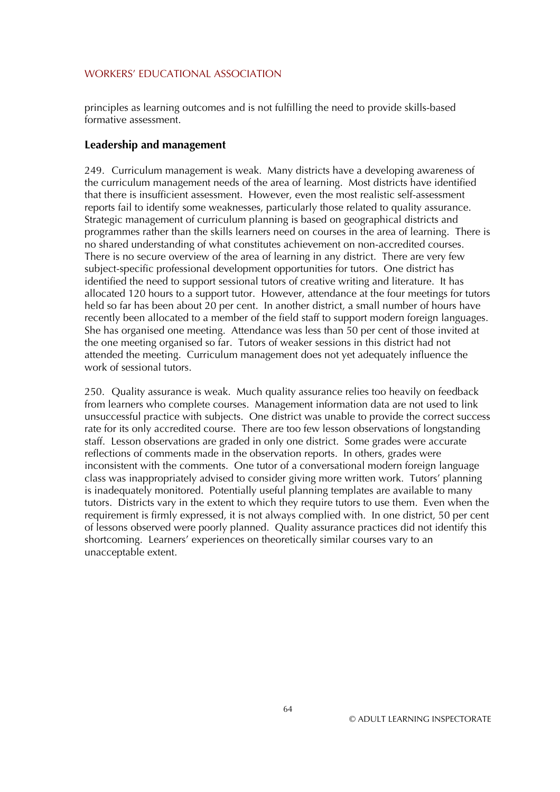principles as learning outcomes and is not fulfilling the need to provide skills-based formative assessment.

#### **Leadership and management**

249. Curriculum management is weak. Many districts have a developing awareness of the curriculum management needs of the area of learning. Most districts have identified that there is insufficient assessment. However, even the most realistic self-assessment reports fail to identify some weaknesses, particularly those related to quality assurance. Strategic management of curriculum planning is based on geographical districts and programmes rather than the skills learners need on courses in the area of learning. There is no shared understanding of what constitutes achievement on non-accredited courses. There is no secure overview of the area of learning in any district. There are very few subject-specific professional development opportunities for tutors. One district has identified the need to support sessional tutors of creative writing and literature. It has allocated 120 hours to a support tutor. However, attendance at the four meetings for tutors held so far has been about 20 per cent. In another district, a small number of hours have recently been allocated to a member of the field staff to support modern foreign languages. She has organised one meeting. Attendance was less than 50 per cent of those invited at the one meeting organised so far. Tutors of weaker sessions in this district had not attended the meeting. Curriculum management does not yet adequately influence the work of sessional tutors.

250. Quality assurance is weak. Much quality assurance relies too heavily on feedback from learners who complete courses. Management information data are not used to link unsuccessful practice with subjects. One district was unable to provide the correct success rate for its only accredited course. There are too few lesson observations of longstanding staff. Lesson observations are graded in only one district. Some grades were accurate reflections of comments made in the observation reports. In others, grades were inconsistent with the comments. One tutor of a conversational modern foreign language class was inappropriately advised to consider giving more written work. Tutors' planning is inadequately monitored. Potentially useful planning templates are available to many tutors. Districts vary in the extent to which they require tutors to use them. Even when the requirement is firmly expressed, it is not always complied with. In one district, 50 per cent of lessons observed were poorly planned. Quality assurance practices did not identify this shortcoming. Learners' experiences on theoretically similar courses vary to an unacceptable extent.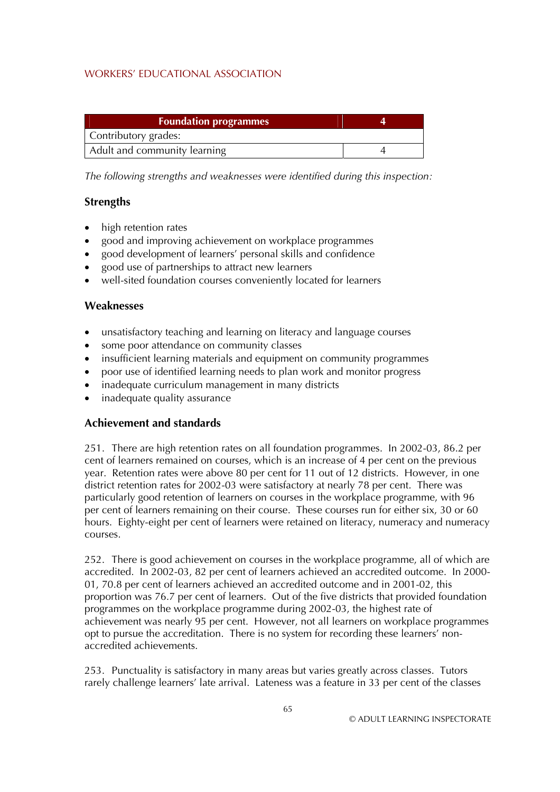| <b>Foundation programmes</b> |  |
|------------------------------|--|
| Contributory grades:         |  |
| Adult and community learning |  |

*The following strengths and weaknesses were identified during this inspection:* 

## **Strengths**

- high retention rates
- good and improving achievement on workplace programmes
- good development of learners' personal skills and confidence
- good use of partnerships to attract new learners
- well-sited foundation courses conveniently located for learners

### **Weaknesses**

- unsatisfactory teaching and learning on literacy and language courses
- some poor attendance on community classes
- insufficient learning materials and equipment on community programmes
- poor use of identified learning needs to plan work and monitor progress
- inadequate curriculum management in many districts
- inadequate quality assurance

## **Achievement and standards**

251. There are high retention rates on all foundation programmes. In 2002-03, 86.2 per cent of learners remained on courses, which is an increase of 4 per cent on the previous year. Retention rates were above 80 per cent for 11 out of 12 districts. However, in one district retention rates for 2002-03 were satisfactory at nearly 78 per cent. There was particularly good retention of learners on courses in the workplace programme, with 96 per cent of learners remaining on their course. These courses run for either six, 30 or 60 hours. Eighty-eight per cent of learners were retained on literacy, numeracy and numeracy courses.

252. There is good achievement on courses in the workplace programme, all of which are accredited. In 2002-03, 82 per cent of learners achieved an accredited outcome. In 2000- 01, 70.8 per cent of learners achieved an accredited outcome and in 2001-02, this proportion was 76.7 per cent of learners. Out of the five districts that provided foundation programmes on the workplace programme during 2002-03, the highest rate of achievement was nearly 95 per cent. However, not all learners on workplace programmes opt to pursue the accreditation. There is no system for recording these learners' nonaccredited achievements.

253. Punctuality is satisfactory in many areas but varies greatly across classes. Tutors rarely challenge learners' late arrival. Lateness was a feature in 33 per cent of the classes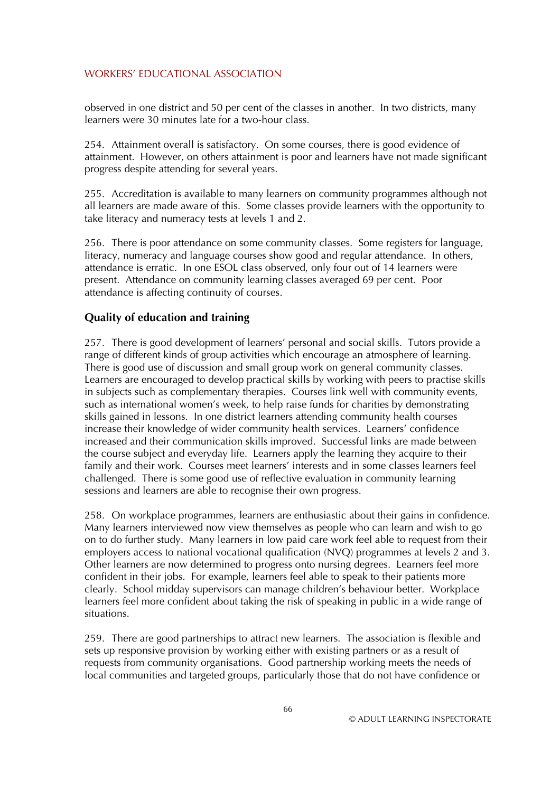observed in one district and 50 per cent of the classes in another. In two districts, many learners were 30 minutes late for a two-hour class.

254. Attainment overall is satisfactory. On some courses, there is good evidence of attainment. However, on others attainment is poor and learners have not made significant progress despite attending for several years.

255. Accreditation is available to many learners on community programmes although not all learners are made aware of this. Some classes provide learners with the opportunity to take literacy and numeracy tests at levels 1 and 2.

256. There is poor attendance on some community classes. Some registers for language, literacy, numeracy and language courses show good and regular attendance. In others, attendance is erratic. In one ESOL class observed, only four out of 14 learners were present. Attendance on community learning classes averaged 69 per cent. Poor attendance is affecting continuity of courses.

### **Quality of education and training**

257. There is good development of learners' personal and social skills. Tutors provide a range of different kinds of group activities which encourage an atmosphere of learning. There is good use of discussion and small group work on general community classes. Learners are encouraged to develop practical skills by working with peers to practise skills in subjects such as complementary therapies. Courses link well with community events, such as international women's week, to help raise funds for charities by demonstrating skills gained in lessons. In one district learners attending community health courses increase their knowledge of wider community health services. Learners' confidence increased and their communication skills improved. Successful links are made between the course subject and everyday life. Learners apply the learning they acquire to their family and their work. Courses meet learners' interests and in some classes learners feel challenged. There is some good use of reflective evaluation in community learning sessions and learners are able to recognise their own progress.

258. On workplace programmes, learners are enthusiastic about their gains in confidence. Many learners interviewed now view themselves as people who can learn and wish to go on to do further study. Many learners in low paid care work feel able to request from their employers access to national vocational qualification (NVQ) programmes at levels 2 and 3. Other learners are now determined to progress onto nursing degrees. Learners feel more confident in their jobs. For example, learners feel able to speak to their patients more clearly. School midday supervisors can manage children's behaviour better. Workplace learners feel more confident about taking the risk of speaking in public in a wide range of situations.

259. There are good partnerships to attract new learners. The association is flexible and sets up responsive provision by working either with existing partners or as a result of requests from community organisations. Good partnership working meets the needs of local communities and targeted groups, particularly those that do not have confidence or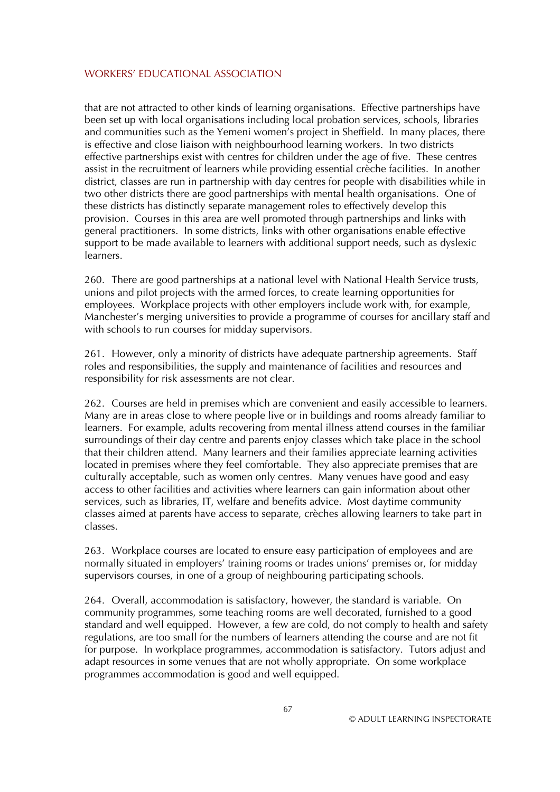that are not attracted to other kinds of learning organisations. Effective partnerships have been set up with local organisations including local probation services, schools, libraries and communities such as the Yemeni women's project in Sheffield. In many places, there is effective and close liaison with neighbourhood learning workers. In two districts effective partnerships exist with centres for children under the age of five. These centres assist in the recruitment of learners while providing essential crèche facilities. In another district, classes are run in partnership with day centres for people with disabilities while in two other districts there are good partnerships with mental health organisations. One of these districts has distinctly separate management roles to effectively develop this provision. Courses in this area are well promoted through partnerships and links with general practitioners. In some districts, links with other organisations enable effective support to be made available to learners with additional support needs, such as dyslexic learners.

260. There are good partnerships at a national level with National Health Service trusts, unions and pilot projects with the armed forces, to create learning opportunities for employees. Workplace projects with other employers include work with, for example, Manchester's merging universities to provide a programme of courses for ancillary staff and with schools to run courses for midday supervisors.

261. However, only a minority of districts have adequate partnership agreements. Staff roles and responsibilities, the supply and maintenance of facilities and resources and responsibility for risk assessments are not clear.

262. Courses are held in premises which are convenient and easily accessible to learners. Many are in areas close to where people live or in buildings and rooms already familiar to learners. For example, adults recovering from mental illness attend courses in the familiar surroundings of their day centre and parents enjoy classes which take place in the school that their children attend. Many learners and their families appreciate learning activities located in premises where they feel comfortable. They also appreciate premises that are culturally acceptable, such as women only centres. Many venues have good and easy access to other facilities and activities where learners can gain information about other services, such as libraries, IT, welfare and benefits advice. Most daytime community classes aimed at parents have access to separate, crèches allowing learners to take part in classes.

263. Workplace courses are located to ensure easy participation of employees and are normally situated in employers' training rooms or trades unions' premises or, for midday supervisors courses, in one of a group of neighbouring participating schools.

264. Overall, accommodation is satisfactory, however, the standard is variable. On community programmes, some teaching rooms are well decorated, furnished to a good standard and well equipped. However, a few are cold, do not comply to health and safety regulations, are too small for the numbers of learners attending the course and are not fit for purpose. In workplace programmes, accommodation is satisfactory. Tutors adjust and adapt resources in some venues that are not wholly appropriate. On some workplace programmes accommodation is good and well equipped.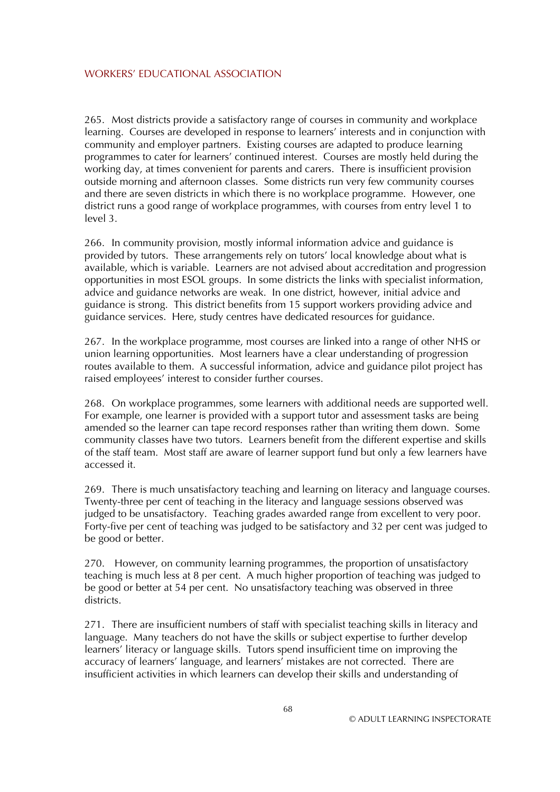265. Most districts provide a satisfactory range of courses in community and workplace learning. Courses are developed in response to learners' interests and in conjunction with community and employer partners. Existing courses are adapted to produce learning programmes to cater for learners' continued interest. Courses are mostly held during the working day, at times convenient for parents and carers. There is insufficient provision outside morning and afternoon classes. Some districts run very few community courses and there are seven districts in which there is no workplace programme. However, one district runs a good range of workplace programmes, with courses from entry level 1 to level 3.

266. In community provision, mostly informal information advice and guidance is provided by tutors. These arrangements rely on tutors' local knowledge about what is available, which is variable. Learners are not advised about accreditation and progression opportunities in most ESOL groups. In some districts the links with specialist information, advice and guidance networks are weak. In one district, however, initial advice and guidance is strong. This district benefits from 15 support workers providing advice and guidance services. Here, study centres have dedicated resources for guidance.

267. In the workplace programme, most courses are linked into a range of other NHS or union learning opportunities. Most learners have a clear understanding of progression routes available to them. A successful information, advice and guidance pilot project has raised employees' interest to consider further courses.

268. On workplace programmes, some learners with additional needs are supported well. For example, one learner is provided with a support tutor and assessment tasks are being amended so the learner can tape record responses rather than writing them down. Some community classes have two tutors. Learners benefit from the different expertise and skills of the staff team. Most staff are aware of learner support fund but only a few learners have accessed it.

269. There is much unsatisfactory teaching and learning on literacy and language courses. Twenty-three per cent of teaching in the literacy and language sessions observed was judged to be unsatisfactory. Teaching grades awarded range from excellent to very poor. Forty-five per cent of teaching was judged to be satisfactory and 32 per cent was judged to be good or better.

270. However, on community learning programmes, the proportion of unsatisfactory teaching is much less at 8 per cent. A much higher proportion of teaching was judged to be good or better at 54 per cent. No unsatisfactory teaching was observed in three districts.

271. There are insufficient numbers of staff with specialist teaching skills in literacy and language. Many teachers do not have the skills or subject expertise to further develop learners' literacy or language skills. Tutors spend insufficient time on improving the accuracy of learners' language, and learners' mistakes are not corrected. There are insufficient activities in which learners can develop their skills and understanding of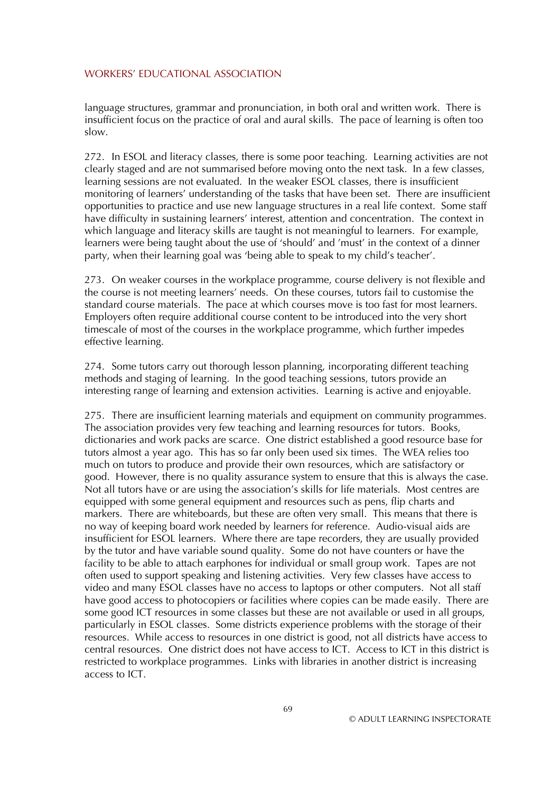language structures, grammar and pronunciation, in both oral and written work. There is insufficient focus on the practice of oral and aural skills. The pace of learning is often too slow.

272. In ESOL and literacy classes, there is some poor teaching. Learning activities are not clearly staged and are not summarised before moving onto the next task. In a few classes, learning sessions are not evaluated. In the weaker ESOL classes, there is insufficient monitoring of learners' understanding of the tasks that have been set. There are insufficient opportunities to practice and use new language structures in a real life context. Some staff have difficulty in sustaining learners' interest, attention and concentration. The context in which language and literacy skills are taught is not meaningful to learners. For example, learners were being taught about the use of 'should' and 'must' in the context of a dinner party, when their learning goal was 'being able to speak to my child's teacher'.

273. On weaker courses in the workplace programme, course delivery is not flexible and the course is not meeting learners' needs. On these courses, tutors fail to customise the standard course materials. The pace at which courses move is too fast for most learners. Employers often require additional course content to be introduced into the very short timescale of most of the courses in the workplace programme, which further impedes effective learning.

274. Some tutors carry out thorough lesson planning, incorporating different teaching methods and staging of learning. In the good teaching sessions, tutors provide an interesting range of learning and extension activities. Learning is active and enjoyable.

275. There are insufficient learning materials and equipment on community programmes. The association provides very few teaching and learning resources for tutors. Books, dictionaries and work packs are scarce. One district established a good resource base for tutors almost a year ago. This has so far only been used six times. The WEA relies too much on tutors to produce and provide their own resources, which are satisfactory or good. However, there is no quality assurance system to ensure that this is always the case. Not all tutors have or are using the association's skills for life materials. Most centres are equipped with some general equipment and resources such as pens, flip charts and markers. There are whiteboards, but these are often very small. This means that there is no way of keeping board work needed by learners for reference. Audio-visual aids are insufficient for ESOL learners. Where there are tape recorders, they are usually provided by the tutor and have variable sound quality. Some do not have counters or have the facility to be able to attach earphones for individual or small group work. Tapes are not often used to support speaking and listening activities. Very few classes have access to video and many ESOL classes have no access to laptops or other computers. Not all staff have good access to photocopiers or facilities where copies can be made easily. There are some good ICT resources in some classes but these are not available or used in all groups, particularly in ESOL classes. Some districts experience problems with the storage of their resources. While access to resources in one district is good, not all districts have access to central resources. One district does not have access to ICT. Access to ICT in this district is restricted to workplace programmes. Links with libraries in another district is increasing access to ICT.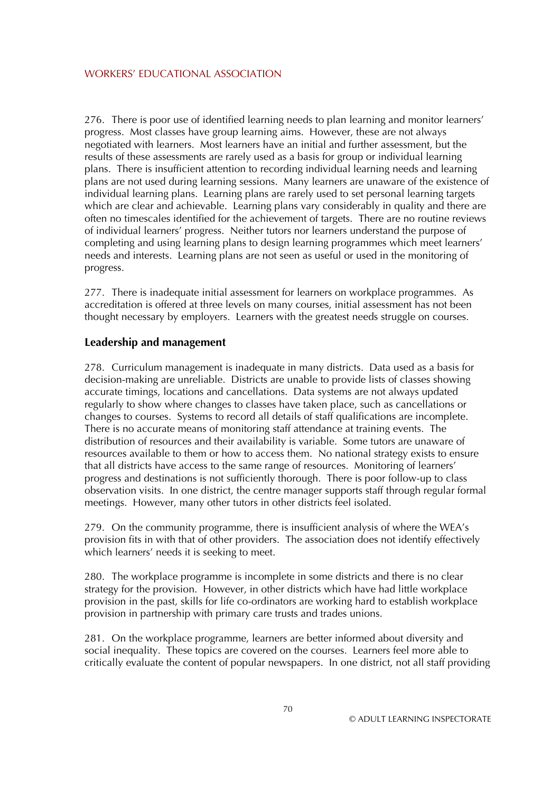276. There is poor use of identified learning needs to plan learning and monitor learners' progress. Most classes have group learning aims. However, these are not always negotiated with learners. Most learners have an initial and further assessment, but the results of these assessments are rarely used as a basis for group or individual learning plans. There is insufficient attention to recording individual learning needs and learning plans are not used during learning sessions. Many learners are unaware of the existence of individual learning plans. Learning plans are rarely used to set personal learning targets which are clear and achievable. Learning plans vary considerably in quality and there are often no timescales identified for the achievement of targets. There are no routine reviews of individual learners' progress. Neither tutors nor learners understand the purpose of completing and using learning plans to design learning programmes which meet learners' needs and interests. Learning plans are not seen as useful or used in the monitoring of progress.

277. There is inadequate initial assessment for learners on workplace programmes. As accreditation is offered at three levels on many courses, initial assessment has not been thought necessary by employers. Learners with the greatest needs struggle on courses.

## **Leadership and management**

278. Curriculum management is inadequate in many districts. Data used as a basis for decision-making are unreliable. Districts are unable to provide lists of classes showing accurate timings, locations and cancellations. Data systems are not always updated regularly to show where changes to classes have taken place, such as cancellations or changes to courses. Systems to record all details of staff qualifications are incomplete. There is no accurate means of monitoring staff attendance at training events. The distribution of resources and their availability is variable. Some tutors are unaware of resources available to them or how to access them. No national strategy exists to ensure that all districts have access to the same range of resources. Monitoring of learners' progress and destinations is not sufficiently thorough. There is poor follow-up to class observation visits. In one district, the centre manager supports staff through regular formal meetings. However, many other tutors in other districts feel isolated.

279. On the community programme, there is insufficient analysis of where the WEA's provision fits in with that of other providers. The association does not identify effectively which learners' needs it is seeking to meet.

280. The workplace programme is incomplete in some districts and there is no clear strategy for the provision. However, in other districts which have had little workplace provision in the past, skills for life co-ordinators are working hard to establish workplace provision in partnership with primary care trusts and trades unions.

281. On the workplace programme, learners are better informed about diversity and social inequality. These topics are covered on the courses. Learners feel more able to critically evaluate the content of popular newspapers. In one district, not all staff providing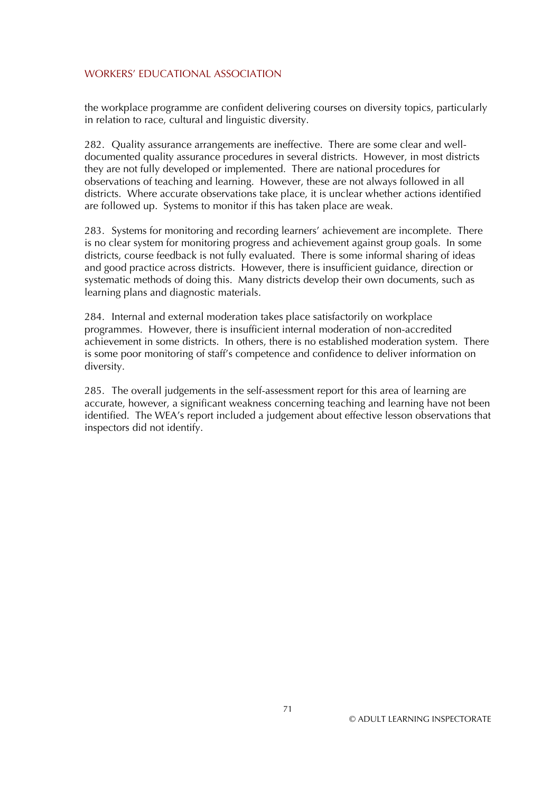the workplace programme are confident delivering courses on diversity topics, particularly in relation to race, cultural and linguistic diversity.

282. Quality assurance arrangements are ineffective. There are some clear and welldocumented quality assurance procedures in several districts. However, in most districts they are not fully developed or implemented. There are national procedures for observations of teaching and learning. However, these are not always followed in all districts. Where accurate observations take place, it is unclear whether actions identified are followed up. Systems to monitor if this has taken place are weak.

283. Systems for monitoring and recording learners' achievement are incomplete. There is no clear system for monitoring progress and achievement against group goals. In some districts, course feedback is not fully evaluated. There is some informal sharing of ideas and good practice across districts. However, there is insufficient guidance, direction or systematic methods of doing this. Many districts develop their own documents, such as learning plans and diagnostic materials.

284. Internal and external moderation takes place satisfactorily on workplace programmes. However, there is insufficient internal moderation of non-accredited achievement in some districts. In others, there is no established moderation system. There is some poor monitoring of staff's competence and confidence to deliver information on diversity.

285. The overall judgements in the self-assessment report for this area of learning are accurate, however, a significant weakness concerning teaching and learning have not been identified. The WEA's report included a judgement about effective lesson observations that inspectors did not identify.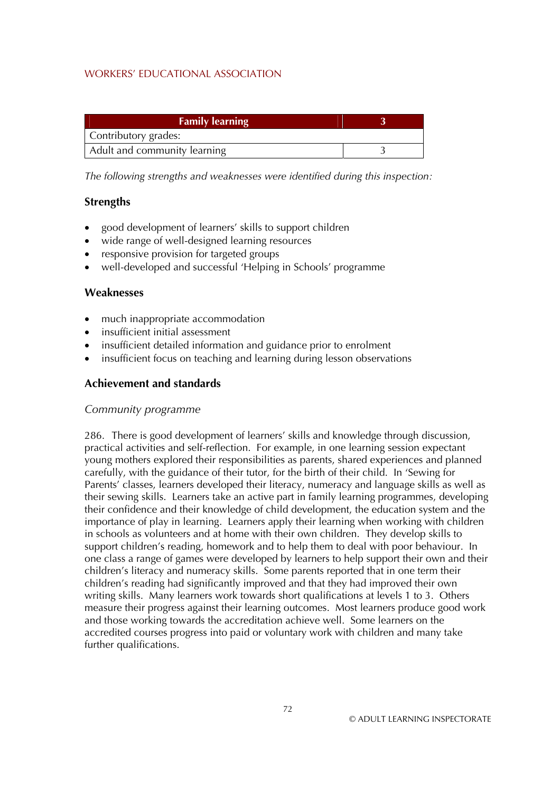| <b>Family learning</b>       |  |
|------------------------------|--|
| Contributory grades:         |  |
| Adult and community learning |  |

*The following strengths and weaknesses were identified during this inspection:* 

## **Strengths**

- good development of learners' skills to support children
- wide range of well-designed learning resources
- responsive provision for targeted groups
- well-developed and successful 'Helping in Schools' programme

## **Weaknesses**

- much inappropriate accommodation
- insufficient initial assessment
- insufficient detailed information and guidance prior to enrolment
- insufficient focus on teaching and learning during lesson observations

# **Achievement and standards**

### *Community programme*

286. There is good development of learners' skills and knowledge through discussion, practical activities and self-reflection. For example, in one learning session expectant young mothers explored their responsibilities as parents, shared experiences and planned carefully, with the guidance of their tutor, for the birth of their child. In 'Sewing for Parents' classes, learners developed their literacy, numeracy and language skills as well as their sewing skills. Learners take an active part in family learning programmes, developing their confidence and their knowledge of child development, the education system and the importance of play in learning. Learners apply their learning when working with children in schools as volunteers and at home with their own children. They develop skills to support children's reading, homework and to help them to deal with poor behaviour. In one class a range of games were developed by learners to help support their own and their children's literacy and numeracy skills. Some parents reported that in one term their children's reading had significantly improved and that they had improved their own writing skills. Many learners work towards short qualifications at levels 1 to 3. Others measure their progress against their learning outcomes. Most learners produce good work and those working towards the accreditation achieve well. Some learners on the accredited courses progress into paid or voluntary work with children and many take further qualifications.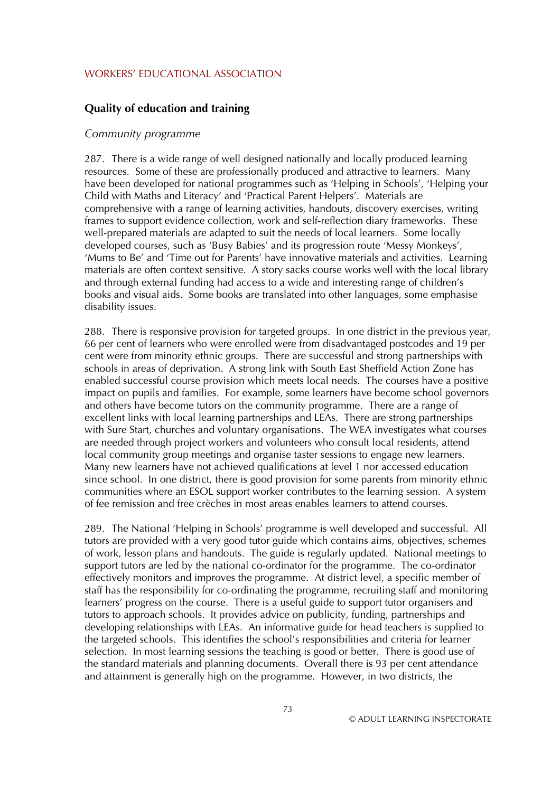### **Quality of education and training**

#### *Community programme*

287. There is a wide range of well designed nationally and locally produced learning resources. Some of these are professionally produced and attractive to learners. Many have been developed for national programmes such as 'Helping in Schools', 'Helping your Child with Maths and Literacy' and 'Practical Parent Helpers'. Materials are comprehensive with a range of learning activities, handouts, discovery exercises, writing frames to support evidence collection, work and self-reflection diary frameworks. These well-prepared materials are adapted to suit the needs of local learners. Some locally developed courses, such as 'Busy Babies' and its progression route 'Messy Monkeys', 'Mums to Be' and 'Time out for Parents' have innovative materials and activities. Learning materials are often context sensitive. A story sacks course works well with the local library and through external funding had access to a wide and interesting range of children's books and visual aids. Some books are translated into other languages, some emphasise disability issues.

288. There is responsive provision for targeted groups. In one district in the previous year, 66 per cent of learners who were enrolled were from disadvantaged postcodes and 19 per cent were from minority ethnic groups. There are successful and strong partnerships with schools in areas of deprivation. A strong link with South East Sheffield Action Zone has enabled successful course provision which meets local needs. The courses have a positive impact on pupils and families. For example, some learners have become school governors and others have become tutors on the community programme. There are a range of excellent links with local learning partnerships and LEAs. There are strong partnerships with Sure Start, churches and voluntary organisations. The WEA investigates what courses are needed through project workers and volunteers who consult local residents, attend local community group meetings and organise taster sessions to engage new learners. Many new learners have not achieved qualifications at level 1 nor accessed education since school. In one district, there is good provision for some parents from minority ethnic communities where an ESOL support worker contributes to the learning session. A system of fee remission and free crèches in most areas enables learners to attend courses.

289. The National 'Helping in Schools' programme is well developed and successful. All tutors are provided with a very good tutor guide which contains aims, objectives, schemes of work, lesson plans and handouts. The guide is regularly updated. National meetings to support tutors are led by the national co-ordinator for the programme. The co-ordinator effectively monitors and improves the programme. At district level, a specific member of staff has the responsibility for co-ordinating the programme, recruiting staff and monitoring learners' progress on the course. There is a useful guide to support tutor organisers and tutors to approach schools. It provides advice on publicity, funding, partnerships and developing relationships with LEAs. An informative guide for head teachers is supplied to the targeted schools. This identifies the school's responsibilities and criteria for learner selection. In most learning sessions the teaching is good or better. There is good use of the standard materials and planning documents. Overall there is 93 per cent attendance and attainment is generally high on the programme. However, in two districts, the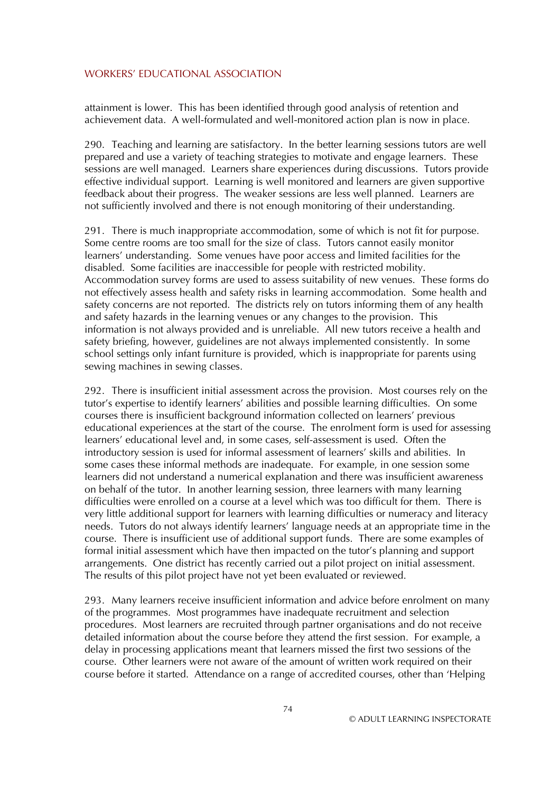attainment is lower. This has been identified through good analysis of retention and achievement data. A well-formulated and well-monitored action plan is now in place.

290. Teaching and learning are satisfactory. In the better learning sessions tutors are well prepared and use a variety of teaching strategies to motivate and engage learners. These sessions are well managed. Learners share experiences during discussions. Tutors provide effective individual support. Learning is well monitored and learners are given supportive feedback about their progress. The weaker sessions are less well planned. Learners are not sufficiently involved and there is not enough monitoring of their understanding.

291. There is much inappropriate accommodation, some of which is not fit for purpose. Some centre rooms are too small for the size of class. Tutors cannot easily monitor learners' understanding. Some venues have poor access and limited facilities for the disabled. Some facilities are inaccessible for people with restricted mobility. Accommodation survey forms are used to assess suitability of new venues. These forms do not effectively assess health and safety risks in learning accommodation. Some health and safety concerns are not reported. The districts rely on tutors informing them of any health and safety hazards in the learning venues or any changes to the provision. This information is not always provided and is unreliable. All new tutors receive a health and safety briefing, however, guidelines are not always implemented consistently. In some school settings only infant furniture is provided, which is inappropriate for parents using sewing machines in sewing classes.

292. There is insufficient initial assessment across the provision. Most courses rely on the tutor's expertise to identify learners' abilities and possible learning difficulties. On some courses there is insufficient background information collected on learners' previous educational experiences at the start of the course. The enrolment form is used for assessing learners' educational level and, in some cases, self-assessment is used. Often the introductory session is used for informal assessment of learners' skills and abilities. In some cases these informal methods are inadequate. For example, in one session some learners did not understand a numerical explanation and there was insufficient awareness on behalf of the tutor. In another learning session, three learners with many learning difficulties were enrolled on a course at a level which was too difficult for them. There is very little additional support for learners with learning difficulties or numeracy and literacy needs. Tutors do not always identify learners' language needs at an appropriate time in the course. There is insufficient use of additional support funds. There are some examples of formal initial assessment which have then impacted on the tutor's planning and support arrangements. One district has recently carried out a pilot project on initial assessment. The results of this pilot project have not yet been evaluated or reviewed.

293. Many learners receive insufficient information and advice before enrolment on many of the programmes. Most programmes have inadequate recruitment and selection procedures. Most learners are recruited through partner organisations and do not receive detailed information about the course before they attend the first session. For example, a delay in processing applications meant that learners missed the first two sessions of the course. Other learners were not aware of the amount of written work required on their course before it started. Attendance on a range of accredited courses, other than 'Helping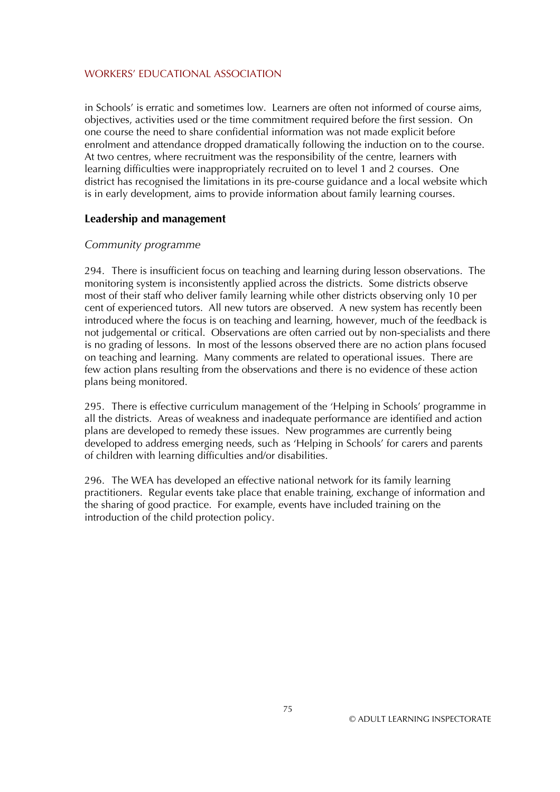in Schools' is erratic and sometimes low. Learners are often not informed of course aims, objectives, activities used or the time commitment required before the first session. On one course the need to share confidential information was not made explicit before enrolment and attendance dropped dramatically following the induction on to the course. At two centres, where recruitment was the responsibility of the centre, learners with learning difficulties were inappropriately recruited on to level 1 and 2 courses. One district has recognised the limitations in its pre-course guidance and a local website which is in early development, aims to provide information about family learning courses.

### **Leadership and management**

## *Community programme*

294. There is insufficient focus on teaching and learning during lesson observations. The monitoring system is inconsistently applied across the districts. Some districts observe most of their staff who deliver family learning while other districts observing only 10 per cent of experienced tutors. All new tutors are observed. A new system has recently been introduced where the focus is on teaching and learning, however, much of the feedback is not judgemental or critical. Observations are often carried out by non-specialists and there is no grading of lessons. In most of the lessons observed there are no action plans focused on teaching and learning. Many comments are related to operational issues. There are few action plans resulting from the observations and there is no evidence of these action plans being monitored.

295. There is effective curriculum management of the 'Helping in Schools' programme in all the districts. Areas of weakness and inadequate performance are identified and action plans are developed to remedy these issues. New programmes are currently being developed to address emerging needs, such as 'Helping in Schools' for carers and parents of children with learning difficulties and/or disabilities.

296. The WEA has developed an effective national network for its family learning practitioners. Regular events take place that enable training, exchange of information and the sharing of good practice. For example, events have included training on the introduction of the child protection policy.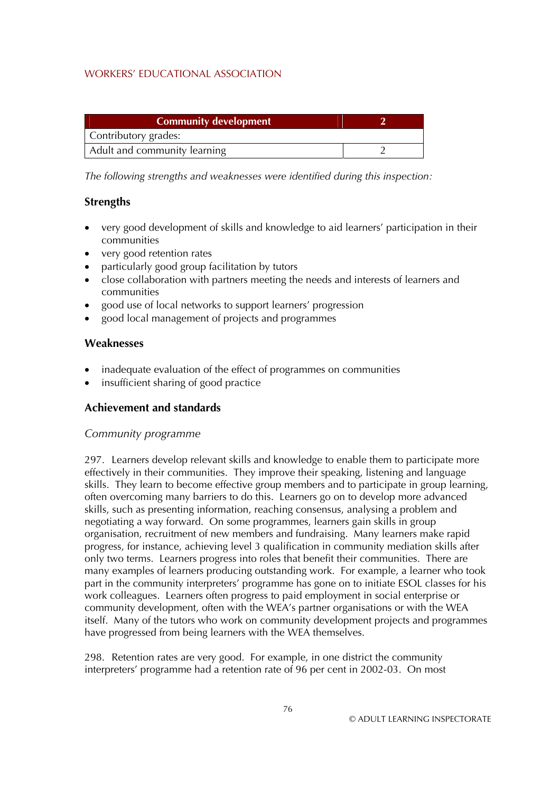| <b>Community development</b> |  |
|------------------------------|--|
| Contributory grades:         |  |
| Adult and community learning |  |

*The following strengths and weaknesses were identified during this inspection:* 

## **Strengths**

- very good development of skills and knowledge to aid learners' participation in their communities
- very good retention rates
- particularly good group facilitation by tutors
- close collaboration with partners meeting the needs and interests of learners and communities
- good use of local networks to support learners' progression
- good local management of projects and programmes

## **Weaknesses**

- inadequate evaluation of the effect of programmes on communities
- insufficient sharing of good practice

# **Achievement and standards**

### *Community programme*

297. Learners develop relevant skills and knowledge to enable them to participate more effectively in their communities. They improve their speaking, listening and language skills. They learn to become effective group members and to participate in group learning, often overcoming many barriers to do this. Learners go on to develop more advanced skills, such as presenting information, reaching consensus, analysing a problem and negotiating a way forward. On some programmes, learners gain skills in group organisation, recruitment of new members and fundraising. Many learners make rapid progress, for instance, achieving level 3 qualification in community mediation skills after only two terms. Learners progress into roles that benefit their communities. There are many examples of learners producing outstanding work. For example, a learner who took part in the community interpreters' programme has gone on to initiate ESOL classes for his work colleagues. Learners often progress to paid employment in social enterprise or community development, often with the WEA's partner organisations or with the WEA itself. Many of the tutors who work on community development projects and programmes have progressed from being learners with the WEA themselves.

298. Retention rates are very good. For example, in one district the community interpreters' programme had a retention rate of 96 per cent in 2002-03. On most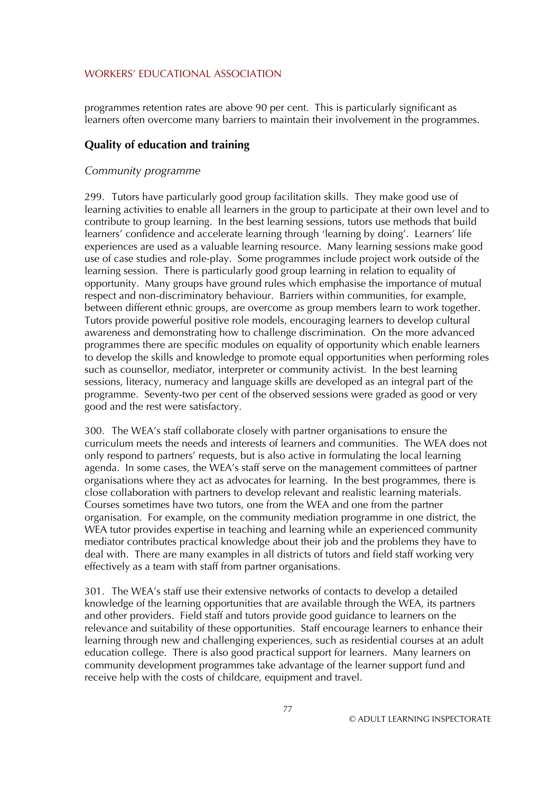programmes retention rates are above 90 per cent. This is particularly significant as learners often overcome many barriers to maintain their involvement in the programmes.

# **Quality of education and training**

### *Community programme*

299. Tutors have particularly good group facilitation skills. They make good use of learning activities to enable all learners in the group to participate at their own level and to contribute to group learning. In the best learning sessions, tutors use methods that build learners' confidence and accelerate learning through 'learning by doing'. Learners' life experiences are used as a valuable learning resource. Many learning sessions make good use of case studies and role-play. Some programmes include project work outside of the learning session. There is particularly good group learning in relation to equality of opportunity. Many groups have ground rules which emphasise the importance of mutual respect and non-discriminatory behaviour. Barriers within communities, for example, between different ethnic groups, are overcome as group members learn to work together. Tutors provide powerful positive role models, encouraging learners to develop cultural awareness and demonstrating how to challenge discrimination. On the more advanced programmes there are specific modules on equality of opportunity which enable learners to develop the skills and knowledge to promote equal opportunities when performing roles such as counsellor, mediator, interpreter or community activist. In the best learning sessions, literacy, numeracy and language skills are developed as an integral part of the programme. Seventy-two per cent of the observed sessions were graded as good or very good and the rest were satisfactory.

300. The WEA's staff collaborate closely with partner organisations to ensure the curriculum meets the needs and interests of learners and communities. The WEA does not only respond to partners' requests, but is also active in formulating the local learning agenda. In some cases, the WEA's staff serve on the management committees of partner organisations where they act as advocates for learning. In the best programmes, there is close collaboration with partners to develop relevant and realistic learning materials. Courses sometimes have two tutors, one from the WEA and one from the partner organisation. For example, on the community mediation programme in one district, the WEA tutor provides expertise in teaching and learning while an experienced community mediator contributes practical knowledge about their job and the problems they have to deal with. There are many examples in all districts of tutors and field staff working very effectively as a team with staff from partner organisations.

301. The WEA's staff use their extensive networks of contacts to develop a detailed knowledge of the learning opportunities that are available through the WEA, its partners and other providers. Field staff and tutors provide good guidance to learners on the relevance and suitability of these opportunities. Staff encourage learners to enhance their learning through new and challenging experiences, such as residential courses at an adult education college. There is also good practical support for learners. Many learners on community development programmes take advantage of the learner support fund and receive help with the costs of childcare, equipment and travel.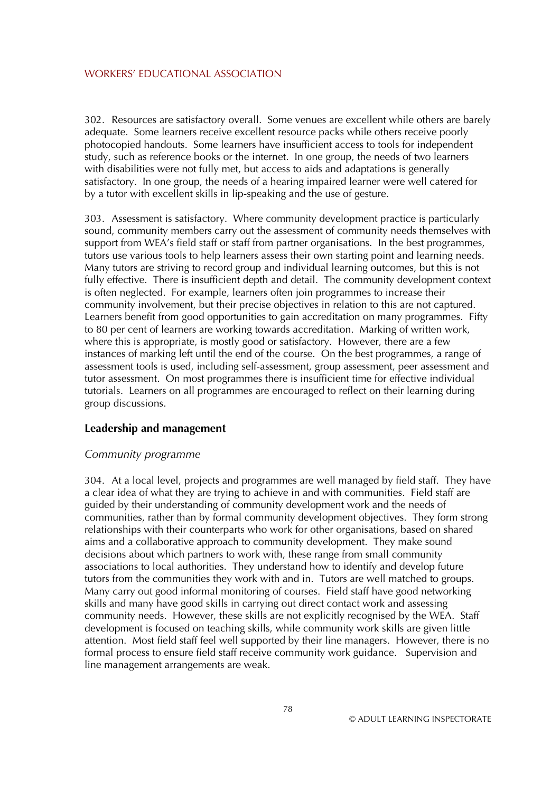302. Resources are satisfactory overall. Some venues are excellent while others are barely adequate. Some learners receive excellent resource packs while others receive poorly photocopied handouts. Some learners have insufficient access to tools for independent study, such as reference books or the internet. In one group, the needs of two learners with disabilities were not fully met, but access to aids and adaptations is generally satisfactory. In one group, the needs of a hearing impaired learner were well catered for by a tutor with excellent skills in lip-speaking and the use of gesture.

303. Assessment is satisfactory. Where community development practice is particularly sound, community members carry out the assessment of community needs themselves with support from WEA's field staff or staff from partner organisations. In the best programmes, tutors use various tools to help learners assess their own starting point and learning needs. Many tutors are striving to record group and individual learning outcomes, but this is not fully effective. There is insufficient depth and detail. The community development context is often neglected. For example, learners often join programmes to increase their community involvement, but their precise objectives in relation to this are not captured. Learners benefit from good opportunities to gain accreditation on many programmes. Fifty to 80 per cent of learners are working towards accreditation. Marking of written work, where this is appropriate, is mostly good or satisfactory. However, there are a few instances of marking left until the end of the course. On the best programmes, a range of assessment tools is used, including self-assessment, group assessment, peer assessment and tutor assessment. On most programmes there is insufficient time for effective individual tutorials. Learners on all programmes are encouraged to reflect on their learning during group discussions.

### **Leadership and management**

#### *Community programme*

304. At a local level, projects and programmes are well managed by field staff. They have a clear idea of what they are trying to achieve in and with communities. Field staff are guided by their understanding of community development work and the needs of communities, rather than by formal community development objectives. They form strong relationships with their counterparts who work for other organisations, based on shared aims and a collaborative approach to community development. They make sound decisions about which partners to work with, these range from small community associations to local authorities. They understand how to identify and develop future tutors from the communities they work with and in. Tutors are well matched to groups. Many carry out good informal monitoring of courses. Field staff have good networking skills and many have good skills in carrying out direct contact work and assessing community needs. However, these skills are not explicitly recognised by the WEA. Staff development is focused on teaching skills, while community work skills are given little attention. Most field staff feel well supported by their line managers. However, there is no formal process to ensure field staff receive community work guidance. Supervision and line management arrangements are weak.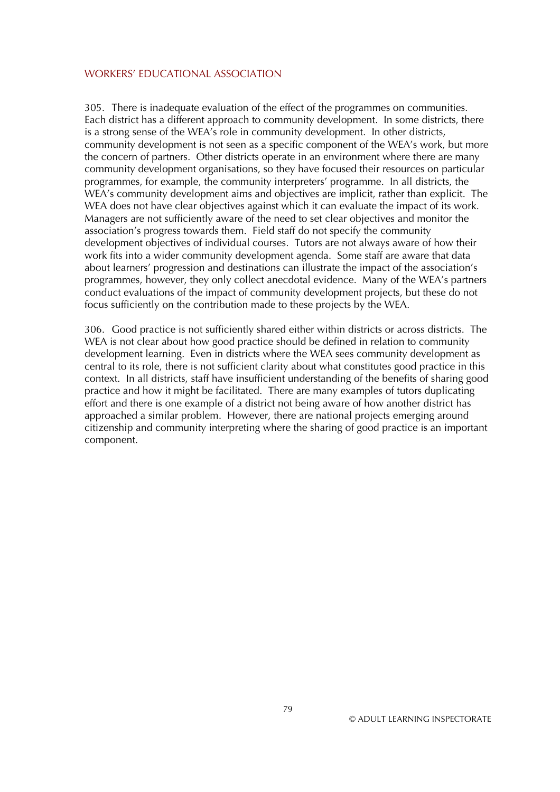305. There is inadequate evaluation of the effect of the programmes on communities. Each district has a different approach to community development. In some districts, there is a strong sense of the WEA's role in community development. In other districts, community development is not seen as a specific component of the WEA's work, but more the concern of partners. Other districts operate in an environment where there are many community development organisations, so they have focused their resources on particular programmes, for example, the community interpreters' programme. In all districts, the WEA's community development aims and objectives are implicit, rather than explicit. The WEA does not have clear objectives against which it can evaluate the impact of its work. Managers are not sufficiently aware of the need to set clear objectives and monitor the association's progress towards them. Field staff do not specify the community development objectives of individual courses. Tutors are not always aware of how their work fits into a wider community development agenda. Some staff are aware that data about learners' progression and destinations can illustrate the impact of the association's programmes, however, they only collect anecdotal evidence. Many of the WEA's partners conduct evaluations of the impact of community development projects, but these do not focus sufficiently on the contribution made to these projects by the WEA.

306. Good practice is not sufficiently shared either within districts or across districts. The WEA is not clear about how good practice should be defined in relation to community development learning. Even in districts where the WEA sees community development as central to its role, there is not sufficient clarity about what constitutes good practice in this context. In all districts, staff have insufficient understanding of the benefits of sharing good practice and how it might be facilitated. There are many examples of tutors duplicating effort and there is one example of a district not being aware of how another district has approached a similar problem. However, there are national projects emerging around citizenship and community interpreting where the sharing of good practice is an important component.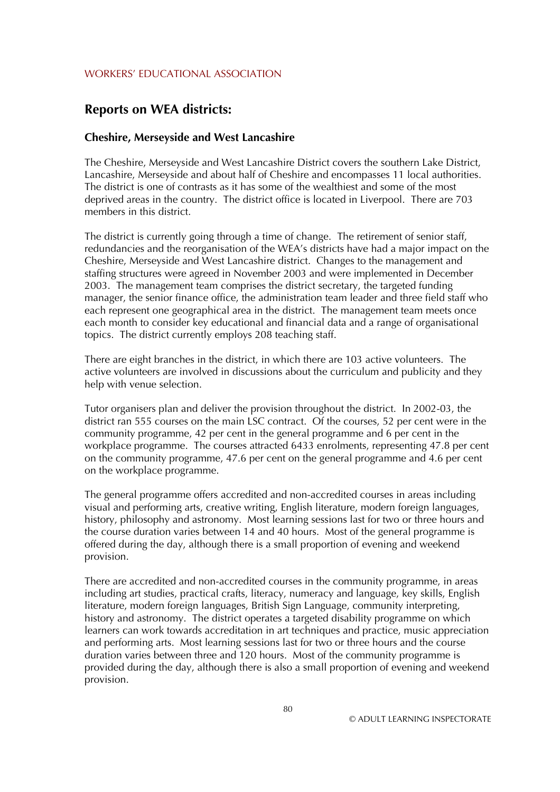# **Reports on WEA districts:**

#### **Cheshire, Merseyside and West Lancashire**

The Cheshire, Merseyside and West Lancashire District covers the southern Lake District, Lancashire, Merseyside and about half of Cheshire and encompasses 11 local authorities. The district is one of contrasts as it has some of the wealthiest and some of the most deprived areas in the country. The district office is located in Liverpool. There are 703 members in this district.

The district is currently going through a time of change. The retirement of senior staff, redundancies and the reorganisation of the WEA's districts have had a major impact on the Cheshire, Merseyside and West Lancashire district. Changes to the management and staffing structures were agreed in November 2003 and were implemented in December 2003. The management team comprises the district secretary, the targeted funding manager, the senior finance office, the administration team leader and three field staff who each represent one geographical area in the district. The management team meets once each month to consider key educational and financial data and a range of organisational topics. The district currently employs 208 teaching staff.

There are eight branches in the district, in which there are 103 active volunteers. The active volunteers are involved in discussions about the curriculum and publicity and they help with venue selection.

Tutor organisers plan and deliver the provision throughout the district. In 2002-03, the district ran 555 courses on the main LSC contract. Of the courses, 52 per cent were in the community programme, 42 per cent in the general programme and 6 per cent in the workplace programme. The courses attracted 6433 enrolments, representing 47.8 per cent on the community programme, 47.6 per cent on the general programme and 4.6 per cent on the workplace programme.

The general programme offers accredited and non-accredited courses in areas including visual and performing arts, creative writing, English literature, modern foreign languages, history, philosophy and astronomy. Most learning sessions last for two or three hours and the course duration varies between 14 and 40 hours. Most of the general programme is offered during the day, although there is a small proportion of evening and weekend provision.

There are accredited and non-accredited courses in the community programme, in areas including art studies, practical crafts, literacy, numeracy and language, key skills, English literature, modern foreign languages, British Sign Language, community interpreting, history and astronomy. The district operates a targeted disability programme on which learners can work towards accreditation in art techniques and practice, music appreciation and performing arts. Most learning sessions last for two or three hours and the course duration varies between three and 120 hours. Most of the community programme is provided during the day, although there is also a small proportion of evening and weekend provision.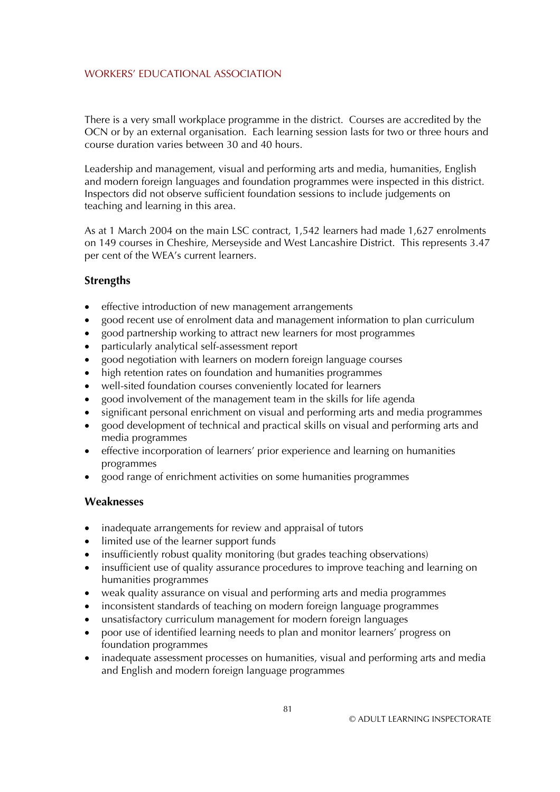There is a very small workplace programme in the district. Courses are accredited by the OCN or by an external organisation. Each learning session lasts for two or three hours and course duration varies between 30 and 40 hours.

Leadership and management, visual and performing arts and media, humanities, English and modern foreign languages and foundation programmes were inspected in this district. Inspectors did not observe sufficient foundation sessions to include judgements on teaching and learning in this area.

As at 1 March 2004 on the main LSC contract, 1,542 learners had made 1,627 enrolments on 149 courses in Cheshire, Merseyside and West Lancashire District. This represents 3.47 per cent of the WEA's current learners.

### **Strengths**

- effective introduction of new management arrangements
- good recent use of enrolment data and management information to plan curriculum
- good partnership working to attract new learners for most programmes
- particularly analytical self-assessment report
- good negotiation with learners on modern foreign language courses
- high retention rates on foundation and humanities programmes
- well-sited foundation courses conveniently located for learners
- good involvement of the management team in the skills for life agenda
- significant personal enrichment on visual and performing arts and media programmes
- good development of technical and practical skills on visual and performing arts and media programmes
- effective incorporation of learners' prior experience and learning on humanities programmes
- good range of enrichment activities on some humanities programmes

- inadequate arrangements for review and appraisal of tutors
- limited use of the learner support funds
- insufficiently robust quality monitoring (but grades teaching observations)
- insufficient use of quality assurance procedures to improve teaching and learning on humanities programmes
- weak quality assurance on visual and performing arts and media programmes
- inconsistent standards of teaching on modern foreign language programmes
- unsatisfactory curriculum management for modern foreign languages
- poor use of identified learning needs to plan and monitor learners' progress on foundation programmes
- inadequate assessment processes on humanities, visual and performing arts and media and English and modern foreign language programmes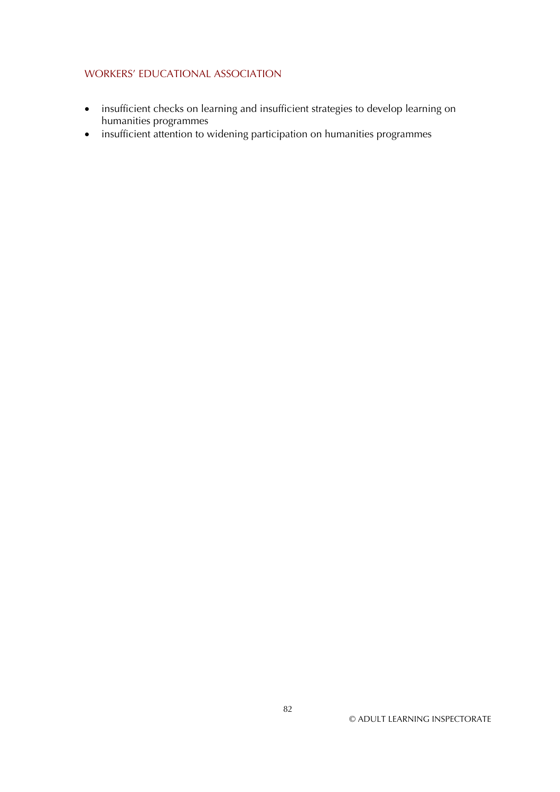- insufficient checks on learning and insufficient strategies to develop learning on humanities programmes
- insufficient attention to widening participation on humanities programmes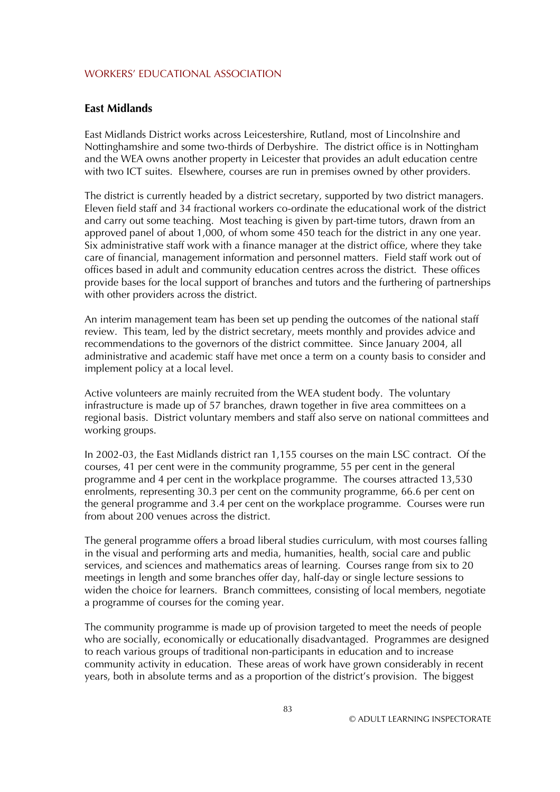### **East Midlands**

East Midlands District works across Leicestershire, Rutland, most of Lincolnshire and Nottinghamshire and some two-thirds of Derbyshire. The district office is in Nottingham and the WEA owns another property in Leicester that provides an adult education centre with two ICT suites. Elsewhere, courses are run in premises owned by other providers.

The district is currently headed by a district secretary, supported by two district managers. Eleven field staff and 34 fractional workers co-ordinate the educational work of the district and carry out some teaching. Most teaching is given by part-time tutors, drawn from an approved panel of about 1,000, of whom some 450 teach for the district in any one year. Six administrative staff work with a finance manager at the district office, where they take care of financial, management information and personnel matters. Field staff work out of offices based in adult and community education centres across the district. These offices provide bases for the local support of branches and tutors and the furthering of partnerships with other providers across the district.

An interim management team has been set up pending the outcomes of the national staff review. This team, led by the district secretary, meets monthly and provides advice and recommendations to the governors of the district committee. Since January 2004, all administrative and academic staff have met once a term on a county basis to consider and implement policy at a local level.

Active volunteers are mainly recruited from the WEA student body. The voluntary infrastructure is made up of 57 branches, drawn together in five area committees on a regional basis. District voluntary members and staff also serve on national committees and working groups.

In 2002-03, the East Midlands district ran 1,155 courses on the main LSC contract. Of the courses, 41 per cent were in the community programme, 55 per cent in the general programme and 4 per cent in the workplace programme. The courses attracted 13,530 enrolments, representing 30.3 per cent on the community programme, 66.6 per cent on the general programme and 3.4 per cent on the workplace programme. Courses were run from about 200 venues across the district.

The general programme offers a broad liberal studies curriculum, with most courses falling in the visual and performing arts and media, humanities, health, social care and public services, and sciences and mathematics areas of learning. Courses range from six to 20 meetings in length and some branches offer day, half-day or single lecture sessions to widen the choice for learners. Branch committees, consisting of local members, negotiate a programme of courses for the coming year.

The community programme is made up of provision targeted to meet the needs of people who are socially, economically or educationally disadvantaged. Programmes are designed to reach various groups of traditional non-participants in education and to increase community activity in education. These areas of work have grown considerably in recent years, both in absolute terms and as a proportion of the district's provision. The biggest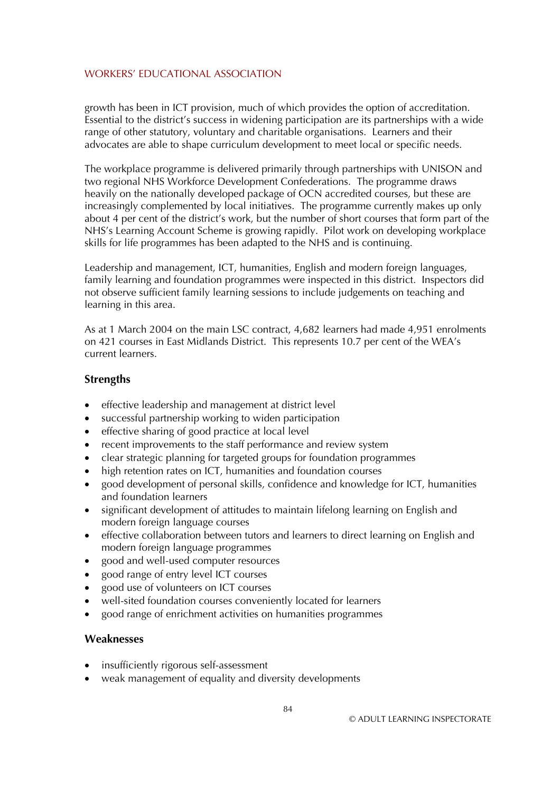growth has been in ICT provision, much of which provides the option of accreditation. Essential to the district's success in widening participation are its partnerships with a wide range of other statutory, voluntary and charitable organisations. Learners and their advocates are able to shape curriculum development to meet local or specific needs.

The workplace programme is delivered primarily through partnerships with UNISON and two regional NHS Workforce Development Confederations. The programme draws heavily on the nationally developed package of OCN accredited courses, but these are increasingly complemented by local initiatives. The programme currently makes up only about 4 per cent of the district's work, but the number of short courses that form part of the NHS's Learning Account Scheme is growing rapidly. Pilot work on developing workplace skills for life programmes has been adapted to the NHS and is continuing.

Leadership and management, ICT, humanities, English and modern foreign languages, family learning and foundation programmes were inspected in this district. Inspectors did not observe sufficient family learning sessions to include judgements on teaching and learning in this area.

As at 1 March 2004 on the main LSC contract, 4,682 learners had made 4,951 enrolments on 421 courses in East Midlands District. This represents 10.7 per cent of the WEA's current learners.

## **Strengths**

- effective leadership and management at district level
- successful partnership working to widen participation
- effective sharing of good practice at local level
- recent improvements to the staff performance and review system
- clear strategic planning for targeted groups for foundation programmes
- high retention rates on ICT, humanities and foundation courses
- good development of personal skills, confidence and knowledge for ICT, humanities and foundation learners
- significant development of attitudes to maintain lifelong learning on English and modern foreign language courses
- effective collaboration between tutors and learners to direct learning on English and modern foreign language programmes
- good and well-used computer resources
- good range of entry level ICT courses
- good use of volunteers on ICT courses
- well-sited foundation courses conveniently located for learners
- good range of enrichment activities on humanities programmes

- insufficiently rigorous self-assessment
- weak management of equality and diversity developments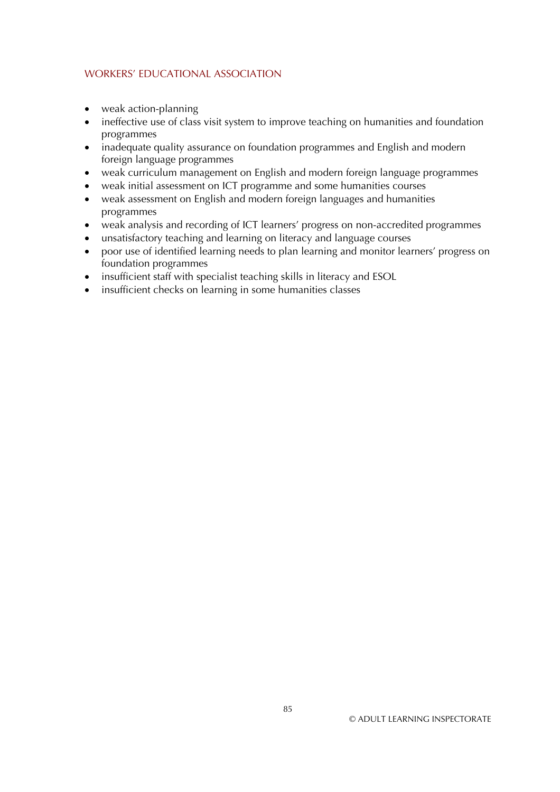- weak action-planning
- ineffective use of class visit system to improve teaching on humanities and foundation programmes
- inadequate quality assurance on foundation programmes and English and modern foreign language programmes
- weak curriculum management on English and modern foreign language programmes
- $\bullet$ weak initial assessment on ICT programme and some humanities courses
- weak assessment on English and modern foreign languages and humanities programmes
- weak analysis and recording of ICT learners' progress on non-accredited programmes
- $\bullet$ unsatisfactory teaching and learning on literacy and language courses
- poor use of identified learning needs to plan learning and monitor learners' progress on foundation programmes
- insufficient staff with specialist teaching skills in literacy and ESOL
- insufficient checks on learning in some humanities classes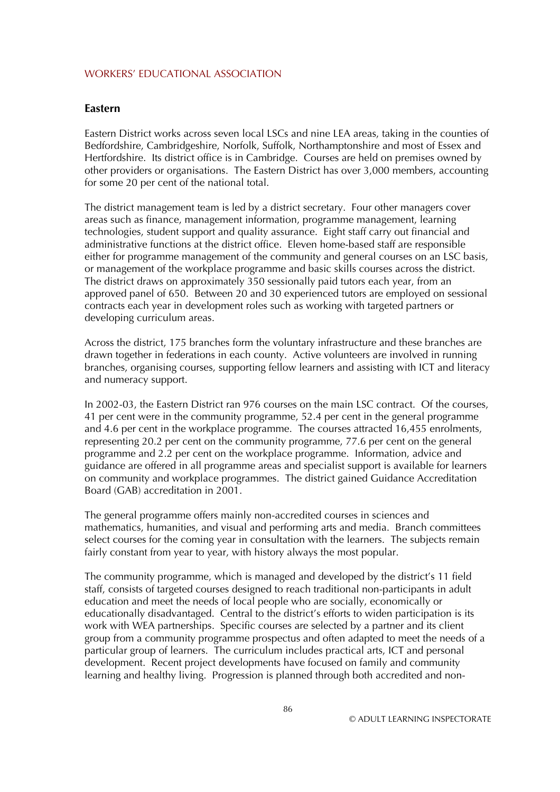#### **Eastern**

Eastern District works across seven local LSCs and nine LEA areas, taking in the counties of Bedfordshire, Cambridgeshire, Norfolk, Suffolk, Northamptonshire and most of Essex and Hertfordshire. Its district office is in Cambridge. Courses are held on premises owned by other providers or organisations. The Eastern District has over 3,000 members, accounting for some 20 per cent of the national total.

The district management team is led by a district secretary. Four other managers cover areas such as finance, management information, programme management, learning technologies, student support and quality assurance. Eight staff carry out financial and administrative functions at the district office. Eleven home-based staff are responsible either for programme management of the community and general courses on an LSC basis, or management of the workplace programme and basic skills courses across the district. The district draws on approximately 350 sessionally paid tutors each year, from an approved panel of 650. Between 20 and 30 experienced tutors are employed on sessional contracts each year in development roles such as working with targeted partners or developing curriculum areas.

Across the district, 175 branches form the voluntary infrastructure and these branches are drawn together in federations in each county. Active volunteers are involved in running branches, organising courses, supporting fellow learners and assisting with ICT and literacy and numeracy support.

In 2002-03, the Eastern District ran 976 courses on the main LSC contract. Of the courses, 41 per cent were in the community programme, 52.4 per cent in the general programme and 4.6 per cent in the workplace programme. The courses attracted 16,455 enrolments, representing 20.2 per cent on the community programme, 77.6 per cent on the general programme and 2.2 per cent on the workplace programme. Information, advice and guidance are offered in all programme areas and specialist support is available for learners on community and workplace programmes. The district gained Guidance Accreditation Board (GAB) accreditation in 2001.

The general programme offers mainly non-accredited courses in sciences and mathematics, humanities, and visual and performing arts and media. Branch committees select courses for the coming year in consultation with the learners. The subjects remain fairly constant from year to year, with history always the most popular.

The community programme, which is managed and developed by the district's 11 field staff, consists of targeted courses designed to reach traditional non-participants in adult education and meet the needs of local people who are socially, economically or educationally disadvantaged. Central to the district's efforts to widen participation is its work with WEA partnerships. Specific courses are selected by a partner and its client group from a community programme prospectus and often adapted to meet the needs of a particular group of learners. The curriculum includes practical arts, ICT and personal development. Recent project developments have focused on family and community learning and healthy living. Progression is planned through both accredited and non-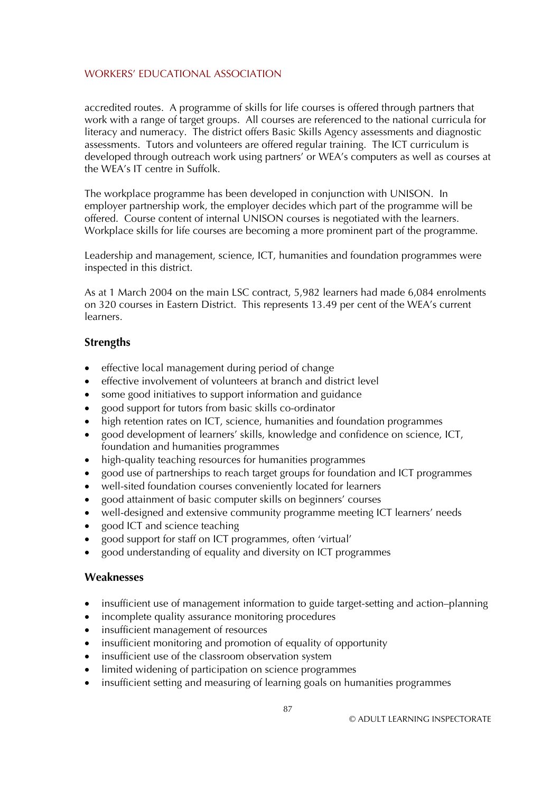accredited routes. A programme of skills for life courses is offered through partners that work with a range of target groups. All courses are referenced to the national curricula for literacy and numeracy. The district offers Basic Skills Agency assessments and diagnostic assessments. Tutors and volunteers are offered regular training. The ICT curriculum is developed through outreach work using partners' or WEA's computers as well as courses at the WEA's IT centre in Suffolk.

The workplace programme has been developed in conjunction with UNISON. In employer partnership work, the employer decides which part of the programme will be offered. Course content of internal UNISON courses is negotiated with the learners. Workplace skills for life courses are becoming a more prominent part of the programme.

Leadership and management, science, ICT, humanities and foundation programmes were inspected in this district.

As at 1 March 2004 on the main LSC contract, 5,982 learners had made 6,084 enrolments on 320 courses in Eastern District. This represents 13.49 per cent of the WEA's current learners.

## **Strengths**

- effective local management during period of change
- effective involvement of volunteers at branch and district level
- some good initiatives to support information and guidance
- good support for tutors from basic skills co-ordinator
- high retention rates on ICT, science, humanities and foundation programmes
- good development of learners' skills, knowledge and confidence on science, ICT, foundation and humanities programmes
- high-quality teaching resources for humanities programmes
- good use of partnerships to reach target groups for foundation and ICT programmes
- well-sited foundation courses conveniently located for learners
- good attainment of basic computer skills on beginners' courses
- well-designed and extensive community programme meeting ICT learners' needs
- good ICT and science teaching
- good support for staff on ICT programmes, often 'virtual'
- good understanding of equality and diversity on ICT programmes

- insufficient use of management information to guide target-setting and action–planning
- incomplete quality assurance monitoring procedures
- insufficient management of resources
- insufficient monitoring and promotion of equality of opportunity
- insufficient use of the classroom observation system
- limited widening of participation on science programmes
- insufficient setting and measuring of learning goals on humanities programmes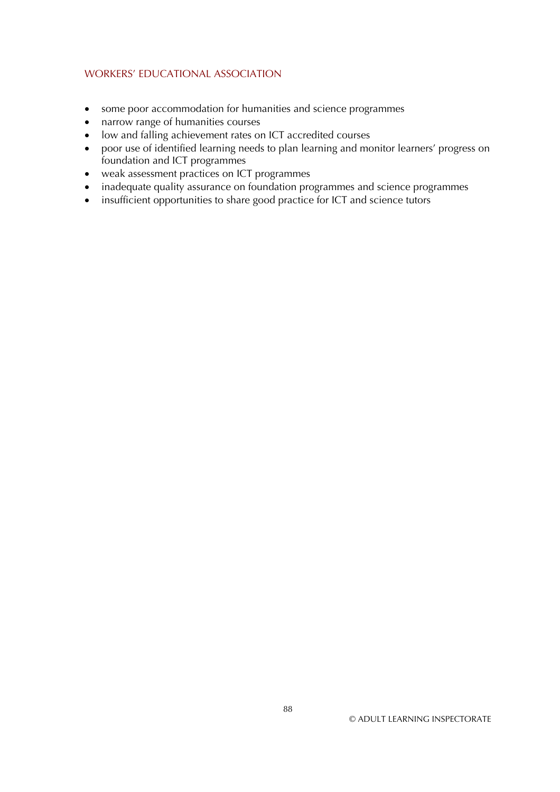- some poor accommodation for humanities and science programmes
- narrow range of humanities courses
- low and falling achievement rates on ICT accredited courses
- poor use of identified learning needs to plan learning and monitor learners' progress on foundation and ICT programmes
- weak assessment practices on ICT programmes
- inadequate quality assurance on foundation programmes and science programmes
- insufficient opportunities to share good practice for ICT and science tutors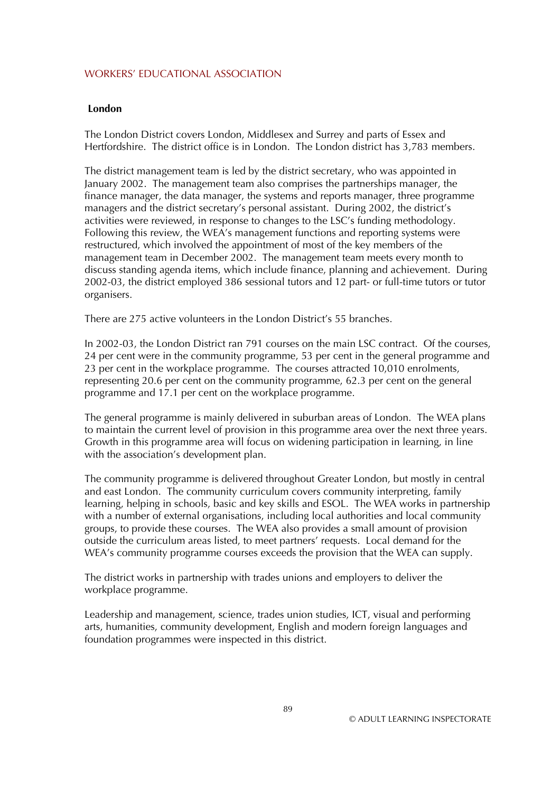### **London**

The London District covers London, Middlesex and Surrey and parts of Essex and Hertfordshire. The district office is in London. The London district has 3,783 members.

The district management team is led by the district secretary, who was appointed in January 2002. The management team also comprises the partnerships manager, the finance manager, the data manager, the systems and reports manager, three programme managers and the district secretary's personal assistant. During 2002, the district's activities were reviewed, in response to changes to the LSC's funding methodology. Following this review, the WEA's management functions and reporting systems were restructured, which involved the appointment of most of the key members of the management team in December 2002. The management team meets every month to discuss standing agenda items, which include finance, planning and achievement. During 2002-03, the district employed 386 sessional tutors and 12 part- or full-time tutors or tutor organisers.

There are 275 active volunteers in the London District's 55 branches.

In 2002-03, the London District ran 791 courses on the main LSC contract. Of the courses, 24 per cent were in the community programme, 53 per cent in the general programme and 23 per cent in the workplace programme. The courses attracted 10,010 enrolments, representing 20.6 per cent on the community programme, 62.3 per cent on the general programme and 17.1 per cent on the workplace programme.

The general programme is mainly delivered in suburban areas of London. The WEA plans to maintain the current level of provision in this programme area over the next three years. Growth in this programme area will focus on widening participation in learning, in line with the association's development plan.

The community programme is delivered throughout Greater London, but mostly in central and east London. The community curriculum covers community interpreting, family learning, helping in schools, basic and key skills and ESOL. The WEA works in partnership with a number of external organisations, including local authorities and local community groups, to provide these courses. The WEA also provides a small amount of provision outside the curriculum areas listed, to meet partners' requests. Local demand for the WEA's community programme courses exceeds the provision that the WEA can supply.

The district works in partnership with trades unions and employers to deliver the workplace programme.

Leadership and management, science, trades union studies, ICT, visual and performing arts, humanities, community development, English and modern foreign languages and foundation programmes were inspected in this district.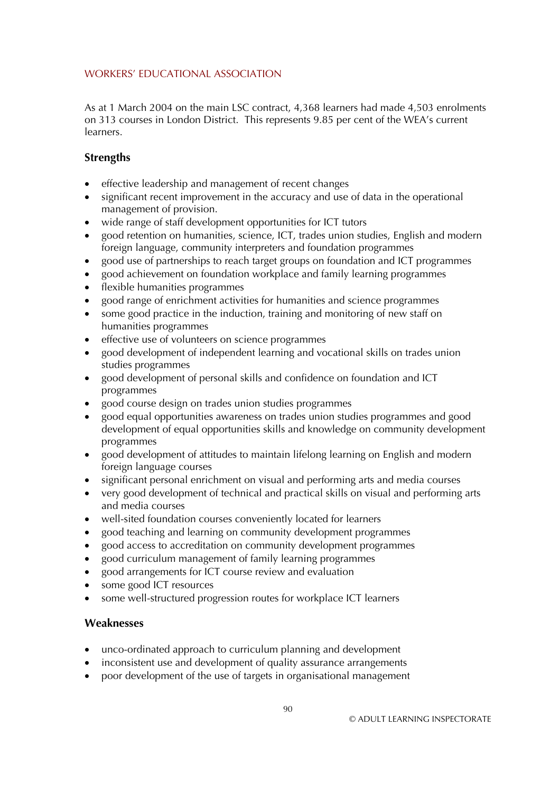As at 1 March 2004 on the main LSC contract, 4,368 learners had made 4,503 enrolments on 313 courses in London District. This represents 9.85 per cent of the WEA's current learners.

# **Strengths**

- effective leadership and management of recent changes
- significant recent improvement in the accuracy and use of data in the operational management of provision.
- wide range of staff development opportunities for ICT tutors
- good retention on humanities, science, ICT, trades union studies, English and modern foreign language, community interpreters and foundation programmes
- good use of partnerships to reach target groups on foundation and ICT programmes
- good achievement on foundation workplace and family learning programmes
- flexible humanities programmes
- good range of enrichment activities for humanities and science programmes
- some good practice in the induction, training and monitoring of new staff on humanities programmes
- effective use of volunteers on science programmes
- good development of independent learning and vocational skills on trades union studies programmes
- good development of personal skills and confidence on foundation and ICT programmes
- good course design on trades union studies programmes
- good equal opportunities awareness on trades union studies programmes and good development of equal opportunities skills and knowledge on community development programmes
- good development of attitudes to maintain lifelong learning on English and modern foreign language courses
- significant personal enrichment on visual and performing arts and media courses
- very good development of technical and practical skills on visual and performing arts and media courses
- well-sited foundation courses conveniently located for learners
- good teaching and learning on community development programmes
- good access to accreditation on community development programmes
- good curriculum management of family learning programmes
- good arrangements for ICT course review and evaluation
- some good ICT resources
- some well-structured progression routes for workplace ICT learners

- unco-ordinated approach to curriculum planning and development
- inconsistent use and development of quality assurance arrangements
- poor development of the use of targets in organisational management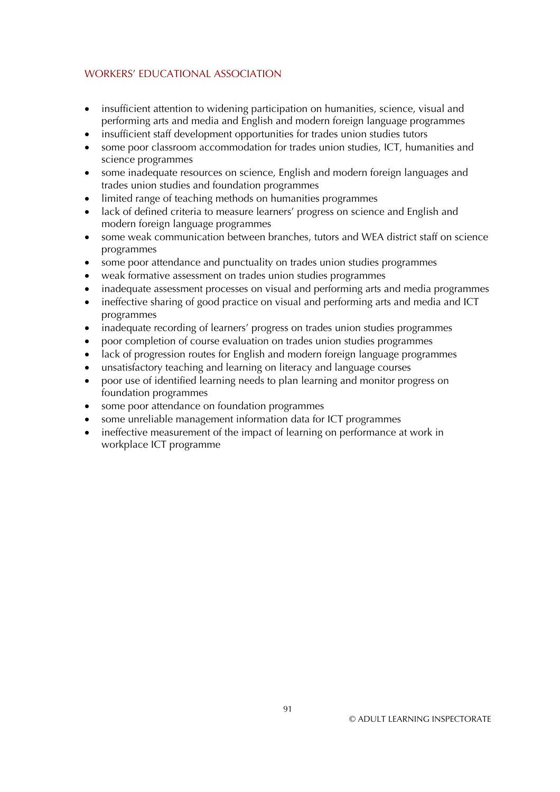- insufficient attention to widening participation on humanities, science, visual and performing arts and media and English and modern foreign language programmes
- insufficient staff development opportunities for trades union studies tutors
- some poor classroom accommodation for trades union studies, ICT, humanities and science programmes
- some inadequate resources on science, English and modern foreign languages and trades union studies and foundation programmes
- limited range of teaching methods on humanities programmes
- lack of defined criteria to measure learners' progress on science and English and modern foreign language programmes
- some weak communication between branches, tutors and WEA district staff on science programmes
- some poor attendance and punctuality on trades union studies programmes
- weak formative assessment on trades union studies programmes
- inadequate assessment processes on visual and performing arts and media programmes
- ineffective sharing of good practice on visual and performing arts and media and ICT programmes
- inadequate recording of learners' progress on trades union studies programmes
- poor completion of course evaluation on trades union studies programmes
- lack of progression routes for English and modern foreign language programmes
- unsatisfactory teaching and learning on literacy and language courses
- poor use of identified learning needs to plan learning and monitor progress on foundation programmes
- some poor attendance on foundation programmes
- some unreliable management information data for ICT programmes
- ineffective measurement of the impact of learning on performance at work in workplace ICT programme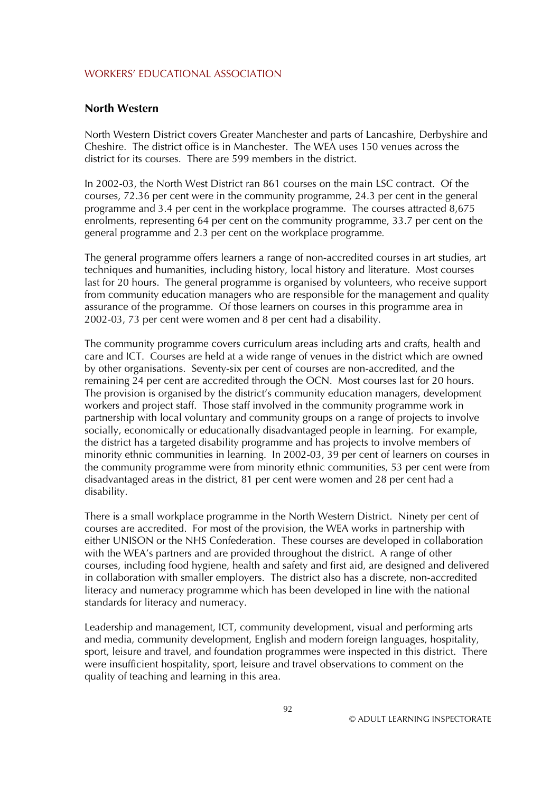#### **North Western**

North Western District covers Greater Manchester and parts of Lancashire, Derbyshire and Cheshire. The district office is in Manchester. The WEA uses 150 venues across the district for its courses. There are 599 members in the district.

In 2002-03, the North West District ran 861 courses on the main LSC contract. Of the courses, 72.36 per cent were in the community programme, 24.3 per cent in the general programme and 3.4 per cent in the workplace programme. The courses attracted 8,675 enrolments, representing 64 per cent on the community programme, 33.7 per cent on the general programme and 2.3 per cent on the workplace programme*.* 

The general programme offers learners a range of non-accredited courses in art studies, art techniques and humanities, including history, local history and literature. Most courses last for 20 hours. The general programme is organised by volunteers, who receive support from community education managers who are responsible for the management and quality assurance of the programme. Of those learners on courses in this programme area in 2002-03, 73 per cent were women and 8 per cent had a disability.

The community programme covers curriculum areas including arts and crafts, health and care and ICT. Courses are held at a wide range of venues in the district which are owned by other organisations. Seventy-six per cent of courses are non-accredited, and the remaining 24 per cent are accredited through the OCN. Most courses last for 20 hours. The provision is organised by the district's community education managers, development workers and project staff. Those staff involved in the community programme work in partnership with local voluntary and community groups on a range of projects to involve socially, economically or educationally disadvantaged people in learning. For example, the district has a targeted disability programme and has projects to involve members of minority ethnic communities in learning. In 2002-03, 39 per cent of learners on courses in the community programme were from minority ethnic communities, 53 per cent were from disadvantaged areas in the district, 81 per cent were women and 28 per cent had a disability.

There is a small workplace programme in the North Western District. Ninety per cent of courses are accredited. For most of the provision, the WEA works in partnership with either UNISON or the NHS Confederation. These courses are developed in collaboration with the WEA's partners and are provided throughout the district. A range of other courses, including food hygiene, health and safety and first aid, are designed and delivered in collaboration with smaller employers. The district also has a discrete, non-accredited literacy and numeracy programme which has been developed in line with the national standards for literacy and numeracy.

Leadership and management, ICT, community development, visual and performing arts and media, community development, English and modern foreign languages, hospitality, sport, leisure and travel, and foundation programmes were inspected in this district. There were insufficient hospitality, sport, leisure and travel observations to comment on the quality of teaching and learning in this area.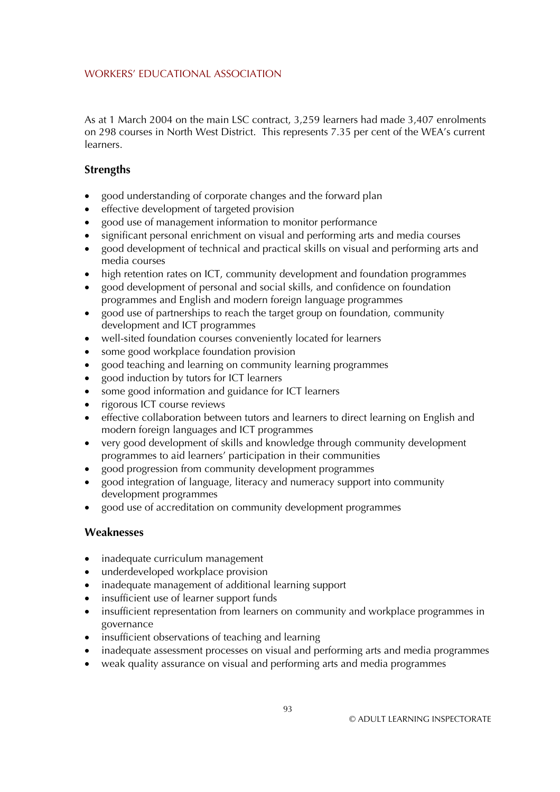As at 1 March 2004 on the main LSC contract, 3,259 learners had made 3,407 enrolments on 298 courses in North West District. This represents 7.35 per cent of the WEA's current learners.

# **Strengths**

- good understanding of corporate changes and the forward plan
- effective development of targeted provision
- good use of management information to monitor performance
- significant personal enrichment on visual and performing arts and media courses
- good development of technical and practical skills on visual and performing arts and media courses
- high retention rates on ICT, community development and foundation programmes
- good development of personal and social skills, and confidence on foundation programmes and English and modern foreign language programmes
- good use of partnerships to reach the target group on foundation, community development and ICT programmes
- well-sited foundation courses conveniently located for learners
- some good workplace foundation provision
- good teaching and learning on community learning programmes
- good induction by tutors for ICT learners
- some good information and guidance for ICT learners
- rigorous ICT course reviews
- effective collaboration between tutors and learners to direct learning on English and modern foreign languages and ICT programmes
- very good development of skills and knowledge through community development programmes to aid learners' participation in their communities
- good progression from community development programmes
- good integration of language, literacy and numeracy support into community development programmes
- good use of accreditation on community development programmes

- inadequate curriculum management
- underdeveloped workplace provision
- inadequate management of additional learning support
- insufficient use of learner support funds
- insufficient representation from learners on community and workplace programmes in governance
- insufficient observations of teaching and learning
- inadequate assessment processes on visual and performing arts and media programmes
- weak quality assurance on visual and performing arts and media programmes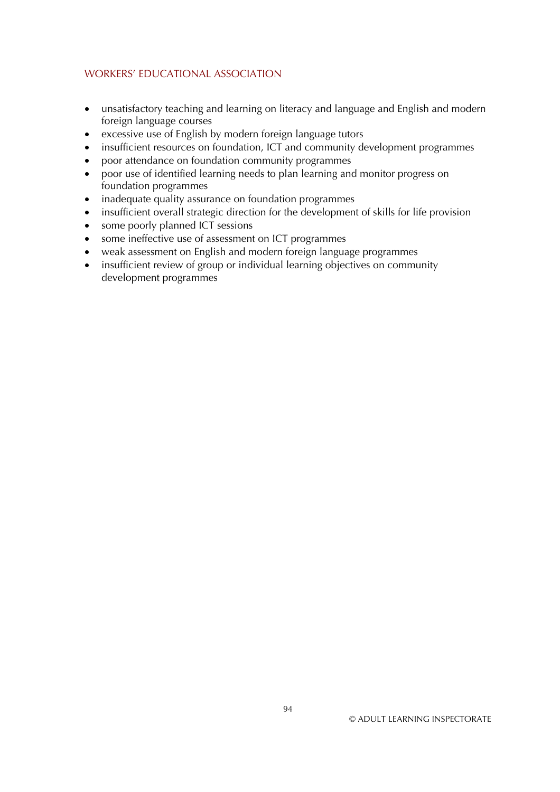- unsatisfactory teaching and learning on literacy and language and English and modern foreign language courses
- excessive use of English by modern foreign language tutors
- insufficient resources on foundation, ICT and community development programmes
- poor attendance on foundation community programmes
- $\bullet$ poor use of identified learning needs to plan learning and monitor progress on foundation programmes
- inadequate quality assurance on foundation programmes
- insufficient overall strategic direction for the development of skills for life provision
- $\bullet$ some poorly planned ICT sessions
- some ineffective use of assessment on ICT programmes
- weak assessment on English and modern foreign language programmes
- insufficient review of group or individual learning objectives on community development programmes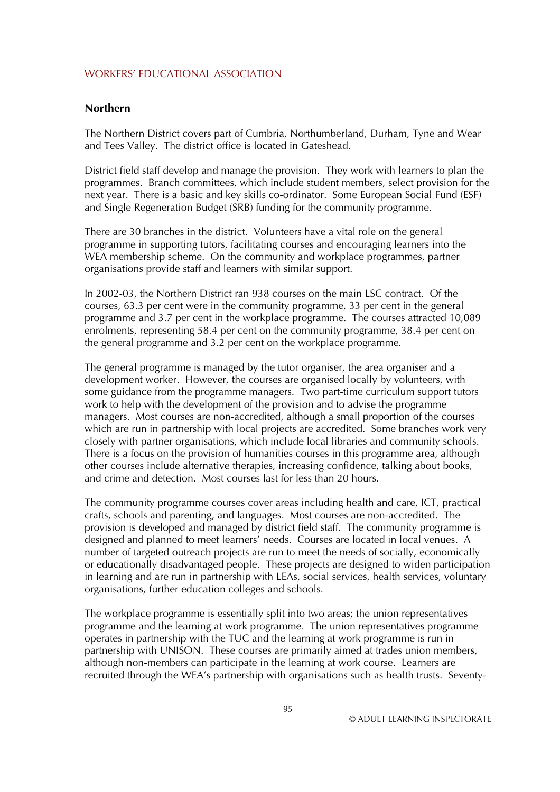#### **Northern**

The Northern District covers part of Cumbria, Northumberland, Durham, Tyne and Wear and Tees Valley. The district office is located in Gateshead.

District field staff develop and manage the provision. They work with learners to plan the programmes. Branch committees, which include student members, select provision for the next year. There is a basic and key skills co-ordinator. Some European Social Fund (ESF) and Single Regeneration Budget (SRB) funding for the community programme.

There are 30 branches in the district. Volunteers have a vital role on the general programme in supporting tutors, facilitating courses and encouraging learners into the WEA membership scheme. On the community and workplace programmes, partner organisations provide staff and learners with similar support.

In 2002-03, the Northern District ran 938 courses on the main LSC contract. Of the courses, 63.3 per cent were in the community programme, 33 per cent in the general programme and 3.7 per cent in the workplace programme. The courses attracted 10,089 enrolments, representing 58.4 per cent on the community programme, 38.4 per cent on the general programme and 3.2 per cent on the workplace programme*.* 

The general programme is managed by the tutor organiser, the area organiser and a development worker. However, the courses are organised locally by volunteers, with some guidance from the programme managers. Two part-time curriculum support tutors work to help with the development of the provision and to advise the programme managers. Most courses are non-accredited, although a small proportion of the courses which are run in partnership with local projects are accredited. Some branches work very closely with partner organisations, which include local libraries and community schools. There is a focus on the provision of humanities courses in this programme area, although other courses include alternative therapies, increasing confidence, talking about books, and crime and detection. Most courses last for less than 20 hours.

The community programme courses cover areas including health and care, ICT, practical crafts, schools and parenting, and languages. Most courses are non-accredited. The provision is developed and managed by district field staff. The community programme is designed and planned to meet learners' needs. Courses are located in local venues. A number of targeted outreach projects are run to meet the needs of socially, economically or educationally disadvantaged people. These projects are designed to widen participation in learning and are run in partnership with LEAs, social services, health services, voluntary organisations, further education colleges and schools.

The workplace programme is essentially split into two areas; the union representatives programme and the learning at work programme. The union representatives programme operates in partnership with the TUC and the learning at work programme is run in partnership with UNISON. These courses are primarily aimed at trades union members, although non-members can participate in the learning at work course. Learners are recruited through the WEA's partnership with organisations such as health trusts. Seventy-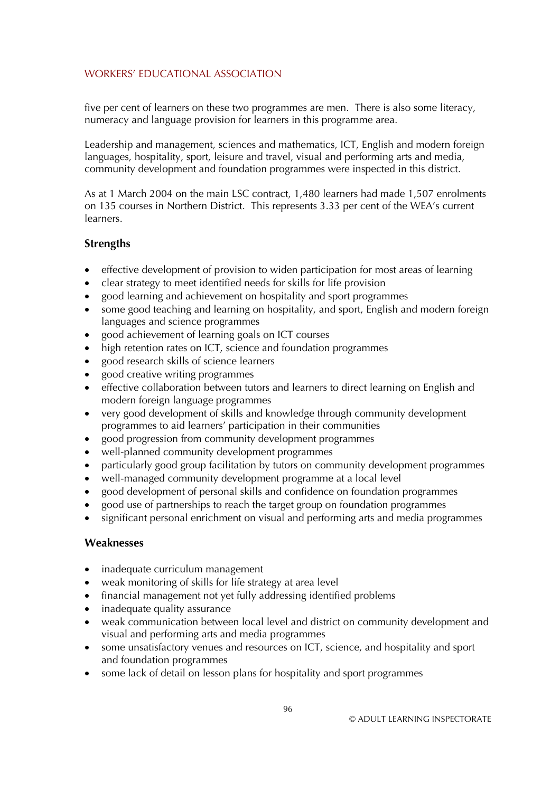five per cent of learners on these two programmes are men. There is also some literacy, numeracy and language provision for learners in this programme area.

Leadership and management, sciences and mathematics, ICT, English and modern foreign languages, hospitality, sport, leisure and travel, visual and performing arts and media, community development and foundation programmes were inspected in this district.

As at 1 March 2004 on the main LSC contract, 1,480 learners had made 1,507 enrolments on 135 courses in Northern District. This represents 3.33 per cent of the WEA's current learners.

# **Strengths**

- effective development of provision to widen participation for most areas of learning
- clear strategy to meet identified needs for skills for life provision
- good learning and achievement on hospitality and sport programmes
- some good teaching and learning on hospitality, and sport, English and modern foreign languages and science programmes
- good achievement of learning goals on ICT courses
- high retention rates on ICT, science and foundation programmes
- good research skills of science learners
- good creative writing programmes
- effective collaboration between tutors and learners to direct learning on English and modern foreign language programmes
- very good development of skills and knowledge through community development programmes to aid learners' participation in their communities
- good progression from community development programmes
- well-planned community development programmes
- particularly good group facilitation by tutors on community development programmes
- well-managed community development programme at a local level
- good development of personal skills and confidence on foundation programmes
- good use of partnerships to reach the target group on foundation programmes
- significant personal enrichment on visual and performing arts and media programmes

- inadequate curriculum management
- weak monitoring of skills for life strategy at area level
- financial management not yet fully addressing identified problems
- inadequate quality assurance
- weak communication between local level and district on community development and visual and performing arts and media programmes
- some unsatisfactory venues and resources on ICT, science, and hospitality and sport and foundation programmes
- some lack of detail on lesson plans for hospitality and sport programmes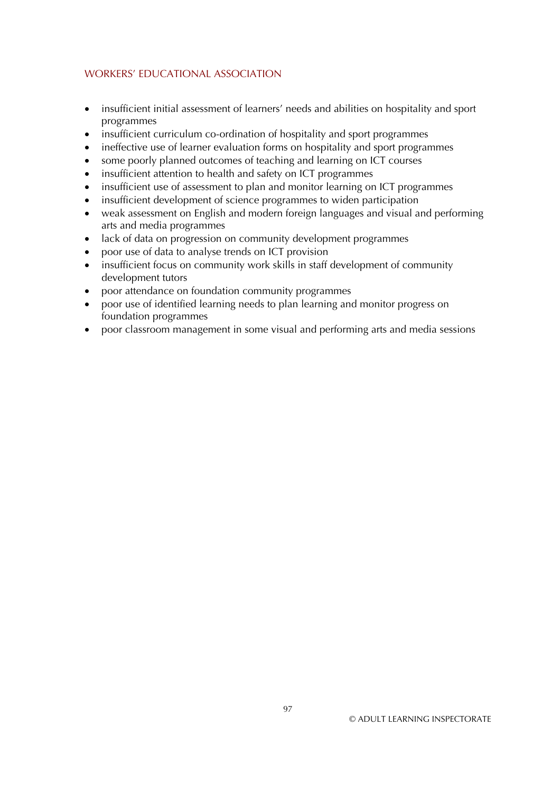- insufficient initial assessment of learners' needs and abilities on hospitality and sport programmes
- insufficient curriculum co-ordination of hospitality and sport programmes
- ineffective use of learner evaluation forms on hospitality and sport programmes
- some poorly planned outcomes of teaching and learning on ICT courses
- insufficient attention to health and safety on ICT programmes
- insufficient use of assessment to plan and monitor learning on ICT programmes
- insufficient development of science programmes to widen participation
- weak assessment on English and modern foreign languages and visual and performing arts and media programmes
- lack of data on progression on community development programmes
- poor use of data to analyse trends on ICT provision
- insufficient focus on community work skills in staff development of community development tutors
- poor attendance on foundation community programmes
- poor use of identified learning needs to plan learning and monitor progress on foundation programmes
- poor classroom management in some visual and performing arts and media sessions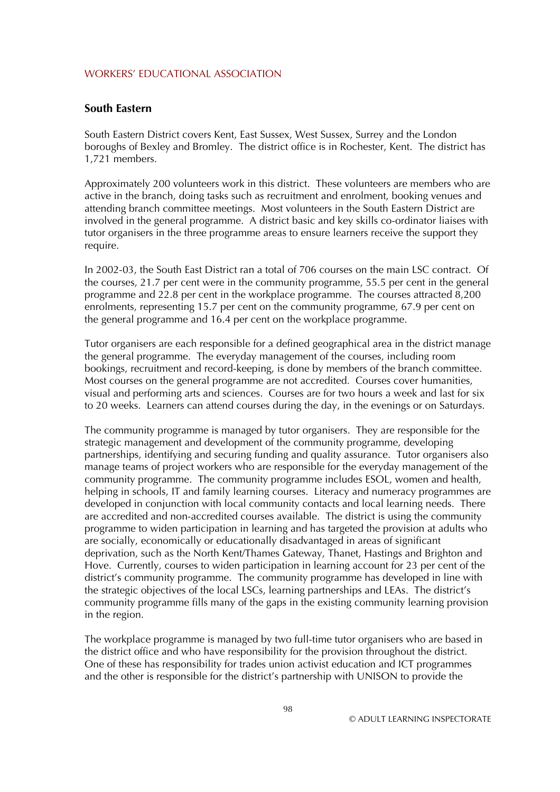#### **South Eastern**

South Eastern District covers Kent, East Sussex, West Sussex, Surrey and the London boroughs of Bexley and Bromley. The district office is in Rochester, Kent. The district has 1,721 members.

Approximately 200 volunteers work in this district. These volunteers are members who are active in the branch, doing tasks such as recruitment and enrolment, booking venues and attending branch committee meetings. Most volunteers in the South Eastern District are involved in the general programme. A district basic and key skills co-ordinator liaises with tutor organisers in the three programme areas to ensure learners receive the support they require.

In 2002-03, the South East District ran a total of 706 courses on the main LSC contract. Of the courses, 21.7 per cent were in the community programme, 55.5 per cent in the general programme and 22.8 per cent in the workplace programme. The courses attracted 8,200 enrolments, representing 15.7 per cent on the community programme, 67.9 per cent on the general programme and 16.4 per cent on the workplace programme.

Tutor organisers are each responsible for a defined geographical area in the district manage the general programme. The everyday management of the courses, including room bookings, recruitment and record-keeping, is done by members of the branch committee. Most courses on the general programme are not accredited. Courses cover humanities, visual and performing arts and sciences. Courses are for two hours a week and last for six to 20 weeks. Learners can attend courses during the day, in the evenings or on Saturdays.

The community programme is managed by tutor organisers. They are responsible for the strategic management and development of the community programme, developing partnerships, identifying and securing funding and quality assurance. Tutor organisers also manage teams of project workers who are responsible for the everyday management of the community programme. The community programme includes ESOL, women and health, helping in schools, IT and family learning courses. Literacy and numeracy programmes are developed in conjunction with local community contacts and local learning needs. There are accredited and non-accredited courses available. The district is using the community programme to widen participation in learning and has targeted the provision at adults who are socially, economically or educationally disadvantaged in areas of significant deprivation, such as the North Kent/Thames Gateway, Thanet, Hastings and Brighton and Hove. Currently, courses to widen participation in learning account for 23 per cent of the district's community programme. The community programme has developed in line with the strategic objectives of the local LSCs, learning partnerships and LEAs. The district's community programme fills many of the gaps in the existing community learning provision in the region.

The workplace programme is managed by two full-time tutor organisers who are based in the district office and who have responsibility for the provision throughout the district. One of these has responsibility for trades union activist education and ICT programmes and the other is responsible for the district's partnership with UNISON to provide the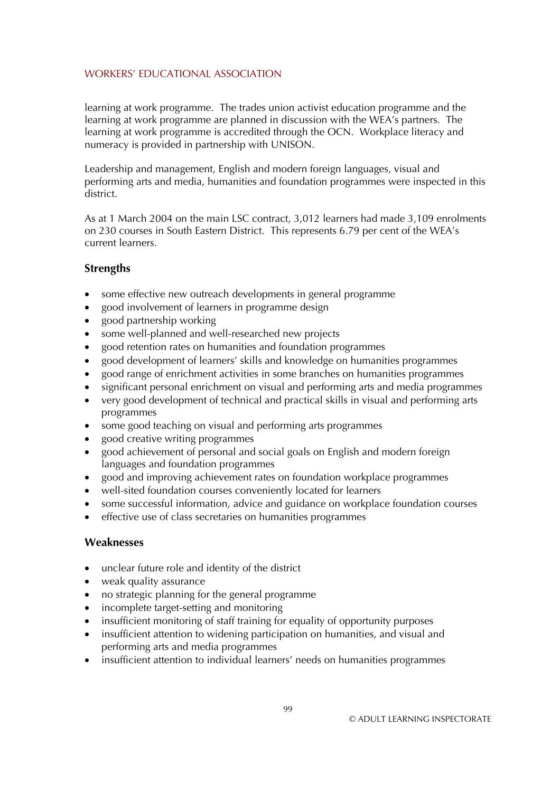learning at work programme. The trades union activist education programme and the learning at work programme are planned in discussion with the WEA's partners. The learning at work programme is accredited through the OCN. Workplace literacy and numeracy is provided in partnership with UNISON.

Leadership and management, English and modern foreign languages, visual and performing arts and media, humanities and foundation programmes were inspected in this district.

As at 1 March 2004 on the main LSC contract, 3,012 learners had made 3,109 enrolments on 230 courses in South Eastern District. This represents 6.79 per cent of the WEA's current learners.

### **Strengths**

- some effective new outreach developments in general programme
- good involvement of learners in programme design
- good partnership working
- some well-planned and well-researched new projects
- good retention rates on humanities and foundation programmes
- good development of learners' skills and knowledge on humanities programmes
- good range of enrichment activities in some branches on humanities programmes
- significant personal enrichment on visual and performing arts and media programmes
- very good development of technical and practical skills in visual and performing arts programmes
- some good teaching on visual and performing arts programmes
- good creative writing programmes
- good achievement of personal and social goals on English and modern foreign languages and foundation programmes
- good and improving achievement rates on foundation workplace programmes
- well-sited foundation courses conveniently located for learners
- some successful information, advice and guidance on workplace foundation courses
- effective use of class secretaries on humanities programmes

- unclear future role and identity of the district
- weak quality assurance
- no strategic planning for the general programme
- incomplete target-setting and monitoring
- insufficient monitoring of staff training for equality of opportunity purposes
- insufficient attention to widening participation on humanities, and visual and performing arts and media programmes
- insufficient attention to individual learners' needs on humanities programmes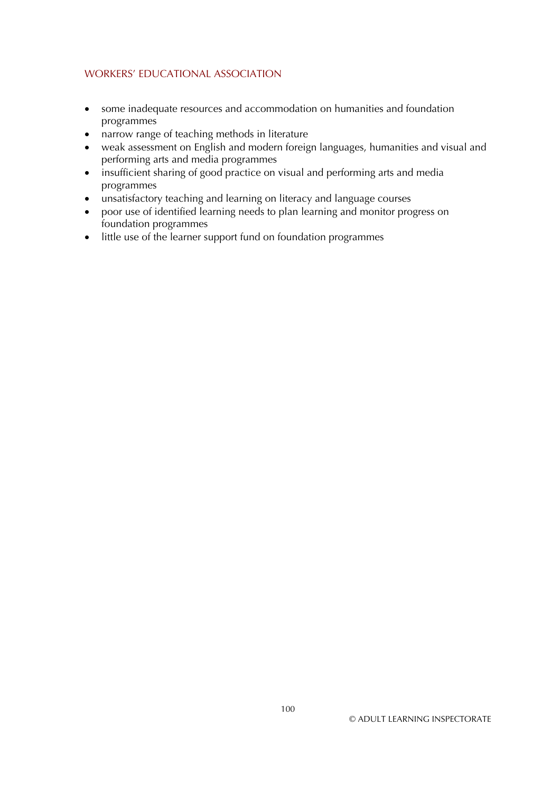- some inadequate resources and accommodation on humanities and foundation programmes
- narrow range of teaching methods in literature
- weak assessment on English and modern foreign languages, humanities and visual and performing arts and media programmes
- insufficient sharing of good practice on visual and performing arts and media programmes
- unsatisfactory teaching and learning on literacy and language courses
- poor use of identified learning needs to plan learning and monitor progress on foundation programmes
- little use of the learner support fund on foundation programmes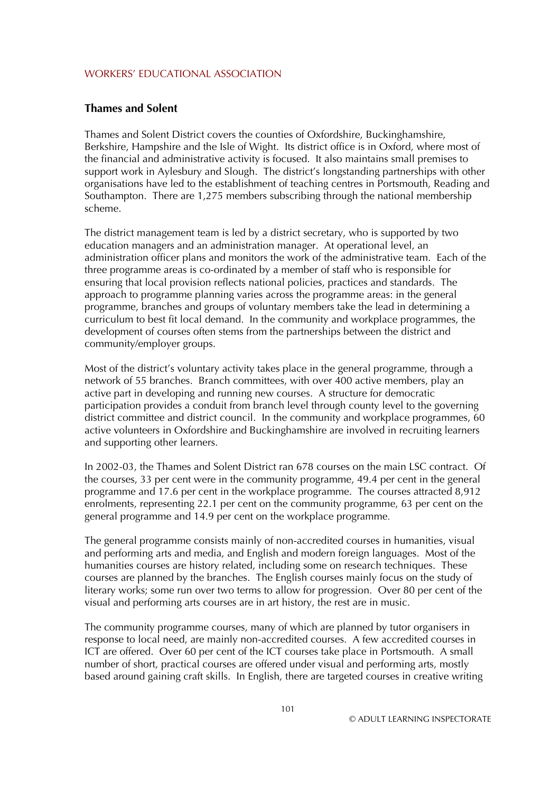### **Thames and Solent**

Thames and Solent District covers the counties of Oxfordshire, Buckinghamshire, Berkshire, Hampshire and the Isle of Wight. Its district office is in Oxford, where most of the financial and administrative activity is focused. It also maintains small premises to support work in Aylesbury and Slough. The district's longstanding partnerships with other organisations have led to the establishment of teaching centres in Portsmouth, Reading and Southampton. There are 1,275 members subscribing through the national membership scheme.

The district management team is led by a district secretary, who is supported by two education managers and an administration manager. At operational level, an administration officer plans and monitors the work of the administrative team. Each of the three programme areas is co-ordinated by a member of staff who is responsible for ensuring that local provision reflects national policies, practices and standards. The approach to programme planning varies across the programme areas: in the general programme, branches and groups of voluntary members take the lead in determining a curriculum to best fit local demand. In the community and workplace programmes, the development of courses often stems from the partnerships between the district and community/employer groups.

Most of the district's voluntary activity takes place in the general programme, through a network of 55 branches. Branch committees, with over 400 active members, play an active part in developing and running new courses. A structure for democratic participation provides a conduit from branch level through county level to the governing district committee and district council. In the community and workplace programmes, 60 active volunteers in Oxfordshire and Buckinghamshire are involved in recruiting learners and supporting other learners.

In 2002-03, the Thames and Solent District ran 678 courses on the main LSC contract. Of the courses, 33 per cent were in the community programme, 49.4 per cent in the general programme and 17.6 per cent in the workplace programme. The courses attracted 8,912 enrolments, representing 22.1 per cent on the community programme, 63 per cent on the general programme and 14.9 per cent on the workplace programme*.* 

The general programme consists mainly of non-accredited courses in humanities, visual and performing arts and media, and English and modern foreign languages. Most of the humanities courses are history related, including some on research techniques. These courses are planned by the branches. The English courses mainly focus on the study of literary works; some run over two terms to allow for progression. Over 80 per cent of the visual and performing arts courses are in art history, the rest are in music.

The community programme courses, many of which are planned by tutor organisers in response to local need, are mainly non-accredited courses. A few accredited courses in ICT are offered. Over 60 per cent of the ICT courses take place in Portsmouth. A small number of short, practical courses are offered under visual and performing arts, mostly based around gaining craft skills. In English, there are targeted courses in creative writing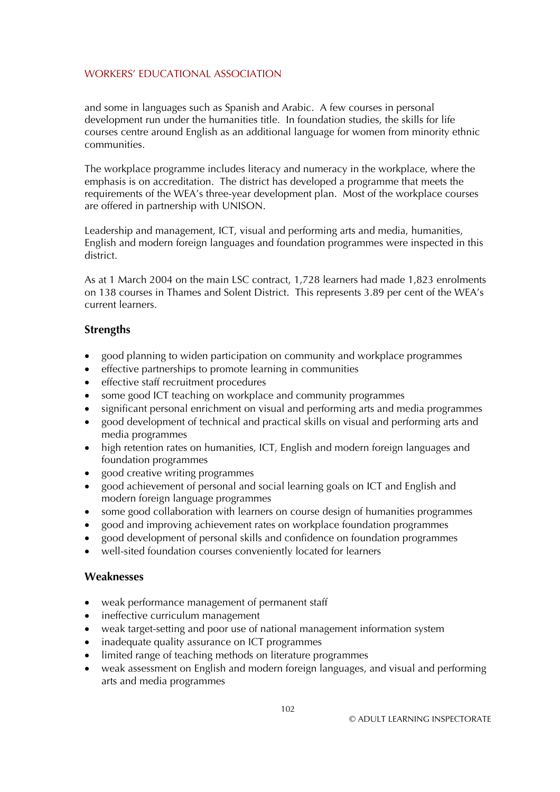and some in languages such as Spanish and Arabic. A few courses in personal development run under the humanities title. In foundation studies, the skills for life courses centre around English as an additional language for women from minority ethnic communities.

The workplace programme includes literacy and numeracy in the workplace, where the emphasis is on accreditation. The district has developed a programme that meets the requirements of the WEA's three-year development plan. Most of the workplace courses are offered in partnership with UNISON.

Leadership and management, ICT, visual and performing arts and media, humanities, English and modern foreign languages and foundation programmes were inspected in this district.

As at 1 March 2004 on the main LSC contract, 1,728 learners had made 1,823 enrolments on 138 courses in Thames and Solent District. This represents 3.89 per cent of the WEA's current learners.

## **Strengths**

- good planning to widen participation on community and workplace programmes
- effective partnerships to promote learning in communities
- effective staff recruitment procedures
- some good ICT teaching on workplace and community programmes
- significant personal enrichment on visual and performing arts and media programmes
- good development of technical and practical skills on visual and performing arts and media programmes
- high retention rates on humanities, ICT, English and modern foreign languages and foundation programmes
- good creative writing programmes
- good achievement of personal and social learning goals on ICT and English and modern foreign language programmes
- some good collaboration with learners on course design of humanities programmes
- good and improving achievement rates on workplace foundation programmes
- good development of personal skills and confidence on foundation programmes
- well-sited foundation courses conveniently located for learners

- weak performance management of permanent staff
- ineffective curriculum management
- weak target-setting and poor use of national management information system
- inadequate quality assurance on ICT programmes
- limited range of teaching methods on literature programmes
- weak assessment on English and modern foreign languages, and visual and performing arts and media programmes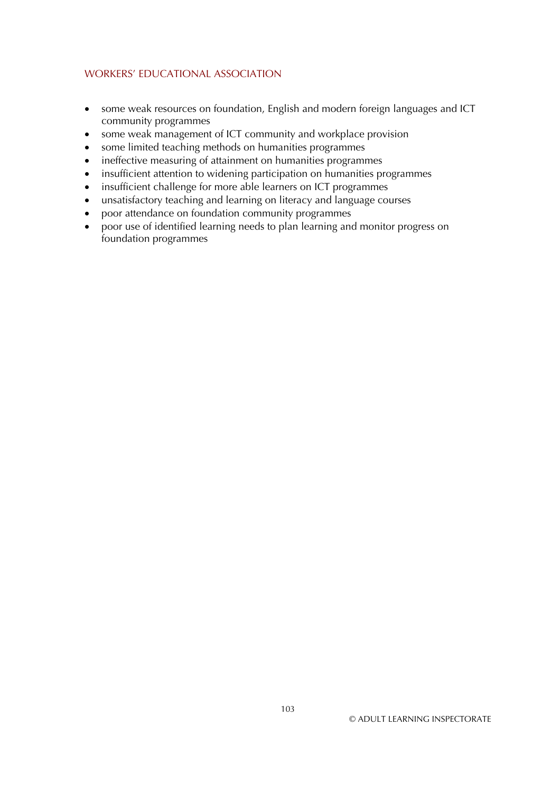- some weak resources on foundation, English and modern foreign languages and ICT community programmes
- some weak management of ICT community and workplace provision
- $\bullet$ some limited teaching methods on humanities programmes
- ineffective measuring of attainment on humanities programmes
- insufficient attention to widening participation on humanities programmes
- $\bullet$ insufficient challenge for more able learners on ICT programmes
- $\bullet$ unsatisfactory teaching and learning on literacy and language courses
- poor attendance on foundation community programmes
- poor use of identified learning needs to plan learning and monitor progress on foundation programmes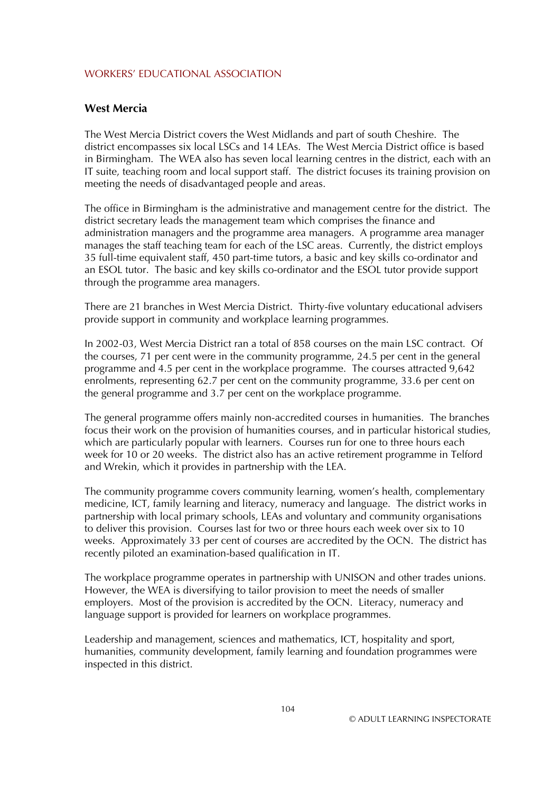### **West Mercia**

The West Mercia District covers the West Midlands and part of south Cheshire. The district encompasses six local LSCs and 14 LEAs. The West Mercia District office is based in Birmingham. The WEA also has seven local learning centres in the district, each with an IT suite, teaching room and local support staff. The district focuses its training provision on meeting the needs of disadvantaged people and areas.

The office in Birmingham is the administrative and management centre for the district. The district secretary leads the management team which comprises the finance and administration managers and the programme area managers. A programme area manager manages the staff teaching team for each of the LSC areas. Currently, the district employs 35 full-time equivalent staff, 450 part-time tutors, a basic and key skills co-ordinator and an ESOL tutor. The basic and key skills co-ordinator and the ESOL tutor provide support through the programme area managers.

There are 21 branches in West Mercia District. Thirty-five voluntary educational advisers provide support in community and workplace learning programmes.

In 2002-03, West Mercia District ran a total of 858 courses on the main LSC contract. Of the courses, 71 per cent were in the community programme, 24.5 per cent in the general programme and 4.5 per cent in the workplace programme. The courses attracted 9,642 enrolments, representing 62.7 per cent on the community programme, 33.6 per cent on the general programme and 3.7 per cent on the workplace programme.

The general programme offers mainly non-accredited courses in humanities. The branches focus their work on the provision of humanities courses, and in particular historical studies, which are particularly popular with learners. Courses run for one to three hours each week for 10 or 20 weeks. The district also has an active retirement programme in Telford and Wrekin, which it provides in partnership with the LEA.

The community programme covers community learning, women's health, complementary medicine, ICT, family learning and literacy, numeracy and language. The district works in partnership with local primary schools, LEAs and voluntary and community organisations to deliver this provision. Courses last for two or three hours each week over six to 10 weeks. Approximately 33 per cent of courses are accredited by the OCN. The district has recently piloted an examination-based qualification in IT.

The workplace programme operates in partnership with UNISON and other trades unions. However, the WEA is diversifying to tailor provision to meet the needs of smaller employers. Most of the provision is accredited by the OCN. Literacy, numeracy and language support is provided for learners on workplace programmes.

Leadership and management, sciences and mathematics, ICT, hospitality and sport, humanities, community development, family learning and foundation programmes were inspected in this district.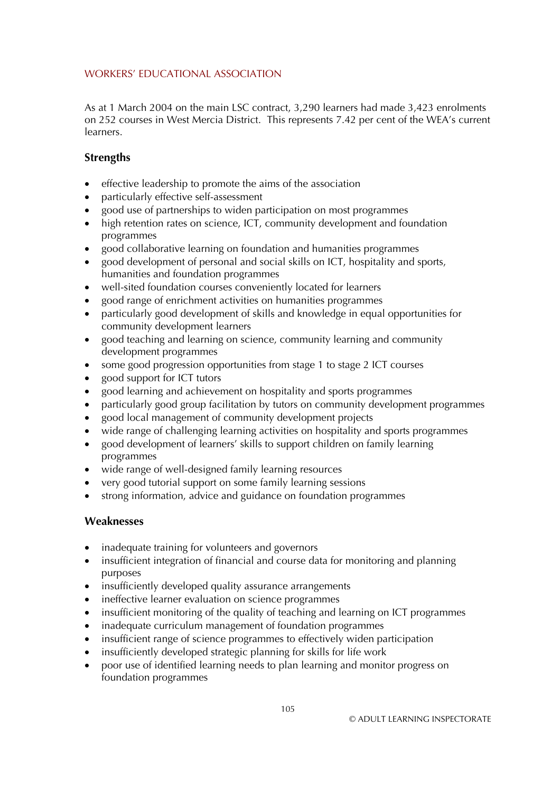As at 1 March 2004 on the main LSC contract, 3,290 learners had made 3,423 enrolments on 252 courses in West Mercia District. This represents 7.42 per cent of the WEA's current learners.

## **Strengths**

- effective leadership to promote the aims of the association
- particularly effective self-assessment
- good use of partnerships to widen participation on most programmes
- high retention rates on science, ICT, community development and foundation programmes
- good collaborative learning on foundation and humanities programmes
- good development of personal and social skills on ICT, hospitality and sports, humanities and foundation programmes
- well-sited foundation courses conveniently located for learners
- good range of enrichment activities on humanities programmes
- particularly good development of skills and knowledge in equal opportunities for community development learners
- good teaching and learning on science, community learning and community development programmes
- some good progression opportunities from stage 1 to stage 2 ICT courses
- good support for ICT tutors
- good learning and achievement on hospitality and sports programmes
- particularly good group facilitation by tutors on community development programmes
- good local management of community development projects
- wide range of challenging learning activities on hospitality and sports programmes
- good development of learners' skills to support children on family learning programmes
- wide range of well-designed family learning resources
- very good tutorial support on some family learning sessions
- strong information, advice and guidance on foundation programmes

## **Weaknesses**

- inadequate training for volunteers and governors
- insufficient integration of financial and course data for monitoring and planning purposes
- insufficiently developed quality assurance arrangements
- ineffective learner evaluation on science programmes
- insufficient monitoring of the quality of teaching and learning on ICT programmes
- inadequate curriculum management of foundation programmes
- insufficient range of science programmes to effectively widen participation
- insufficiently developed strategic planning for skills for life work
- poor use of identified learning needs to plan learning and monitor progress on foundation programmes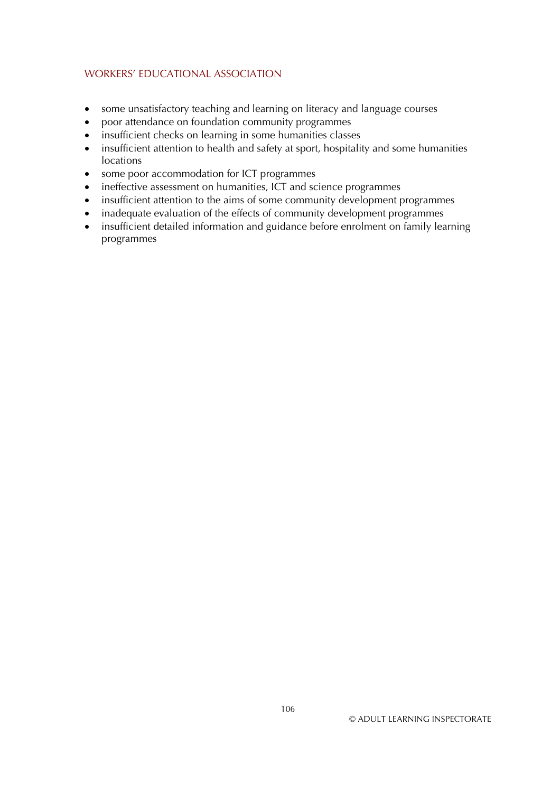- some unsatisfactory teaching and learning on literacy and language courses
- poor attendance on foundation community programmes
- insufficient checks on learning in some humanities classes
- insufficient attention to health and safety at sport, hospitality and some humanities locations
- some poor accommodation for ICT programmes
- ineffective assessment on humanities, ICT and science programmes
- insufficient attention to the aims of some community development programmes
- inadequate evaluation of the effects of community development programmes
- insufficient detailed information and guidance before enrolment on family learning programmes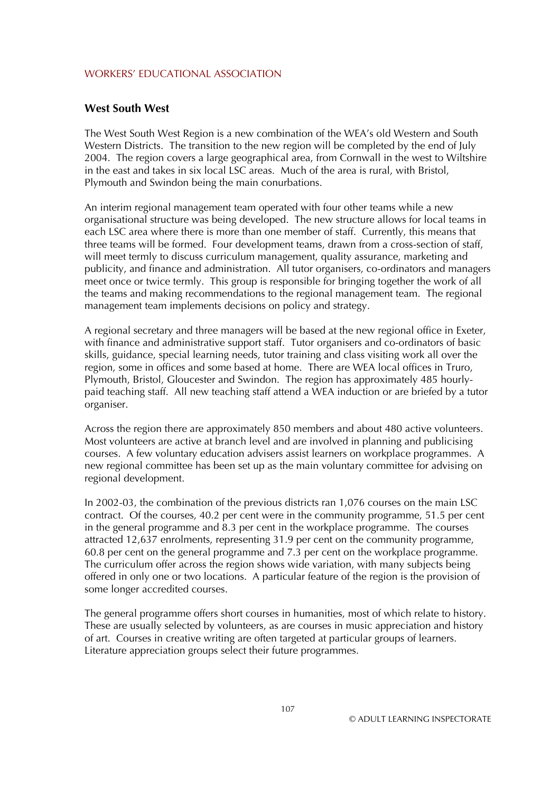#### **West South West**

The West South West Region is a new combination of the WEA's old Western and South Western Districts. The transition to the new region will be completed by the end of July 2004. The region covers a large geographical area, from Cornwall in the west to Wiltshire in the east and takes in six local LSC areas. Much of the area is rural, with Bristol, Plymouth and Swindon being the main conurbations.

An interim regional management team operated with four other teams while a new organisational structure was being developed. The new structure allows for local teams in each LSC area where there is more than one member of staff. Currently, this means that three teams will be formed. Four development teams, drawn from a cross-section of staff, will meet termly to discuss curriculum management, quality assurance, marketing and publicity, and finance and administration. All tutor organisers, co-ordinators and managers meet once or twice termly. This group is responsible for bringing together the work of all the teams and making recommendations to the regional management team. The regional management team implements decisions on policy and strategy.

A regional secretary and three managers will be based at the new regional office in Exeter, with finance and administrative support staff. Tutor organisers and co-ordinators of basic skills, guidance, special learning needs, tutor training and class visiting work all over the region, some in offices and some based at home. There are WEA local offices in Truro, Plymouth, Bristol, Gloucester and Swindon. The region has approximately 485 hourlypaid teaching staff. All new teaching staff attend a WEA induction or are briefed by a tutor organiser.

Across the region there are approximately 850 members and about 480 active volunteers. Most volunteers are active at branch level and are involved in planning and publicising courses. A few voluntary education advisers assist learners on workplace programmes. A new regional committee has been set up as the main voluntary committee for advising on regional development.

In 2002-03, the combination of the previous districts ran 1,076 courses on the main LSC contract. Of the courses, 40.2 per cent were in the community programme, 51.5 per cent in the general programme and 8.3 per cent in the workplace programme. The courses attracted 12,637 enrolments, representing 31.9 per cent on the community programme, 60.8 per cent on the general programme and 7.3 per cent on the workplace programme. The curriculum offer across the region shows wide variation, with many subjects being offered in only one or two locations. A particular feature of the region is the provision of some longer accredited courses.

The general programme offers short courses in humanities, most of which relate to history. These are usually selected by volunteers, as are courses in music appreciation and history of art. Courses in creative writing are often targeted at particular groups of learners. Literature appreciation groups select their future programmes.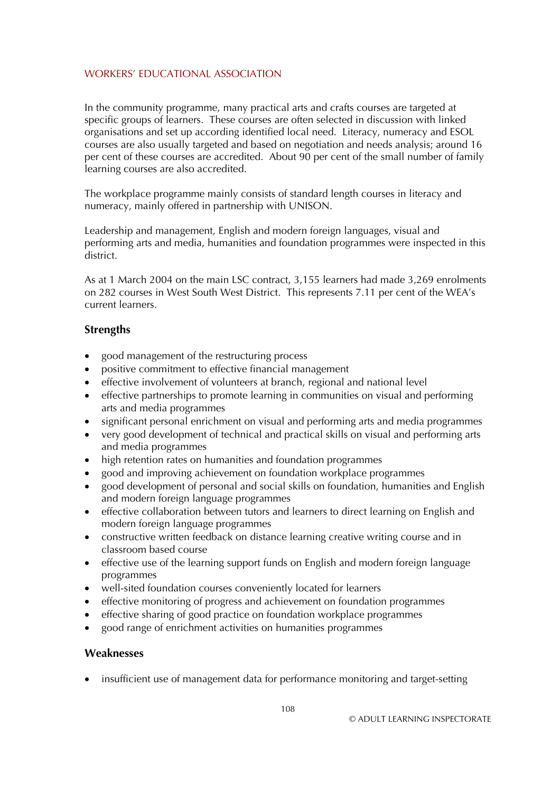In the community programme, many practical arts and crafts courses are targeted at specific groups of learners. These courses are often selected in discussion with linked organisations and set up according identified local need. Literacy, numeracy and ESOL courses are also usually targeted and based on negotiation and needs analysis; around 16 per cent of these courses are accredited. About 90 per cent of the small number of family learning courses are also accredited.

The workplace programme mainly consists of standard length courses in literacy and numeracy, mainly offered in partnership with UNISON.

Leadership and management, English and modern foreign languages, visual and performing arts and media, humanities and foundation programmes were inspected in this district.

As at 1 March 2004 on the main LSC contract, 3,155 learners had made 3,269 enrolments on 282 courses in West South West District. This represents 7.11 per cent of the WEA's current learners.

### **Strengths**

- good management of the restructuring process
- positive commitment to effective financial management
- effective involvement of volunteers at branch, regional and national level
- effective partnerships to promote learning in communities on visual and performing arts and media programmes
- significant personal enrichment on visual and performing arts and media programmes
- very good development of technical and practical skills on visual and performing arts and media programmes
- high retention rates on humanities and foundation programmes
- good and improving achievement on foundation workplace programmes
- good development of personal and social skills on foundation, humanities and English and modern foreign language programmes
- effective collaboration between tutors and learners to direct learning on English and modern foreign language programmes
- constructive written feedback on distance learning creative writing course and in classroom based course
- effective use of the learning support funds on English and modern foreign language programmes
- well-sited foundation courses conveniently located for learners
- effective monitoring of progress and achievement on foundation programmes
- effective sharing of good practice on foundation workplace programmes
- good range of enrichment activities on humanities programmes

### **Weaknesses**

• insufficient use of management data for performance monitoring and target-setting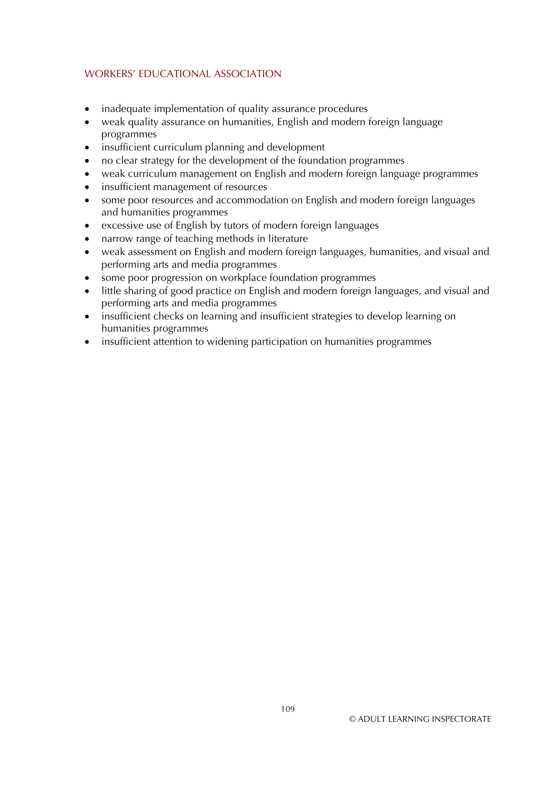- inadequate implementation of quality assurance procedures
- weak quality assurance on humanities, English and modern foreign language programmes
- insufficient curriculum planning and development
- no clear strategy for the development of the foundation programmes
- weak curriculum management on English and modern foreign language programmes
- insufficient management of resources
- some poor resources and accommodation on English and modern foreign languages and humanities programmes
- excessive use of English by tutors of modern foreign languages
- narrow range of teaching methods in literature
- weak assessment on English and modern foreign languages, humanities, and visual and performing arts and media programmes
- some poor progression on workplace foundation programmes
- little sharing of good practice on English and modern foreign languages, and visual and performing arts and media programmes
- insufficient checks on learning and insufficient strategies to develop learning on humanities programmes
- insufficient attention to widening participation on humanities programmes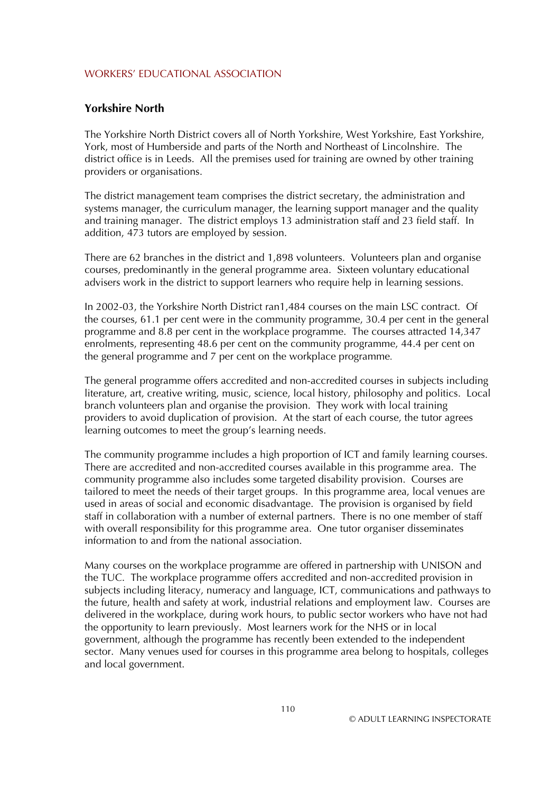#### **Yorkshire North**

The Yorkshire North District covers all of North Yorkshire, West Yorkshire, East Yorkshire, York, most of Humberside and parts of the North and Northeast of Lincolnshire. The district office is in Leeds. All the premises used for training are owned by other training providers or organisations.

The district management team comprises the district secretary, the administration and systems manager, the curriculum manager, the learning support manager and the quality and training manager. The district employs 13 administration staff and 23 field staff. In addition, 473 tutors are employed by session.

There are 62 branches in the district and 1,898 volunteers. Volunteers plan and organise courses, predominantly in the general programme area. Sixteen voluntary educational advisers work in the district to support learners who require help in learning sessions.

In 2002-03, the Yorkshire North District ran1,484 courses on the main LSC contract. Of the courses, 61.1 per cent were in the community programme, 30.4 per cent in the general programme and 8.8 per cent in the workplace programme. The courses attracted 14,347 enrolments, representing 48.6 per cent on the community programme, 44.4 per cent on the general programme and 7 per cent on the workplace programme*.* 

The general programme offers accredited and non-accredited courses in subjects including literature, art, creative writing, music, science, local history, philosophy and politics. Local branch volunteers plan and organise the provision. They work with local training providers to avoid duplication of provision. At the start of each course, the tutor agrees learning outcomes to meet the group's learning needs.

The community programme includes a high proportion of ICT and family learning courses. There are accredited and non-accredited courses available in this programme area. The community programme also includes some targeted disability provision. Courses are tailored to meet the needs of their target groups. In this programme area, local venues are used in areas of social and economic disadvantage. The provision is organised by field staff in collaboration with a number of external partners. There is no one member of staff with overall responsibility for this programme area. One tutor organiser disseminates information to and from the national association.

Many courses on the workplace programme are offered in partnership with UNISON and the TUC. The workplace programme offers accredited and non-accredited provision in subjects including literacy, numeracy and language, ICT, communications and pathways to the future, health and safety at work, industrial relations and employment law. Courses are delivered in the workplace, during work hours, to public sector workers who have not had the opportunity to learn previously. Most learners work for the NHS or in local government, although the programme has recently been extended to the independent sector. Many venues used for courses in this programme area belong to hospitals, colleges and local government.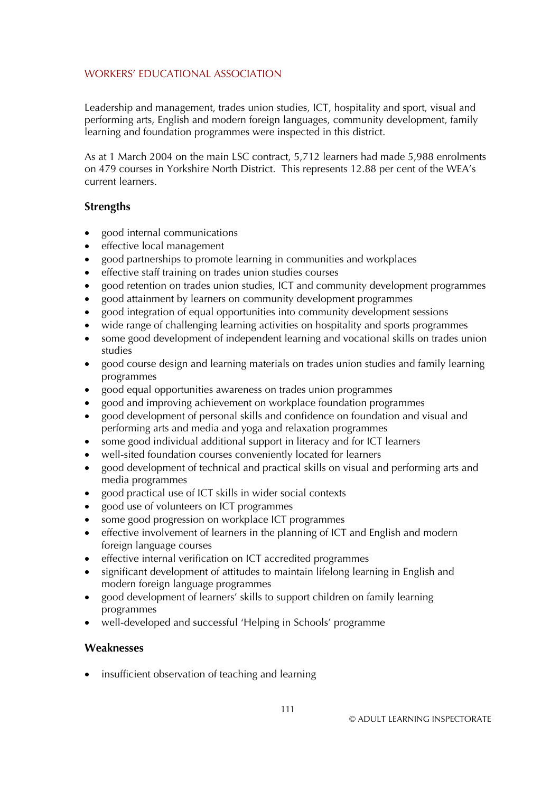Leadership and management, trades union studies, ICT, hospitality and sport, visual and performing arts, English and modern foreign languages, community development, family learning and foundation programmes were inspected in this district.

As at 1 March 2004 on the main LSC contract, 5,712 learners had made 5,988 enrolments on 479 courses in Yorkshire North District. This represents 12.88 per cent of the WEA's current learners.

### **Strengths**

- good internal communications
- effective local management
- good partnerships to promote learning in communities and workplaces
- effective staff training on trades union studies courses
- good retention on trades union studies, ICT and community development programmes
- good attainment by learners on community development programmes
- good integration of equal opportunities into community development sessions
- wide range of challenging learning activities on hospitality and sports programmes
- some good development of independent learning and vocational skills on trades union studies
- good course design and learning materials on trades union studies and family learning programmes
- good equal opportunities awareness on trades union programmes
- good and improving achievement on workplace foundation programmes
- good development of personal skills and confidence on foundation and visual and performing arts and media and yoga and relaxation programmes
- some good individual additional support in literacy and for ICT learners
- well-sited foundation courses conveniently located for learners
- good development of technical and practical skills on visual and performing arts and media programmes
- good practical use of ICT skills in wider social contexts
- good use of volunteers on ICT programmes
- some good progression on workplace ICT programmes
- effective involvement of learners in the planning of ICT and English and modern foreign language courses
- effective internal verification on ICT accredited programmes
- significant development of attitudes to maintain lifelong learning in English and modern foreign language programmes
- good development of learners' skills to support children on family learning programmes
- well-developed and successful 'Helping in Schools' programme

### **Weaknesses**

• insufficient observation of teaching and learning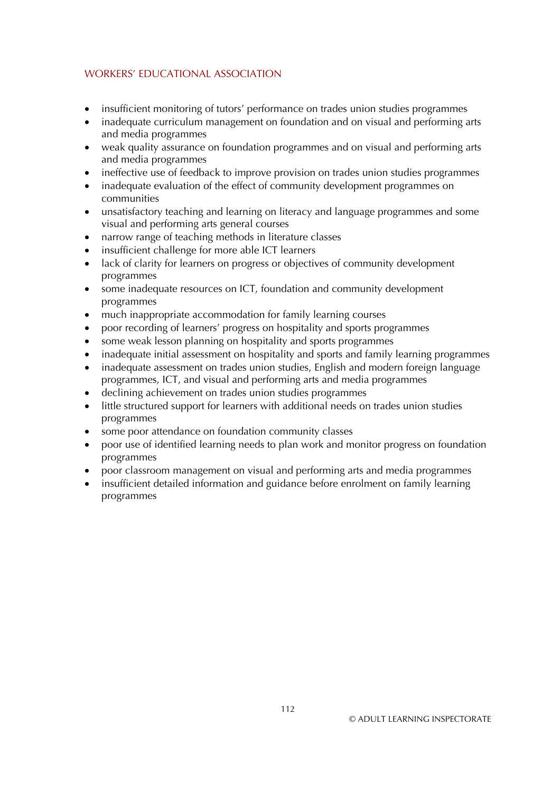- insufficient monitoring of tutors' performance on trades union studies programmes
- inadequate curriculum management on foundation and on visual and performing arts and media programmes
- weak quality assurance on foundation programmes and on visual and performing arts and media programmes
- ineffective use of feedback to improve provision on trades union studies programmes
- inadequate evaluation of the effect of community development programmes on communities
- unsatisfactory teaching and learning on literacy and language programmes and some visual and performing arts general courses
- narrow range of teaching methods in literature classes
- insufficient challenge for more able ICT learners
- lack of clarity for learners on progress or objectives of community development programmes
- some inadequate resources on ICT, foundation and community development programmes
- much inappropriate accommodation for family learning courses
- poor recording of learners' progress on hospitality and sports programmes
- some weak lesson planning on hospitality and sports programmes
- inadequate initial assessment on hospitality and sports and family learning programmes
- inadequate assessment on trades union studies, English and modern foreign language programmes, ICT, and visual and performing arts and media programmes
- declining achievement on trades union studies programmes
- little structured support for learners with additional needs on trades union studies programmes
- some poor attendance on foundation community classes
- poor use of identified learning needs to plan work and monitor progress on foundation programmes
- poor classroom management on visual and performing arts and media programmes
- insufficient detailed information and guidance before enrolment on family learning programmes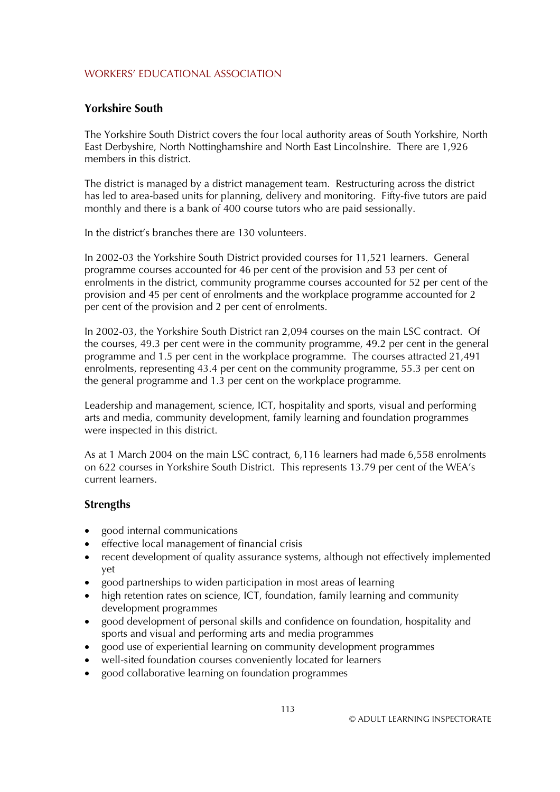### **Yorkshire South**

The Yorkshire South District covers the four local authority areas of South Yorkshire, North East Derbyshire, North Nottinghamshire and North East Lincolnshire. There are 1,926 members in this district.

The district is managed by a district management team. Restructuring across the district has led to area-based units for planning, delivery and monitoring. Fifty-five tutors are paid monthly and there is a bank of 400 course tutors who are paid sessionally.

In the district's branches there are 130 volunteers.

In 2002-03 the Yorkshire South District provided courses for 11,521 learners. General programme courses accounted for 46 per cent of the provision and 53 per cent of enrolments in the district, community programme courses accounted for 52 per cent of the provision and 45 per cent of enrolments and the workplace programme accounted for 2 per cent of the provision and 2 per cent of enrolments.

In 2002-03, the Yorkshire South District ran 2,094 courses on the main LSC contract. Of the courses, 49.3 per cent were in the community programme, 49.2 per cent in the general programme and 1.5 per cent in the workplace programme. The courses attracted 21,491 enrolments, representing 43.4 per cent on the community programme, 55.3 per cent on the general programme and 1.3 per cent on the workplace programme*.* 

Leadership and management, science, ICT, hospitality and sports, visual and performing arts and media, community development, family learning and foundation programmes were inspected in this district.

As at 1 March 2004 on the main LSC contract, 6,116 learners had made 6,558 enrolments on 622 courses in Yorkshire South District. This represents 13.79 per cent of the WEA's current learners.

### **Strengths**

- good internal communications
- effective local management of financial crisis
- recent development of quality assurance systems, although not effectively implemented yet
- good partnerships to widen participation in most areas of learning
- high retention rates on science, ICT, foundation, family learning and community development programmes
- good development of personal skills and confidence on foundation, hospitality and sports and visual and performing arts and media programmes
- good use of experiential learning on community development programmes
- well-sited foundation courses conveniently located for learners
- good collaborative learning on foundation programmes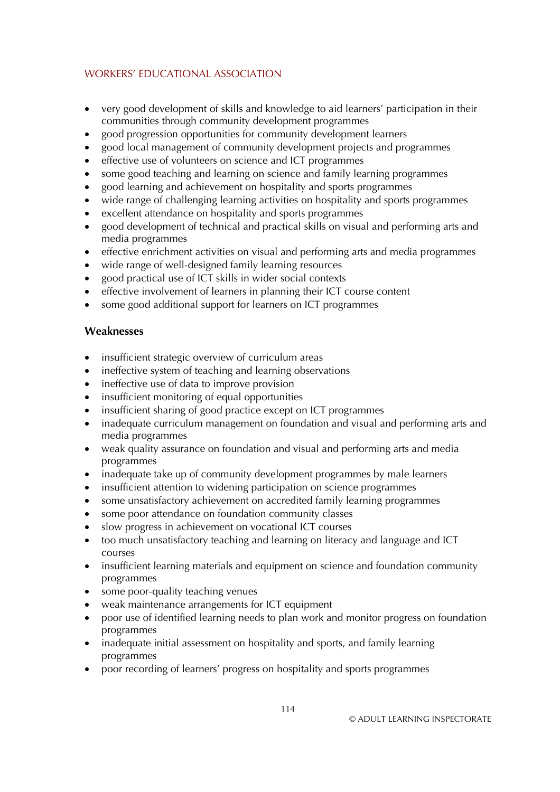- very good development of skills and knowledge to aid learners' participation in their communities through community development programmes
- good progression opportunities for community development learners
- good local management of community development projects and programmes
- effective use of volunteers on science and ICT programmes
- some good teaching and learning on science and family learning programmes
- good learning and achievement on hospitality and sports programmes
- wide range of challenging learning activities on hospitality and sports programmes
- excellent attendance on hospitality and sports programmes
- good development of technical and practical skills on visual and performing arts and media programmes
- effective enrichment activities on visual and performing arts and media programmes
- wide range of well-designed family learning resources
- good practical use of ICT skills in wider social contexts
- effective involvement of learners in planning their ICT course content
- some good additional support for learners on ICT programmes

# **Weaknesses**

- insufficient strategic overview of curriculum areas
- ineffective system of teaching and learning observations
- ineffective use of data to improve provision
- insufficient monitoring of equal opportunities
- insufficient sharing of good practice except on ICT programmes
- inadequate curriculum management on foundation and visual and performing arts and media programmes
- weak quality assurance on foundation and visual and performing arts and media programmes
- inadequate take up of community development programmes by male learners
- insufficient attention to widening participation on science programmes
- some unsatisfactory achievement on accredited family learning programmes
- $\bullet$ some poor attendance on foundation community classes
- slow progress in achievement on vocational ICT courses
- too much unsatisfactory teaching and learning on literacy and language and ICT courses
- insufficient learning materials and equipment on science and foundation community programmes
- some poor-quality teaching venues
- weak maintenance arrangements for ICT equipment
- poor use of identified learning needs to plan work and monitor progress on foundation programmes
- inadequate initial assessment on hospitality and sports, and family learning programmes
- poor recording of learners' progress on hospitality and sports programmes